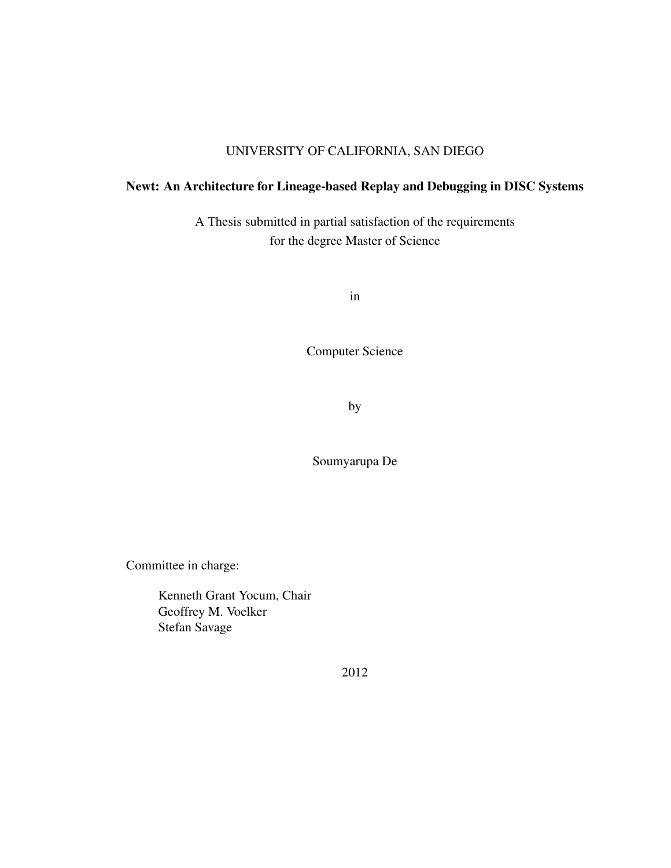#### UNIVERSITY OF CALIFORNIA, SAN DIEGO

### Newt: An Architecture for Lineage-based Replay and Debugging in DISC Systems

A Thesis submitted in partial satisfaction of the requirements for the degree Master of Science

in

Computer Science

by

Soumyarupa De

Committee in charge:

Kenneth Grant Yocum, Chair Geoffrey M. Voelker Stefan Savage

2012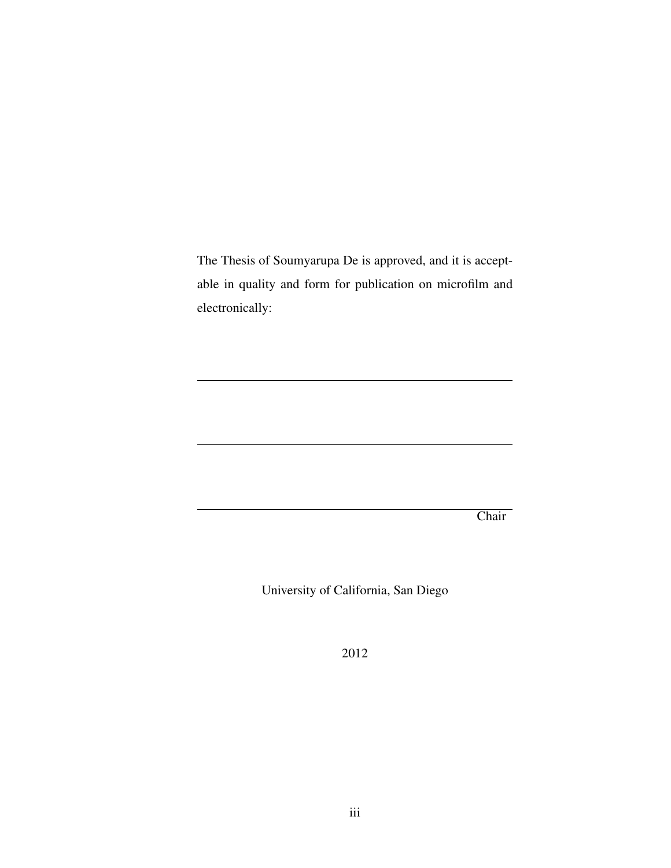The Thesis of Soumyarupa De is approved, and it is acceptable in quality and form for publication on microfilm and electronically:

**Chair** 

University of California, San Diego

2012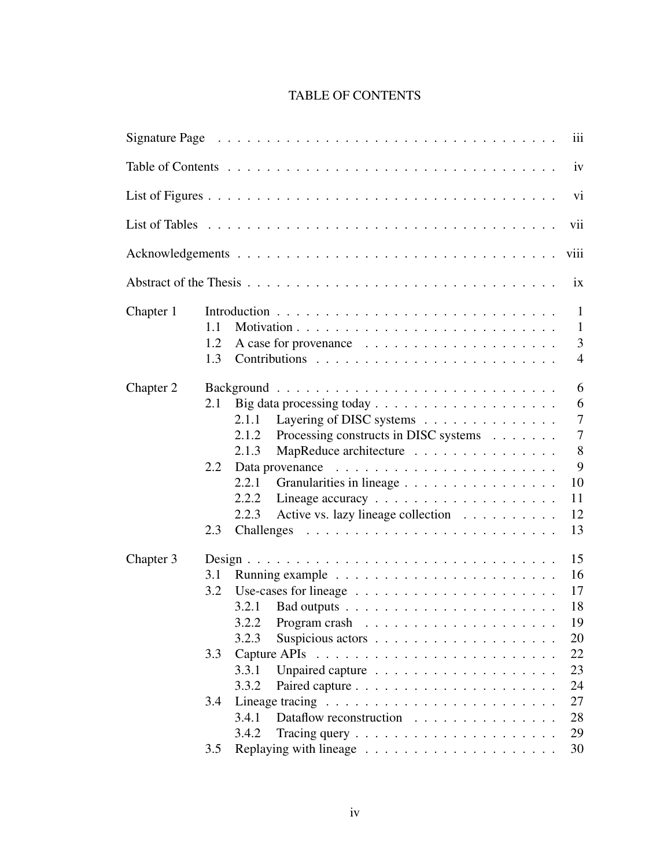## TABLE OF CONTENTS

|           | Signature Page reconstruction of the Contract of the Contract of the Contract of the Contract of the Contract o<br>111                                                                                                                  |  |  |  |  |
|-----------|-----------------------------------------------------------------------------------------------------------------------------------------------------------------------------------------------------------------------------------------|--|--|--|--|
|           | iv                                                                                                                                                                                                                                      |  |  |  |  |
|           | vi                                                                                                                                                                                                                                      |  |  |  |  |
| vii       |                                                                                                                                                                                                                                         |  |  |  |  |
|           | viii                                                                                                                                                                                                                                    |  |  |  |  |
|           | $\overline{1}X$                                                                                                                                                                                                                         |  |  |  |  |
| Chapter 1 | 1<br>1.1<br>$\mathbf{1}$<br>3<br>1.2<br>1.3<br>$\overline{4}$                                                                                                                                                                           |  |  |  |  |
| Chapter 2 | 6<br>6<br>2.1<br>$\overline{7}$<br>Layering of DISC systems<br>2.1.1<br>$\overline{7}$<br>Processing constructs in DISC systems<br>2.1.2<br>8<br>MapReduce architecture<br>2.1.3<br>9<br>2.2<br>10<br>2.2.1<br>Granularities in lineage |  |  |  |  |
|           | 2.2.2<br>11<br>Active vs. lazy lineage collection<br>2.2.3<br>12<br>2.3<br>13                                                                                                                                                           |  |  |  |  |
| Chapter 3 | 15<br>16<br>3.1<br>17<br>3.2<br>Use-cases for lineage $\ldots \ldots \ldots \ldots \ldots \ldots \ldots$<br>18<br>3.2.1<br>3.2.2 Program crash $\ldots \ldots \ldots \ldots \ldots \ldots$<br>19<br>20<br>3.2.3                         |  |  |  |  |
|           | 22<br>3.3<br>3.3.1<br>23<br>3.3.2<br>24<br>27<br>3.4<br>3.4.1<br>Dataflow reconstruction<br>28<br>3.4.2<br>29<br>Tracing query $\ldots \ldots \ldots \ldots \ldots \ldots \ldots$<br>30<br>3.5                                          |  |  |  |  |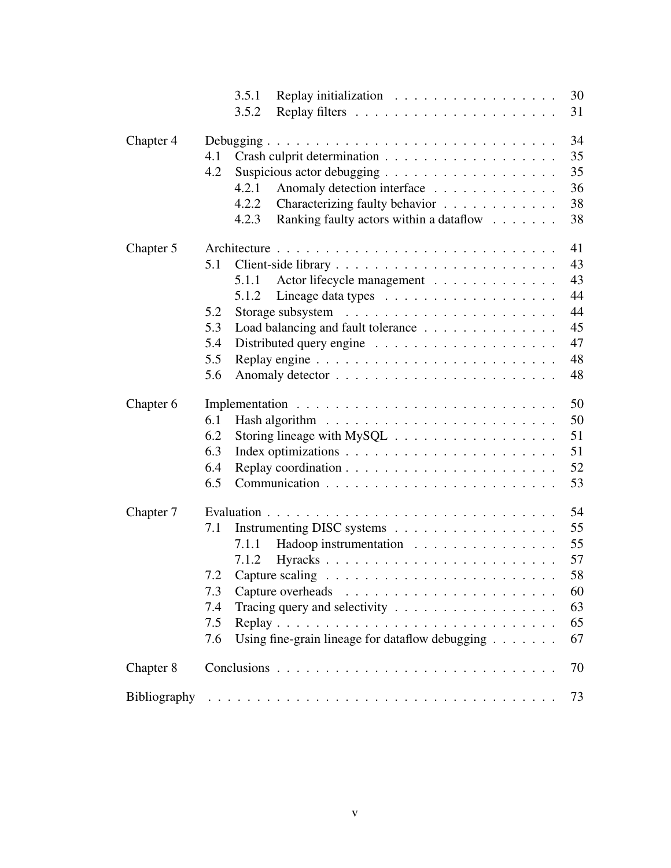|           | 3.5.1<br>30<br>Replay initialization                                                          |
|-----------|-----------------------------------------------------------------------------------------------|
|           | 3.5.2<br>31                                                                                   |
| Chapter 4 | 34                                                                                            |
|           | 35<br>4.1                                                                                     |
|           | 35<br>4.2                                                                                     |
|           | 36<br>4.2.1<br>Anomaly detection interface                                                    |
|           | 38<br>Characterizing faulty behavior<br>4.2.2                                                 |
|           | 38<br>Ranking faulty actors within a dataflow<br>4.2.3                                        |
| Chapter 5 | 41                                                                                            |
|           | 43<br>5.1                                                                                     |
|           | 43<br>5.1.1<br>Actor lifecycle management                                                     |
|           | 44<br>5.1.2                                                                                   |
|           | 44<br>5.2                                                                                     |
|           | 45<br>Load balancing and fault tolerance<br>5.3                                               |
|           | 47<br>5.4                                                                                     |
|           | 5.5<br>48                                                                                     |
|           | 48<br>5.6                                                                                     |
| Chapter 6 | 50                                                                                            |
|           | 50<br>6.1                                                                                     |
|           | 6.2<br>51<br>Storing lineage with $MySQL \ldots \ldots \ldots \ldots \ldots \ldots$           |
|           | 6.3<br>51                                                                                     |
|           | 52<br>6.4                                                                                     |
|           | 53<br>6.5                                                                                     |
| Chapter 7 | 54                                                                                            |
|           | 55<br>7.1<br>Instrumenting DISC systems                                                       |
|           | 55<br>Hadoop instrumentation<br>7.1.1                                                         |
|           | 57<br>7.1.2<br>Hyracks                                                                        |
|           | 58<br>Capture scaling $\ldots \ldots \ldots \ldots \ldots \ldots \ldots \ldots \ldots$<br>7.2 |
|           | 60<br>7.3                                                                                     |
|           | 63<br>Tracing query and selectivity $\ldots \ldots \ldots \ldots \ldots \ldots$<br>7.4        |
|           | 65<br>7.5                                                                                     |
|           | Using fine-grain lineage for dataflow debugging $\dots \dots$<br>67<br>7.6                    |
| Chapter 8 | 70                                                                                            |
|           | 73                                                                                            |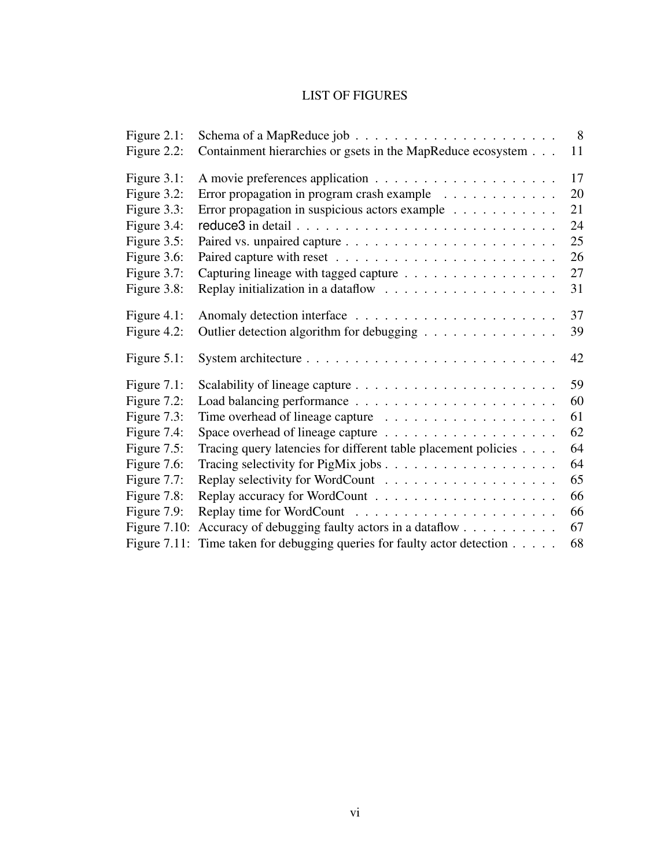### LIST OF FIGURES

| Figure 2.1:     | Schema of a MapReduce job $\ldots \ldots \ldots \ldots \ldots \ldots \ldots$ | 8  |
|-----------------|------------------------------------------------------------------------------|----|
| Figure 2.2:     | Containment hierarchies or gsets in the MapReduce ecosystem                  | 11 |
| Figure 3.1:     |                                                                              | 17 |
| Figure 3.2:     | Error propagation in program crash example                                   | 20 |
| Figure 3.3:     | Error propagation in suspicious actors example                               | 21 |
| Figure 3.4:     |                                                                              | 24 |
| Figure 3.5:     |                                                                              | 25 |
| Figure 3.6:     |                                                                              | 26 |
| Figure 3.7:     | Capturing lineage with tagged capture                                        | 27 |
| Figure 3.8:     |                                                                              | 31 |
| Figure $4.1$ :  |                                                                              | 37 |
| Figure 4.2:     | Outlier detection algorithm for debugging                                    | 39 |
| Figure $5.1$ :  |                                                                              | 42 |
| Figure $7.1$ :  |                                                                              | 59 |
| Figure 7.2:     |                                                                              | 60 |
| Figure 7.3:     |                                                                              | 61 |
| Figure 7.4:     |                                                                              | 62 |
| Figure $7.5$ :  | Tracing query latencies for different table placement policies               | 64 |
| Figure 7.6:     |                                                                              | 64 |
| Figure 7.7:     |                                                                              | 65 |
| Figure 7.8:     |                                                                              | 66 |
| Figure 7.9:     |                                                                              | 66 |
| Figure $7.10$ : | Accuracy of debugging faulty actors in a dataflow                            | 67 |
| Figure $7.11$ : | Time taken for debugging queries for faulty actor detection                  | 68 |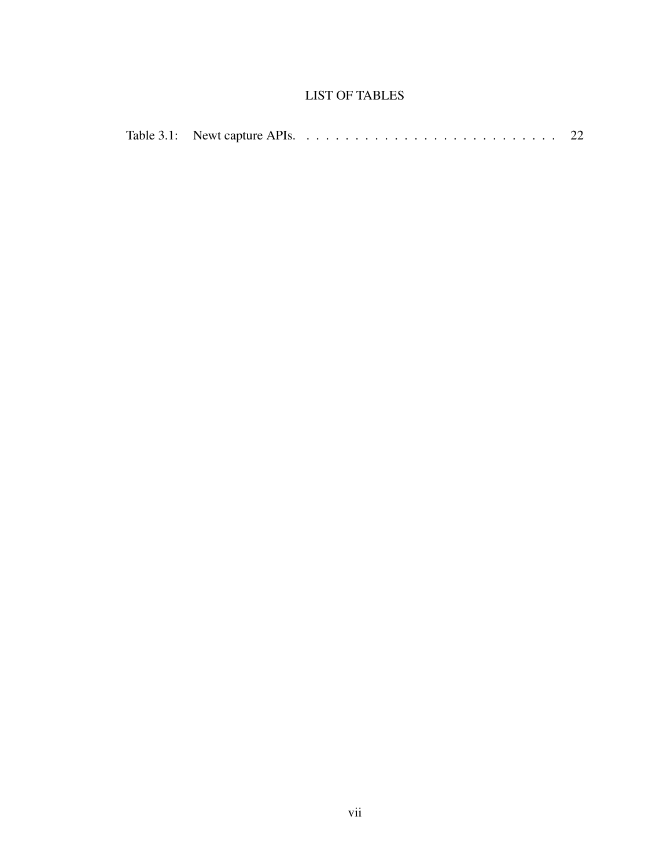### LIST OF TABLES

|  |  | Table 3.1: Newt capture APIs. $\ldots \ldots \ldots \ldots \ldots \ldots \ldots \ldots \ldots$ |  |
|--|--|------------------------------------------------------------------------------------------------|--|
|--|--|------------------------------------------------------------------------------------------------|--|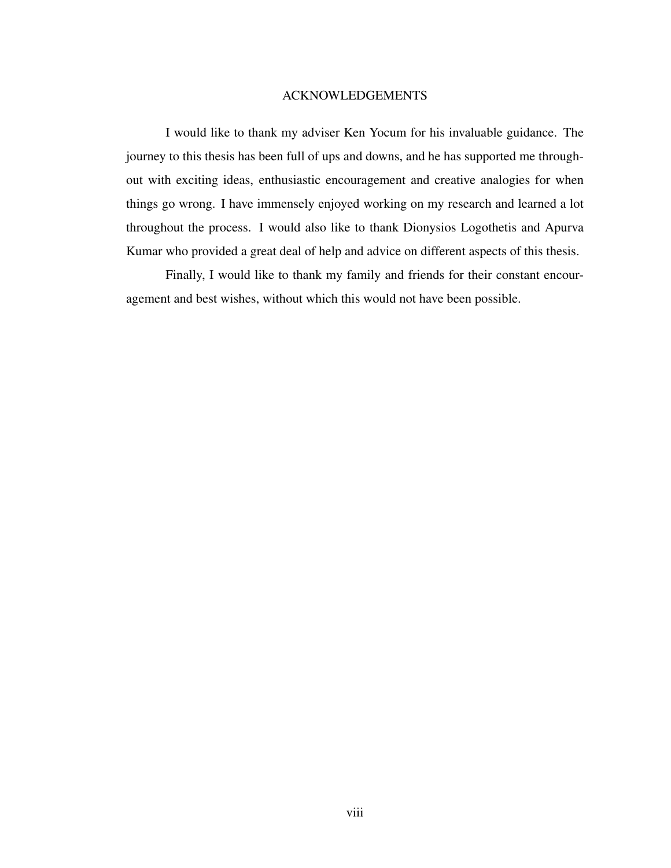#### ACKNOWLEDGEMENTS

I would like to thank my adviser Ken Yocum for his invaluable guidance. The journey to this thesis has been full of ups and downs, and he has supported me throughout with exciting ideas, enthusiastic encouragement and creative analogies for when things go wrong. I have immensely enjoyed working on my research and learned a lot throughout the process. I would also like to thank Dionysios Logothetis and Apurva Kumar who provided a great deal of help and advice on different aspects of this thesis.

Finally, I would like to thank my family and friends for their constant encouragement and best wishes, without which this would not have been possible.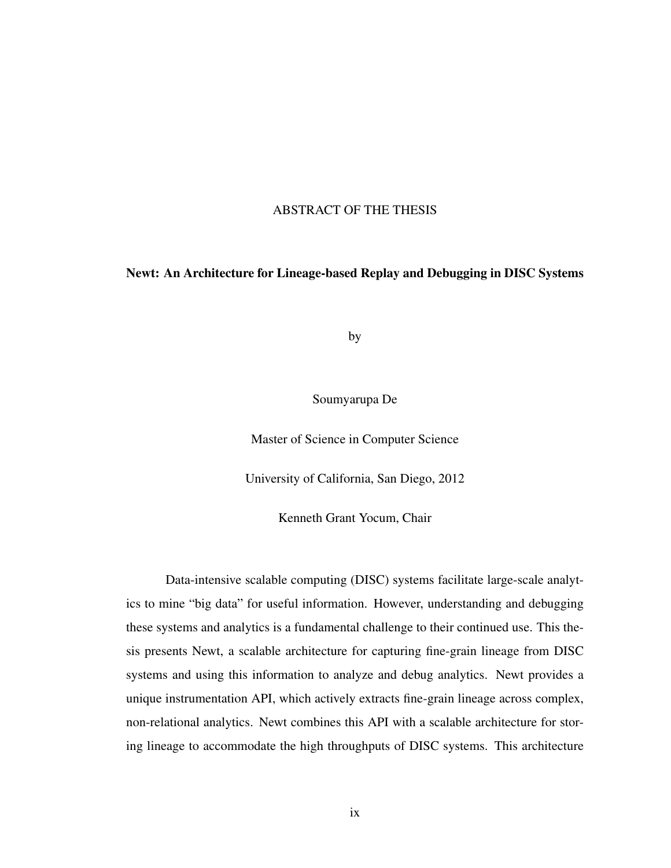#### ABSTRACT OF THE THESIS

#### Newt: An Architecture for Lineage-based Replay and Debugging in DISC Systems

by

Soumyarupa De

Master of Science in Computer Science

University of California, San Diego, 2012

Kenneth Grant Yocum, Chair

Data-intensive scalable computing (DISC) systems facilitate large-scale analytics to mine "big data" for useful information. However, understanding and debugging these systems and analytics is a fundamental challenge to their continued use. This thesis presents Newt, a scalable architecture for capturing fine-grain lineage from DISC systems and using this information to analyze and debug analytics. Newt provides a unique instrumentation API, which actively extracts fine-grain lineage across complex, non-relational analytics. Newt combines this API with a scalable architecture for storing lineage to accommodate the high throughputs of DISC systems. This architecture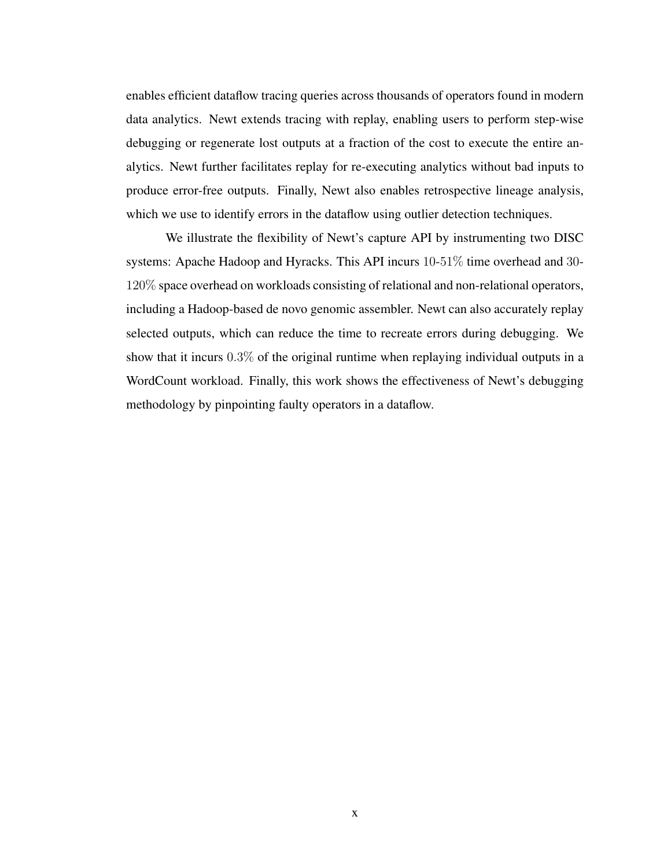enables efficient dataflow tracing queries across thousands of operators found in modern data analytics. Newt extends tracing with replay, enabling users to perform step-wise debugging or regenerate lost outputs at a fraction of the cost to execute the entire analytics. Newt further facilitates replay for re-executing analytics without bad inputs to produce error-free outputs. Finally, Newt also enables retrospective lineage analysis, which we use to identify errors in the dataflow using outlier detection techniques.

We illustrate the flexibility of Newt's capture API by instrumenting two DISC systems: Apache Hadoop and Hyracks. This API incurs 10-51% time overhead and 30- 120% space overhead on workloads consisting of relational and non-relational operators, including a Hadoop-based de novo genomic assembler. Newt can also accurately replay selected outputs, which can reduce the time to recreate errors during debugging. We show that it incurs 0.3% of the original runtime when replaying individual outputs in a WordCount workload. Finally, this work shows the effectiveness of Newt's debugging methodology by pinpointing faulty operators in a dataflow.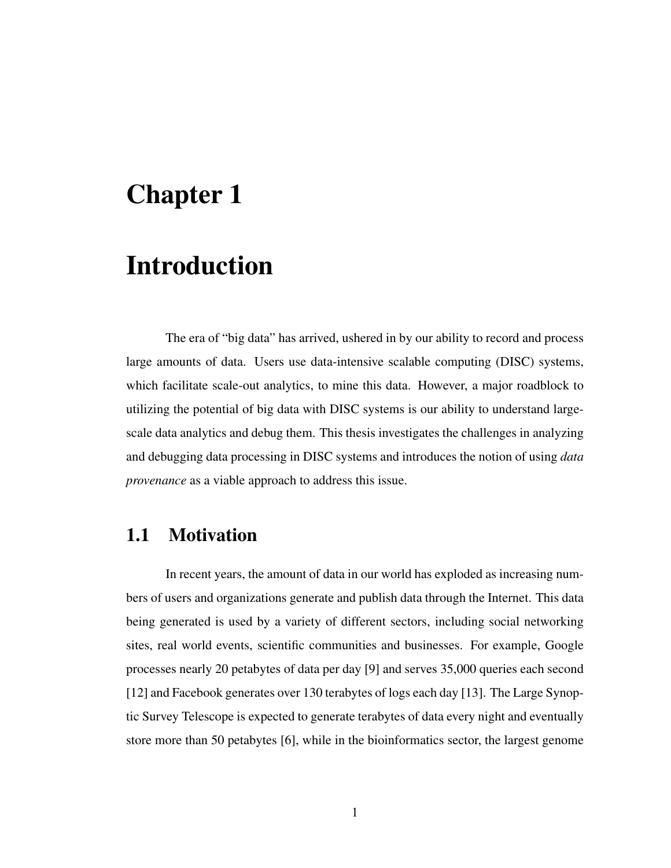# Chapter 1

# Introduction

The era of "big data" has arrived, ushered in by our ability to record and process large amounts of data. Users use data-intensive scalable computing (DISC) systems, which facilitate scale-out analytics, to mine this data. However, a major roadblock to utilizing the potential of big data with DISC systems is our ability to understand largescale data analytics and debug them. This thesis investigates the challenges in analyzing and debugging data processing in DISC systems and introduces the notion of using *data provenance* as a viable approach to address this issue.

## 1.1 Motivation

In recent years, the amount of data in our world has exploded as increasing numbers of users and organizations generate and publish data through the Internet. This data being generated is used by a variety of different sectors, including social networking sites, real world events, scientific communities and businesses. For example, Google processes nearly 20 petabytes of data per day [9] and serves 35,000 queries each second [12] and Facebook generates over 130 terabytes of logs each day [13]. The Large Synoptic Survey Telescope is expected to generate terabytes of data every night and eventually store more than 50 petabytes [6], while in the bioinformatics sector, the largest genome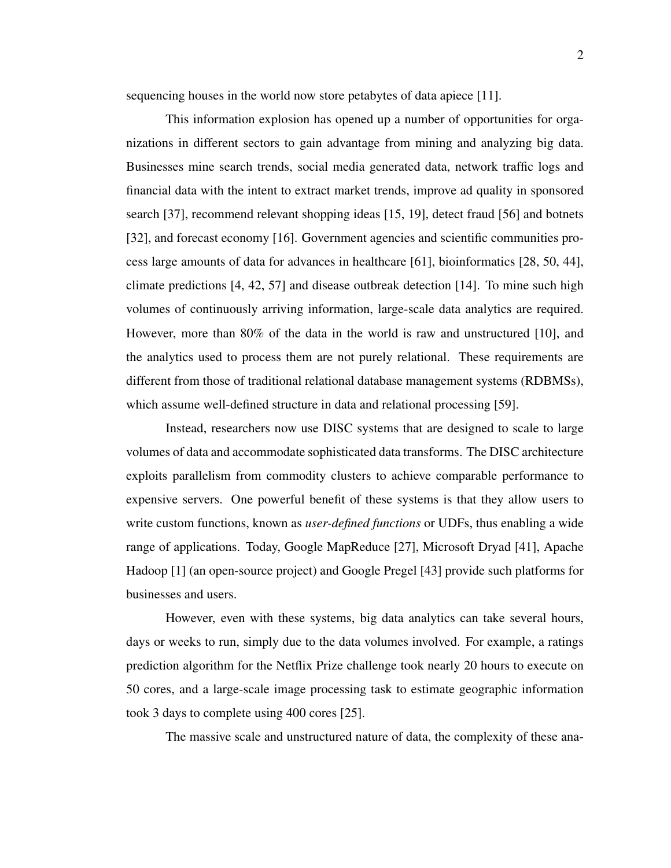sequencing houses in the world now store petabytes of data apiece [11].

This information explosion has opened up a number of opportunities for organizations in different sectors to gain advantage from mining and analyzing big data. Businesses mine search trends, social media generated data, network traffic logs and financial data with the intent to extract market trends, improve ad quality in sponsored search [37], recommend relevant shopping ideas [15, 19], detect fraud [56] and botnets [32], and forecast economy [16]. Government agencies and scientific communities process large amounts of data for advances in healthcare [61], bioinformatics [28, 50, 44], climate predictions [4, 42, 57] and disease outbreak detection [14]. To mine such high volumes of continuously arriving information, large-scale data analytics are required. However, more than 80% of the data in the world is raw and unstructured [10], and the analytics used to process them are not purely relational. These requirements are different from those of traditional relational database management systems (RDBMSs), which assume well-defined structure in data and relational processing [59].

Instead, researchers now use DISC systems that are designed to scale to large volumes of data and accommodate sophisticated data transforms. The DISC architecture exploits parallelism from commodity clusters to achieve comparable performance to expensive servers. One powerful benefit of these systems is that they allow users to write custom functions, known as *user-defined functions* or UDFs, thus enabling a wide range of applications. Today, Google MapReduce [27], Microsoft Dryad [41], Apache Hadoop [1] (an open-source project) and Google Pregel [43] provide such platforms for businesses and users.

However, even with these systems, big data analytics can take several hours, days or weeks to run, simply due to the data volumes involved. For example, a ratings prediction algorithm for the Netflix Prize challenge took nearly 20 hours to execute on 50 cores, and a large-scale image processing task to estimate geographic information took 3 days to complete using 400 cores [25].

The massive scale and unstructured nature of data, the complexity of these ana-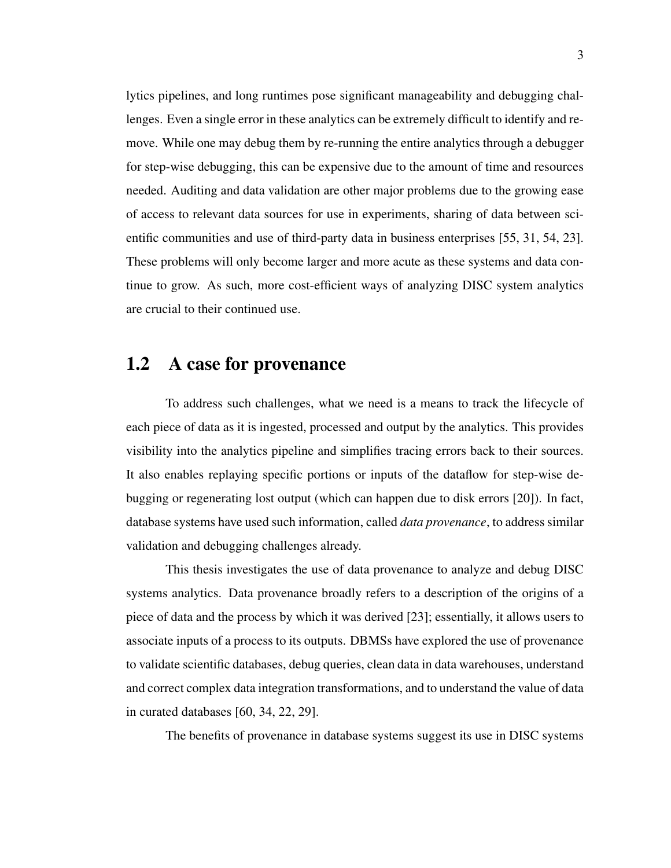lytics pipelines, and long runtimes pose significant manageability and debugging challenges. Even a single error in these analytics can be extremely difficult to identify and remove. While one may debug them by re-running the entire analytics through a debugger for step-wise debugging, this can be expensive due to the amount of time and resources needed. Auditing and data validation are other major problems due to the growing ease of access to relevant data sources for use in experiments, sharing of data between scientific communities and use of third-party data in business enterprises [55, 31, 54, 23]. These problems will only become larger and more acute as these systems and data continue to grow. As such, more cost-efficient ways of analyzing DISC system analytics are crucial to their continued use.

## 1.2 A case for provenance

To address such challenges, what we need is a means to track the lifecycle of each piece of data as it is ingested, processed and output by the analytics. This provides visibility into the analytics pipeline and simplifies tracing errors back to their sources. It also enables replaying specific portions or inputs of the dataflow for step-wise debugging or regenerating lost output (which can happen due to disk errors [20]). In fact, database systems have used such information, called *data provenance*, to address similar validation and debugging challenges already.

This thesis investigates the use of data provenance to analyze and debug DISC systems analytics. Data provenance broadly refers to a description of the origins of a piece of data and the process by which it was derived [23]; essentially, it allows users to associate inputs of a process to its outputs. DBMSs have explored the use of provenance to validate scientific databases, debug queries, clean data in data warehouses, understand and correct complex data integration transformations, and to understand the value of data in curated databases [60, 34, 22, 29].

The benefits of provenance in database systems suggest its use in DISC systems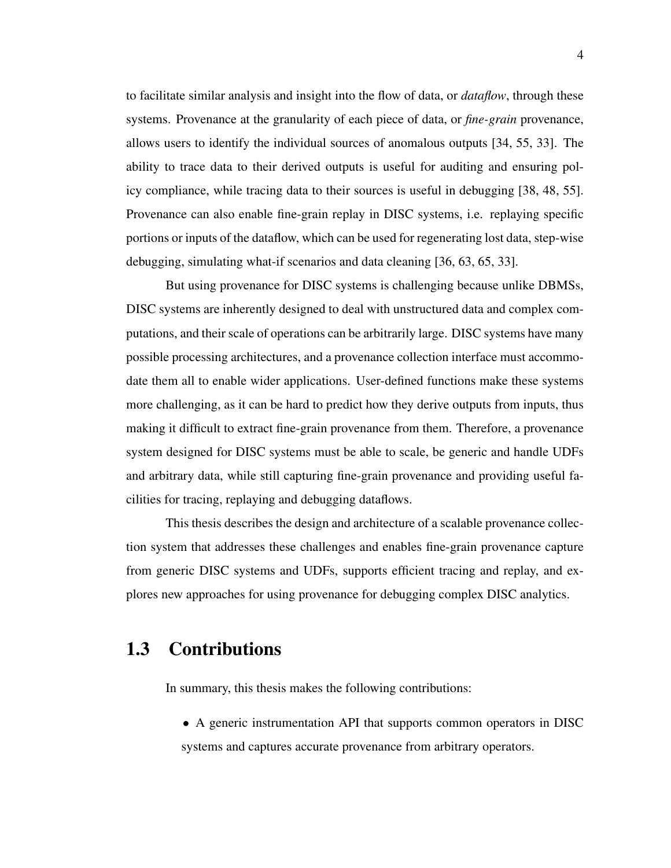to facilitate similar analysis and insight into the flow of data, or *dataflow*, through these systems. Provenance at the granularity of each piece of data, or *fine-grain* provenance, allows users to identify the individual sources of anomalous outputs [34, 55, 33]. The ability to trace data to their derived outputs is useful for auditing and ensuring policy compliance, while tracing data to their sources is useful in debugging [38, 48, 55]. Provenance can also enable fine-grain replay in DISC systems, i.e. replaying specific portions or inputs of the dataflow, which can be used for regenerating lost data, step-wise debugging, simulating what-if scenarios and data cleaning [36, 63, 65, 33].

But using provenance for DISC systems is challenging because unlike DBMSs, DISC systems are inherently designed to deal with unstructured data and complex computations, and their scale of operations can be arbitrarily large. DISC systems have many possible processing architectures, and a provenance collection interface must accommodate them all to enable wider applications. User-defined functions make these systems more challenging, as it can be hard to predict how they derive outputs from inputs, thus making it difficult to extract fine-grain provenance from them. Therefore, a provenance system designed for DISC systems must be able to scale, be generic and handle UDFs and arbitrary data, while still capturing fine-grain provenance and providing useful facilities for tracing, replaying and debugging dataflows.

This thesis describes the design and architecture of a scalable provenance collection system that addresses these challenges and enables fine-grain provenance capture from generic DISC systems and UDFs, supports efficient tracing and replay, and explores new approaches for using provenance for debugging complex DISC analytics.

# 1.3 Contributions

In summary, this thesis makes the following contributions:

• A generic instrumentation API that supports common operators in DISC systems and captures accurate provenance from arbitrary operators.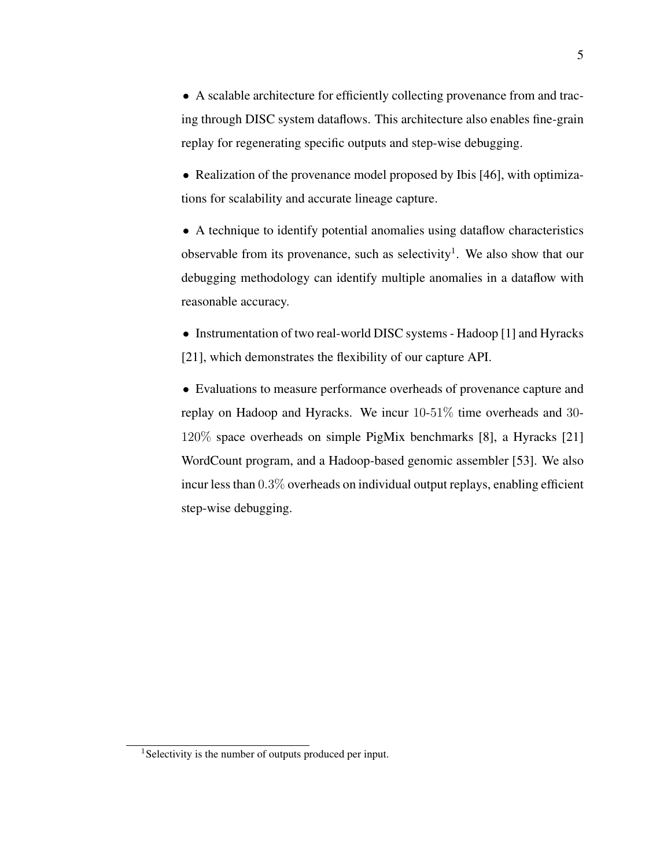• A scalable architecture for efficiently collecting provenance from and tracing through DISC system dataflows. This architecture also enables fine-grain replay for regenerating specific outputs and step-wise debugging.

• Realization of the provenance model proposed by Ibis [46], with optimizations for scalability and accurate lineage capture.

• A technique to identify potential anomalies using dataflow characteristics observable from its provenance, such as selectivity<sup>1</sup>. We also show that our debugging methodology can identify multiple anomalies in a dataflow with reasonable accuracy.

• Instrumentation of two real-world DISC systems - Hadoop [1] and Hyracks [21], which demonstrates the flexibility of our capture API.

• Evaluations to measure performance overheads of provenance capture and replay on Hadoop and Hyracks. We incur 10-51% time overheads and 30- 120% space overheads on simple PigMix benchmarks [8], a Hyracks [21] WordCount program, and a Hadoop-based genomic assembler [53]. We also incur less than 0.3% overheads on individual output replays, enabling efficient step-wise debugging.

<sup>&</sup>lt;sup>1</sup>Selectivity is the number of outputs produced per input.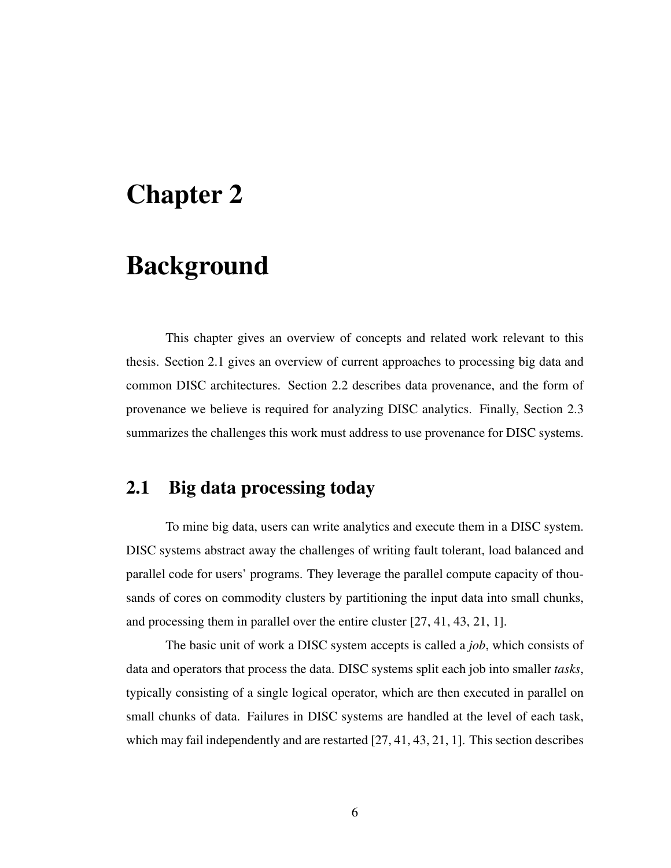# Chapter 2

# Background

This chapter gives an overview of concepts and related work relevant to this thesis. Section 2.1 gives an overview of current approaches to processing big data and common DISC architectures. Section 2.2 describes data provenance, and the form of provenance we believe is required for analyzing DISC analytics. Finally, Section 2.3 summarizes the challenges this work must address to use provenance for DISC systems.

## 2.1 Big data processing today

To mine big data, users can write analytics and execute them in a DISC system. DISC systems abstract away the challenges of writing fault tolerant, load balanced and parallel code for users' programs. They leverage the parallel compute capacity of thousands of cores on commodity clusters by partitioning the input data into small chunks, and processing them in parallel over the entire cluster [27, 41, 43, 21, 1].

The basic unit of work a DISC system accepts is called a *job*, which consists of data and operators that process the data. DISC systems split each job into smaller *tasks*, typically consisting of a single logical operator, which are then executed in parallel on small chunks of data. Failures in DISC systems are handled at the level of each task, which may fail independently and are restarted [27, 41, 43, 21, 1]. This section describes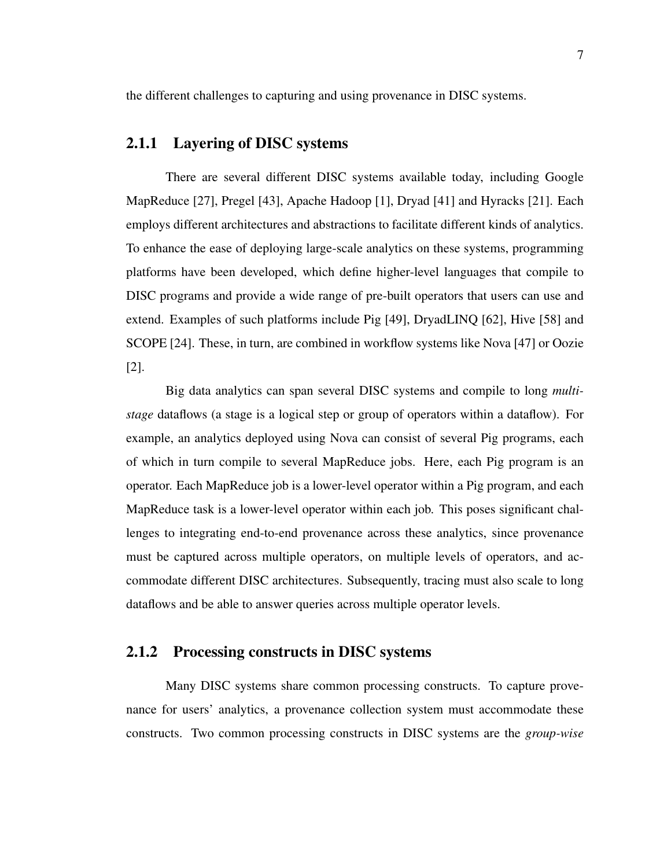the different challenges to capturing and using provenance in DISC systems.

#### 2.1.1 Layering of DISC systems

There are several different DISC systems available today, including Google MapReduce [27], Pregel [43], Apache Hadoop [1], Dryad [41] and Hyracks [21]. Each employs different architectures and abstractions to facilitate different kinds of analytics. To enhance the ease of deploying large-scale analytics on these systems, programming platforms have been developed, which define higher-level languages that compile to DISC programs and provide a wide range of pre-built operators that users can use and extend. Examples of such platforms include Pig [49], DryadLINQ [62], Hive [58] and SCOPE [24]. These, in turn, are combined in workflow systems like Nova [47] or Oozie [2].

Big data analytics can span several DISC systems and compile to long *multistage* dataflows (a stage is a logical step or group of operators within a dataflow). For example, an analytics deployed using Nova can consist of several Pig programs, each of which in turn compile to several MapReduce jobs. Here, each Pig program is an operator. Each MapReduce job is a lower-level operator within a Pig program, and each MapReduce task is a lower-level operator within each job. This poses significant challenges to integrating end-to-end provenance across these analytics, since provenance must be captured across multiple operators, on multiple levels of operators, and accommodate different DISC architectures. Subsequently, tracing must also scale to long dataflows and be able to answer queries across multiple operator levels.

### 2.1.2 Processing constructs in DISC systems

Many DISC systems share common processing constructs. To capture provenance for users' analytics, a provenance collection system must accommodate these constructs. Two common processing constructs in DISC systems are the *group-wise*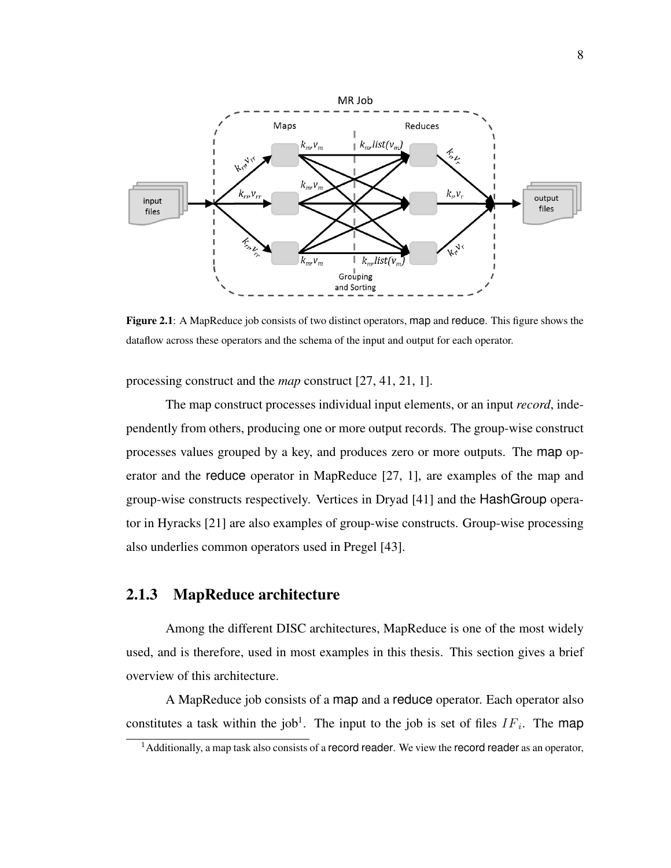

Figure 2.1: A MapReduce job consists of two distinct operators, map and reduce. This figure shows the dataflow across these operators and the schema of the input and output for each operator.

processing construct and the *map* construct [27, 41, 21, 1].

The map construct processes individual input elements, or an input *record*, independently from others, producing one or more output records. The group-wise construct processes values grouped by a key, and produces zero or more outputs. The map operator and the reduce operator in MapReduce [27, 1], are examples of the map and group-wise constructs respectively. Vertices in Dryad [41] and the HashGroup operator in Hyracks [21] are also examples of group-wise constructs. Group-wise processing also underlies common operators used in Pregel [43].

### 2.1.3 MapReduce architecture

Among the different DISC architectures, MapReduce is one of the most widely used, and is therefore, used in most examples in this thesis. This section gives a brief overview of this architecture.

A MapReduce job consists of a map and a reduce operator. Each operator also constitutes a task within the job<sup>1</sup>. The input to the job is set of files  $IF_i$ . The map

 $<sup>1</sup>$ Additionally, a map task also consists of a record reader. We view the record reader as an operator,</sup>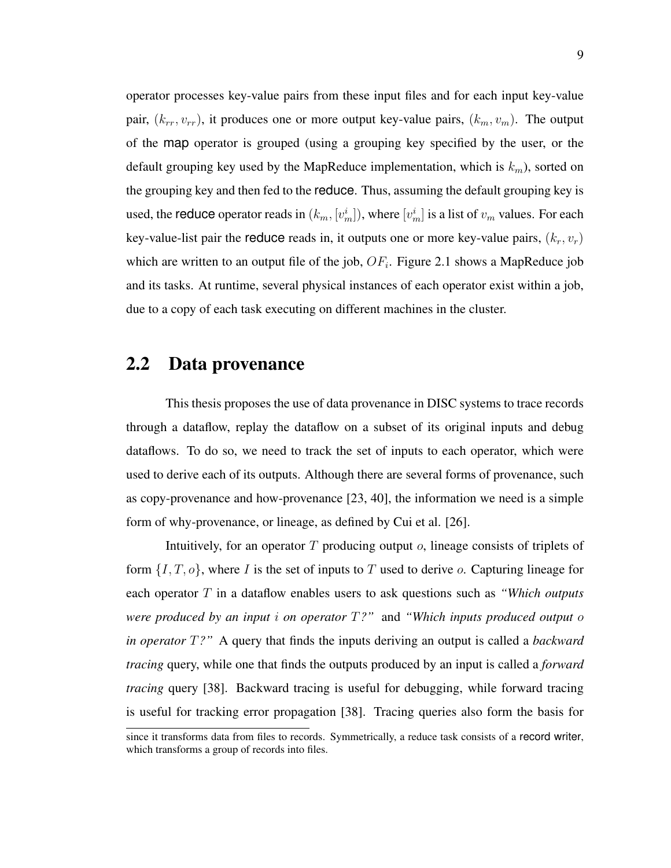operator processes key-value pairs from these input files and for each input key-value pair,  $(k_{rr}, v_{rr})$ , it produces one or more output key-value pairs,  $(k_m, v_m)$ . The output of the map operator is grouped (using a grouping key specified by the user, or the default grouping key used by the MapReduce implementation, which is  $k_m$ ), sorted on the grouping key and then fed to the reduce. Thus, assuming the default grouping key is used, the reduce operator reads in  $(k_m, [v_m^i])$ , where  $[v_m^i]$  is a list of  $v_m$  values. For each key-value-list pair the reduce reads in, it outputs one or more key-value pairs,  $(k_r, v_r)$ which are written to an output file of the job,  $OF_i$ . Figure 2.1 shows a MapReduce job and its tasks. At runtime, several physical instances of each operator exist within a job, due to a copy of each task executing on different machines in the cluster.

## 2.2 Data provenance

This thesis proposes the use of data provenance in DISC systems to trace records through a dataflow, replay the dataflow on a subset of its original inputs and debug dataflows. To do so, we need to track the set of inputs to each operator, which were used to derive each of its outputs. Although there are several forms of provenance, such as copy-provenance and how-provenance [23, 40], the information we need is a simple form of why-provenance, or lineage, as defined by Cui et al. [26].

Intuitively, for an operator  $T$  producing output  $\sigma$ , lineage consists of triplets of form  $\{I, T, o\}$ , where I is the set of inputs to T used to derive o. Capturing lineage for each operator T in a dataflow enables users to ask questions such as *"Which outputs were produced by an input* i *on operator* T*?"* and *"Which inputs produced output* o *in operator* T*?"* A query that finds the inputs deriving an output is called a *backward tracing* query, while one that finds the outputs produced by an input is called a *forward tracing* query [38]. Backward tracing is useful for debugging, while forward tracing is useful for tracking error propagation [38]. Tracing queries also form the basis for

since it transforms data from files to records. Symmetrically, a reduce task consists of a record writer, which transforms a group of records into files.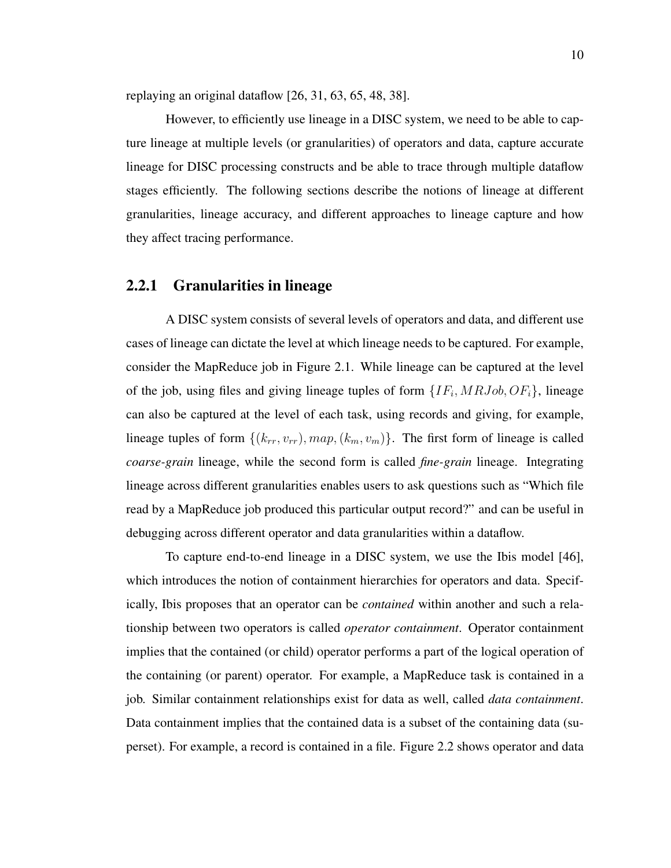replaying an original dataflow [26, 31, 63, 65, 48, 38].

However, to efficiently use lineage in a DISC system, we need to be able to capture lineage at multiple levels (or granularities) of operators and data, capture accurate lineage for DISC processing constructs and be able to trace through multiple dataflow stages efficiently. The following sections describe the notions of lineage at different granularities, lineage accuracy, and different approaches to lineage capture and how they affect tracing performance.

#### 2.2.1 Granularities in lineage

A DISC system consists of several levels of operators and data, and different use cases of lineage can dictate the level at which lineage needs to be captured. For example, consider the MapReduce job in Figure 2.1. While lineage can be captured at the level of the job, using files and giving lineage tuples of form  $\{IF_i, MRJob, OF_i\}$ , lineage can also be captured at the level of each task, using records and giving, for example, lineage tuples of form  $\{(k_{rr}, v_{rr}), map, (k_m, v_m)\}$ . The first form of lineage is called *coarse-grain* lineage, while the second form is called *fine-grain* lineage. Integrating lineage across different granularities enables users to ask questions such as "Which file read by a MapReduce job produced this particular output record?" and can be useful in debugging across different operator and data granularities within a dataflow.

To capture end-to-end lineage in a DISC system, we use the Ibis model [46], which introduces the notion of containment hierarchies for operators and data. Specifically, Ibis proposes that an operator can be *contained* within another and such a relationship between two operators is called *operator containment*. Operator containment implies that the contained (or child) operator performs a part of the logical operation of the containing (or parent) operator. For example, a MapReduce task is contained in a job. Similar containment relationships exist for data as well, called *data containment*. Data containment implies that the contained data is a subset of the containing data (superset). For example, a record is contained in a file. Figure 2.2 shows operator and data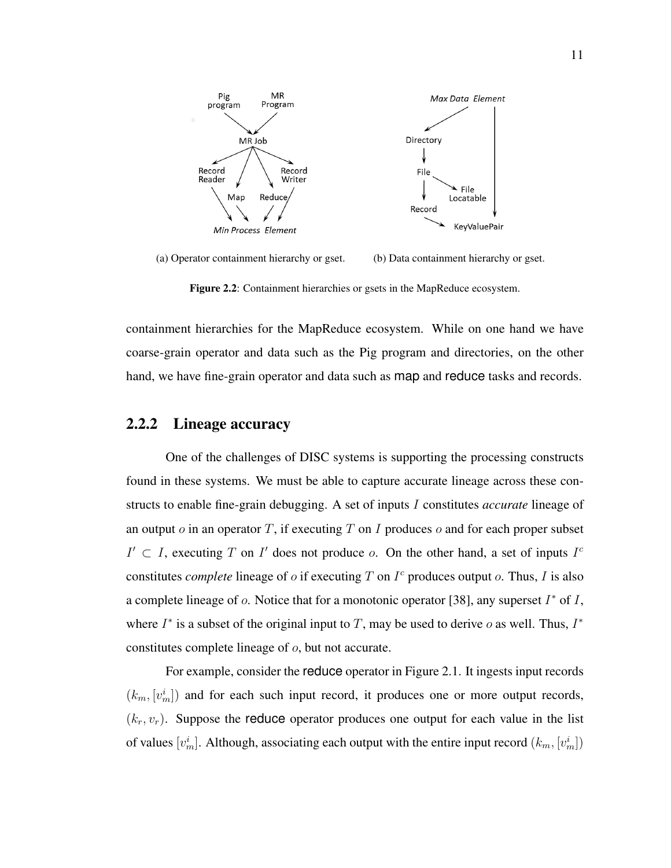

(a) Operator containment hierarchy or gset. (b) Data containment hierarchy or gset.

Figure 2.2: Containment hierarchies or gsets in the MapReduce ecosystem.

containment hierarchies for the MapReduce ecosystem. While on one hand we have coarse-grain operator and data such as the Pig program and directories, on the other hand, we have fine-grain operator and data such as map and reduce tasks and records.

### 2.2.2 Lineage accuracy

One of the challenges of DISC systems is supporting the processing constructs found in these systems. We must be able to capture accurate lineage across these constructs to enable fine-grain debugging. A set of inputs I constitutes *accurate* lineage of an output  $o$  in an operator T, if executing T on I produces  $o$  and for each proper subset  $I' \subset I$ , executing T on I' does not produce o. On the other hand, a set of inputs  $I^c$ constitutes *complete* lineage of  $o$  if executing  $T$  on  $I^c$  produces output  $o$ . Thus,  $I$  is also a complete lineage of  $o$ . Notice that for a monotonic operator [38], any superset  $I^*$  of  $I$ , where  $I^*$  is a subset of the original input to T, may be used to derive o as well. Thus,  $I^*$ constitutes complete lineage of o, but not accurate.

For example, consider the reduce operator in Figure 2.1. It ingests input records  $(k_m, [v_m^i])$  and for each such input record, it produces one or more output records,  $(k_r, v_r)$ . Suppose the reduce operator produces one output for each value in the list of values  $[v_m^i]$ . Although, associating each output with the entire input record  $(k_m, [v_m^i])$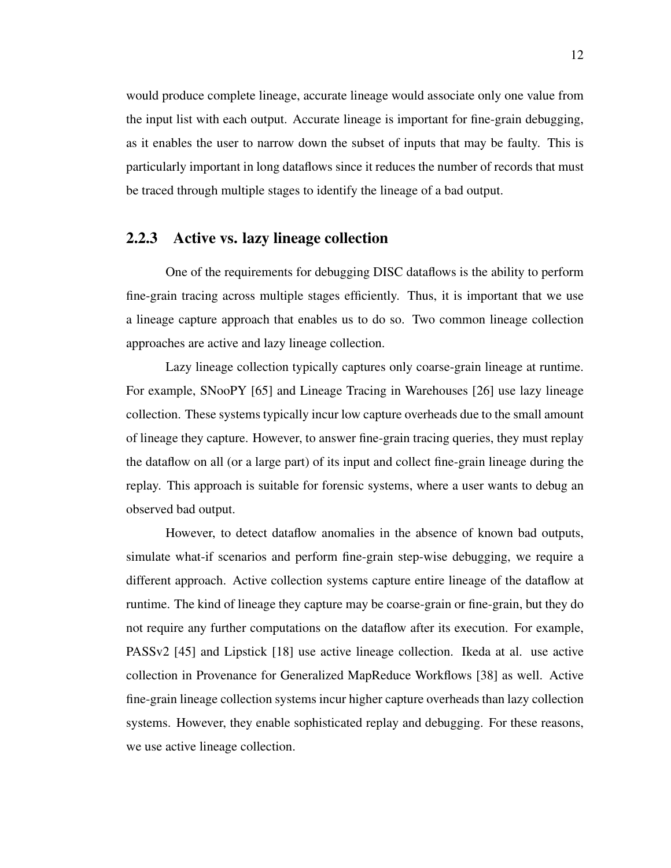would produce complete lineage, accurate lineage would associate only one value from the input list with each output. Accurate lineage is important for fine-grain debugging, as it enables the user to narrow down the subset of inputs that may be faulty. This is particularly important in long dataflows since it reduces the number of records that must be traced through multiple stages to identify the lineage of a bad output.

### 2.2.3 Active vs. lazy lineage collection

One of the requirements for debugging DISC dataflows is the ability to perform fine-grain tracing across multiple stages efficiently. Thus, it is important that we use a lineage capture approach that enables us to do so. Two common lineage collection approaches are active and lazy lineage collection.

Lazy lineage collection typically captures only coarse-grain lineage at runtime. For example, SNooPY [65] and Lineage Tracing in Warehouses [26] use lazy lineage collection. These systems typically incur low capture overheads due to the small amount of lineage they capture. However, to answer fine-grain tracing queries, they must replay the dataflow on all (or a large part) of its input and collect fine-grain lineage during the replay. This approach is suitable for forensic systems, where a user wants to debug an observed bad output.

However, to detect dataflow anomalies in the absence of known bad outputs, simulate what-if scenarios and perform fine-grain step-wise debugging, we require a different approach. Active collection systems capture entire lineage of the dataflow at runtime. The kind of lineage they capture may be coarse-grain or fine-grain, but they do not require any further computations on the dataflow after its execution. For example, PASSv2 [45] and Lipstick [18] use active lineage collection. Ikeda at al. use active collection in Provenance for Generalized MapReduce Workflows [38] as well. Active fine-grain lineage collection systems incur higher capture overheads than lazy collection systems. However, they enable sophisticated replay and debugging. For these reasons, we use active lineage collection.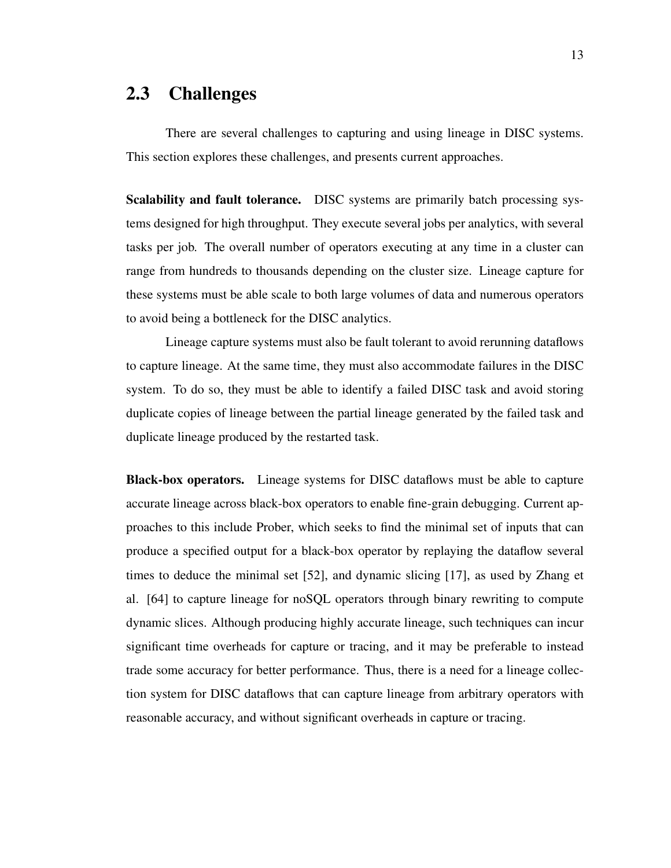## 2.3 Challenges

There are several challenges to capturing and using lineage in DISC systems. This section explores these challenges, and presents current approaches.

Scalability and fault tolerance. DISC systems are primarily batch processing systems designed for high throughput. They execute several jobs per analytics, with several tasks per job. The overall number of operators executing at any time in a cluster can range from hundreds to thousands depending on the cluster size. Lineage capture for these systems must be able scale to both large volumes of data and numerous operators to avoid being a bottleneck for the DISC analytics.

Lineage capture systems must also be fault tolerant to avoid rerunning dataflows to capture lineage. At the same time, they must also accommodate failures in the DISC system. To do so, they must be able to identify a failed DISC task and avoid storing duplicate copies of lineage between the partial lineage generated by the failed task and duplicate lineage produced by the restarted task.

Black-box operators. Lineage systems for DISC dataflows must be able to capture accurate lineage across black-box operators to enable fine-grain debugging. Current approaches to this include Prober, which seeks to find the minimal set of inputs that can produce a specified output for a black-box operator by replaying the dataflow several times to deduce the minimal set [52], and dynamic slicing [17], as used by Zhang et al. [64] to capture lineage for noSQL operators through binary rewriting to compute dynamic slices. Although producing highly accurate lineage, such techniques can incur significant time overheads for capture or tracing, and it may be preferable to instead trade some accuracy for better performance. Thus, there is a need for a lineage collection system for DISC dataflows that can capture lineage from arbitrary operators with reasonable accuracy, and without significant overheads in capture or tracing.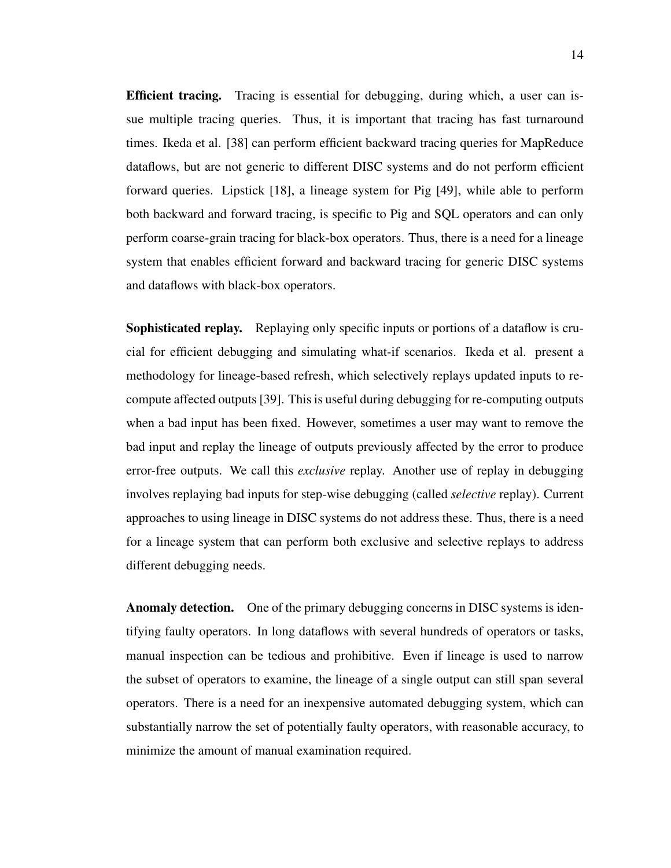Efficient tracing. Tracing is essential for debugging, during which, a user can issue multiple tracing queries. Thus, it is important that tracing has fast turnaround times. Ikeda et al. [38] can perform efficient backward tracing queries for MapReduce dataflows, but are not generic to different DISC systems and do not perform efficient forward queries. Lipstick [18], a lineage system for Pig [49], while able to perform both backward and forward tracing, is specific to Pig and SQL operators and can only perform coarse-grain tracing for black-box operators. Thus, there is a need for a lineage system that enables efficient forward and backward tracing for generic DISC systems and dataflows with black-box operators.

Sophisticated replay. Replaying only specific inputs or portions of a dataflow is crucial for efficient debugging and simulating what-if scenarios. Ikeda et al. present a methodology for lineage-based refresh, which selectively replays updated inputs to recompute affected outputs [39]. This is useful during debugging for re-computing outputs when a bad input has been fixed. However, sometimes a user may want to remove the bad input and replay the lineage of outputs previously affected by the error to produce error-free outputs. We call this *exclusive* replay. Another use of replay in debugging involves replaying bad inputs for step-wise debugging (called *selective* replay). Current approaches to using lineage in DISC systems do not address these. Thus, there is a need for a lineage system that can perform both exclusive and selective replays to address different debugging needs.

Anomaly detection. One of the primary debugging concerns in DISC systems is identifying faulty operators. In long dataflows with several hundreds of operators or tasks, manual inspection can be tedious and prohibitive. Even if lineage is used to narrow the subset of operators to examine, the lineage of a single output can still span several operators. There is a need for an inexpensive automated debugging system, which can substantially narrow the set of potentially faulty operators, with reasonable accuracy, to minimize the amount of manual examination required.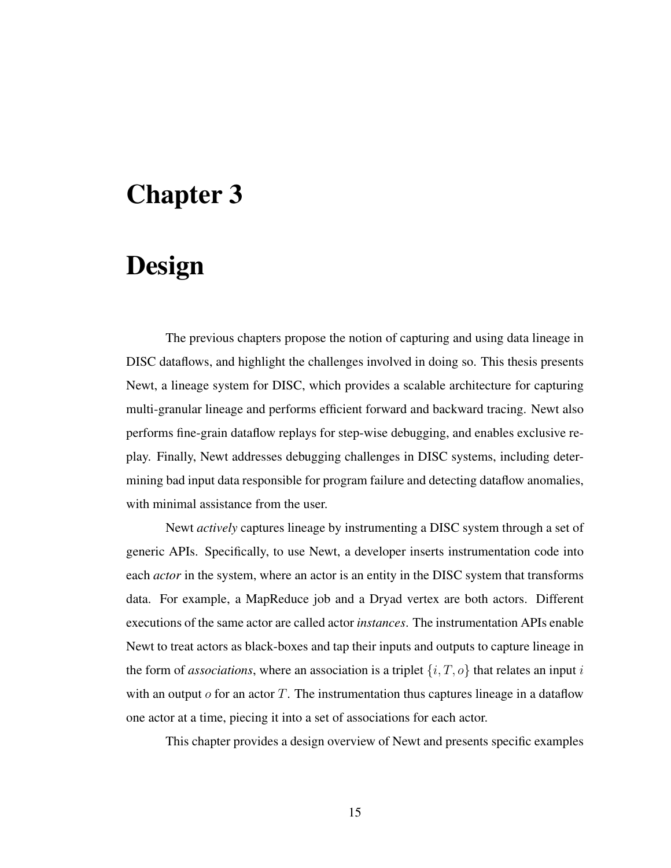# Chapter 3

# Design

The previous chapters propose the notion of capturing and using data lineage in DISC dataflows, and highlight the challenges involved in doing so. This thesis presents Newt, a lineage system for DISC, which provides a scalable architecture for capturing multi-granular lineage and performs efficient forward and backward tracing. Newt also performs fine-grain dataflow replays for step-wise debugging, and enables exclusive replay. Finally, Newt addresses debugging challenges in DISC systems, including determining bad input data responsible for program failure and detecting dataflow anomalies, with minimal assistance from the user.

Newt *actively* captures lineage by instrumenting a DISC system through a set of generic APIs. Specifically, to use Newt, a developer inserts instrumentation code into each *actor* in the system, where an actor is an entity in the DISC system that transforms data. For example, a MapReduce job and a Dryad vertex are both actors. Different executions of the same actor are called actor *instances*. The instrumentation APIs enable Newt to treat actors as black-boxes and tap their inputs and outputs to capture lineage in the form of *associations*, where an association is a triplet  $\{i, T, o\}$  that relates an input i with an output  $\sigma$  for an actor T. The instrumentation thus captures lineage in a dataflow one actor at a time, piecing it into a set of associations for each actor.

This chapter provides a design overview of Newt and presents specific examples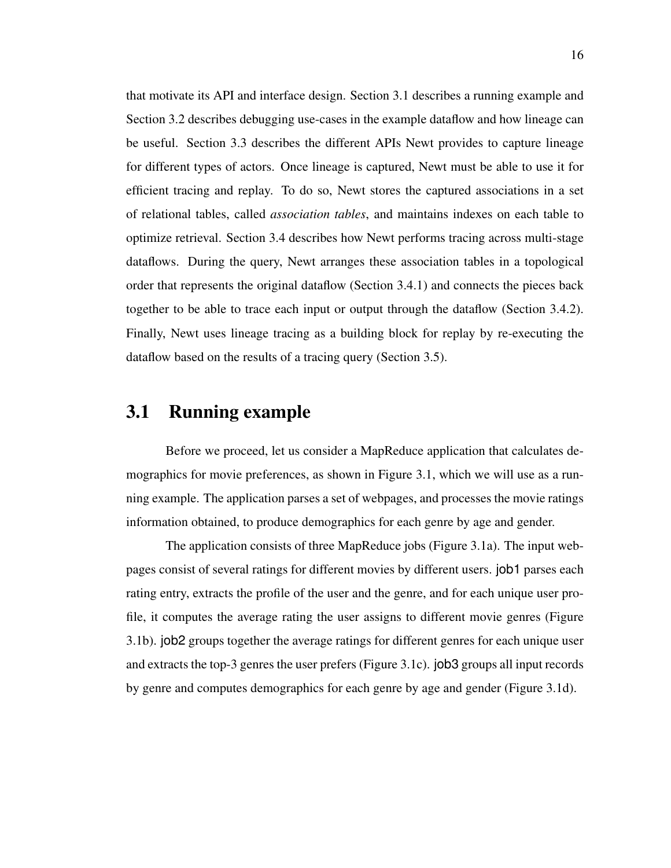that motivate its API and interface design. Section 3.1 describes a running example and Section 3.2 describes debugging use-cases in the example dataflow and how lineage can be useful. Section 3.3 describes the different APIs Newt provides to capture lineage for different types of actors. Once lineage is captured, Newt must be able to use it for efficient tracing and replay. To do so, Newt stores the captured associations in a set of relational tables, called *association tables*, and maintains indexes on each table to optimize retrieval. Section 3.4 describes how Newt performs tracing across multi-stage dataflows. During the query, Newt arranges these association tables in a topological order that represents the original dataflow (Section 3.4.1) and connects the pieces back together to be able to trace each input or output through the dataflow (Section 3.4.2). Finally, Newt uses lineage tracing as a building block for replay by re-executing the dataflow based on the results of a tracing query (Section 3.5).

## 3.1 Running example

Before we proceed, let us consider a MapReduce application that calculates demographics for movie preferences, as shown in Figure 3.1, which we will use as a running example. The application parses a set of webpages, and processes the movie ratings information obtained, to produce demographics for each genre by age and gender.

The application consists of three MapReduce jobs (Figure 3.1a). The input webpages consist of several ratings for different movies by different users. job1 parses each rating entry, extracts the profile of the user and the genre, and for each unique user profile, it computes the average rating the user assigns to different movie genres (Figure 3.1b). job2 groups together the average ratings for different genres for each unique user and extracts the top-3 genres the user prefers (Figure 3.1c). job3 groups all input records by genre and computes demographics for each genre by age and gender (Figure 3.1d).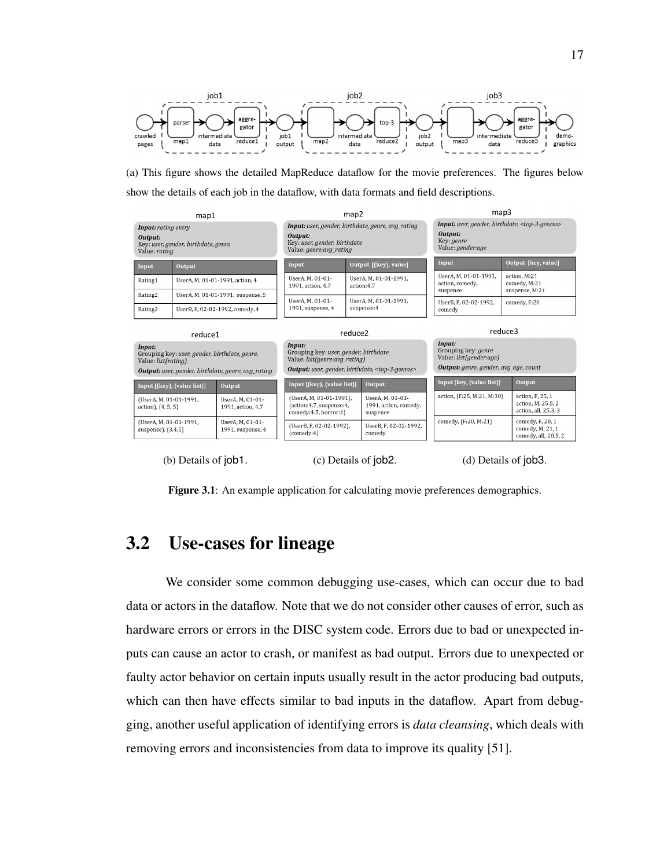

(a) This figure shows the detailed MapReduce dataflow for the movie preferences. The figures below show the details of each job in the dataflow, with data formats and field descriptions.



(b) Details of job1. (c) Details of job2. (d) Details of job3.

Figure 3.1: An example application for calculating movie preferences demographics.

## 3.2 Use-cases for lineage

We consider some common debugging use-cases, which can occur due to bad data or actors in the dataflow. Note that we do not consider other causes of error, such as hardware errors or errors in the DISC system code. Errors due to bad or unexpected inputs can cause an actor to crash, or manifest as bad output. Errors due to unexpected or faulty actor behavior on certain inputs usually result in the actor producing bad outputs, which can then have effects similar to bad inputs in the dataflow. Apart from debugging, another useful application of identifying errors is *data cleansing*, which deals with removing errors and inconsistencies from data to improve its quality [51].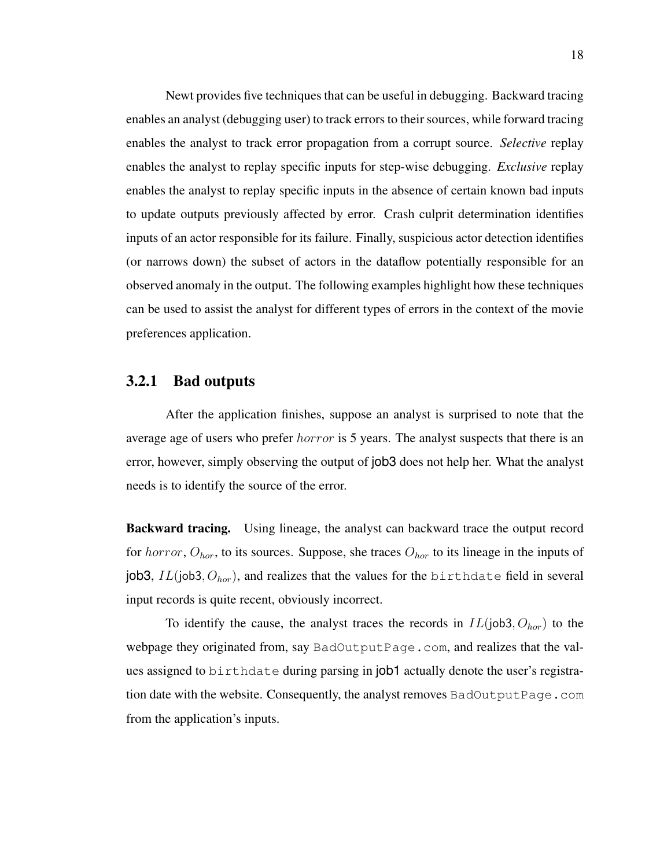Newt provides five techniques that can be useful in debugging. Backward tracing enables an analyst (debugging user) to track errors to their sources, while forward tracing enables the analyst to track error propagation from a corrupt source. *Selective* replay enables the analyst to replay specific inputs for step-wise debugging. *Exclusive* replay enables the analyst to replay specific inputs in the absence of certain known bad inputs to update outputs previously affected by error. Crash culprit determination identifies inputs of an actor responsible for its failure. Finally, suspicious actor detection identifies (or narrows down) the subset of actors in the dataflow potentially responsible for an observed anomaly in the output. The following examples highlight how these techniques can be used to assist the analyst for different types of errors in the context of the movie preferences application.

#### 3.2.1 Bad outputs

After the application finishes, suppose an analyst is surprised to note that the average age of users who prefer *horror* is 5 years. The analyst suspects that there is an error, however, simply observing the output of job3 does not help her. What the analyst needs is to identify the source of the error.

Backward tracing. Using lineage, the analyst can backward trace the output record for horror,  $O_{hor}$ , to its sources. Suppose, she traces  $O_{hor}$  to its lineage in the inputs of job3,  $IL(job3, O_{hor})$ , and realizes that the values for the birthdate field in several input records is quite recent, obviously incorrect.

To identify the cause, the analyst traces the records in  $IL(job3, O<sub>hor</sub>)$  to the webpage they originated from, say BadOutputPage.com, and realizes that the values assigned to birthdate during parsing in job1 actually denote the user's registration date with the website. Consequently, the analyst removes BadOutputPage.com from the application's inputs.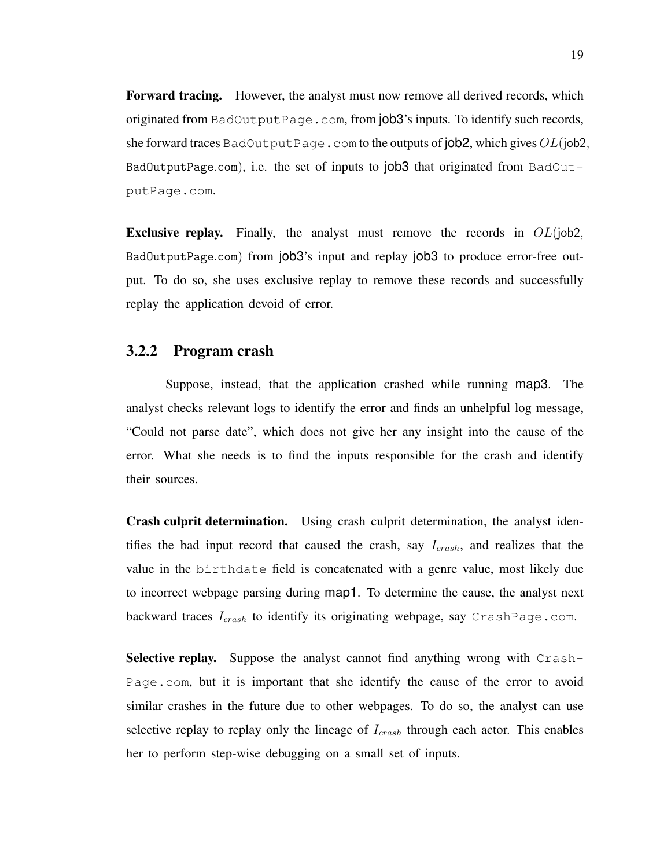Forward tracing. However, the analyst must now remove all derived records, which originated from BadOutputPage.com, from  $\vert$ ob3's inputs. To identify such records, she forward traces BadOutputPage.com to the outputs of job2, which gives  $OL(job2,$ BadOutputPage.com), i.e. the set of inputs to  $|0b3|$  that originated from BadOutputPage.com.

**Exclusive replay.** Finally, the analyst must remove the records in  $OL(iob2, ...)$ BadOutputPage.com) from job3's input and replay job3 to produce error-free output. To do so, she uses exclusive replay to remove these records and successfully replay the application devoid of error.

#### 3.2.2 Program crash

Suppose, instead, that the application crashed while running map3. The analyst checks relevant logs to identify the error and finds an unhelpful log message, "Could not parse date", which does not give her any insight into the cause of the error. What she needs is to find the inputs responsible for the crash and identify their sources.

Crash culprit determination. Using crash culprit determination, the analyst identifies the bad input record that caused the crash, say  $I_{crash}$ , and realizes that the value in the birthdate field is concatenated with a genre value, most likely due to incorrect webpage parsing during map1. To determine the cause, the analyst next backward traces  $I_{crash}$  to identify its originating webpage, say CrashPage.com.

Selective replay. Suppose the analyst cannot find anything wrong with Crash-Page.com, but it is important that she identify the cause of the error to avoid similar crashes in the future due to other webpages. To do so, the analyst can use selective replay to replay only the lineage of  $I_{crash}$  through each actor. This enables her to perform step-wise debugging on a small set of inputs.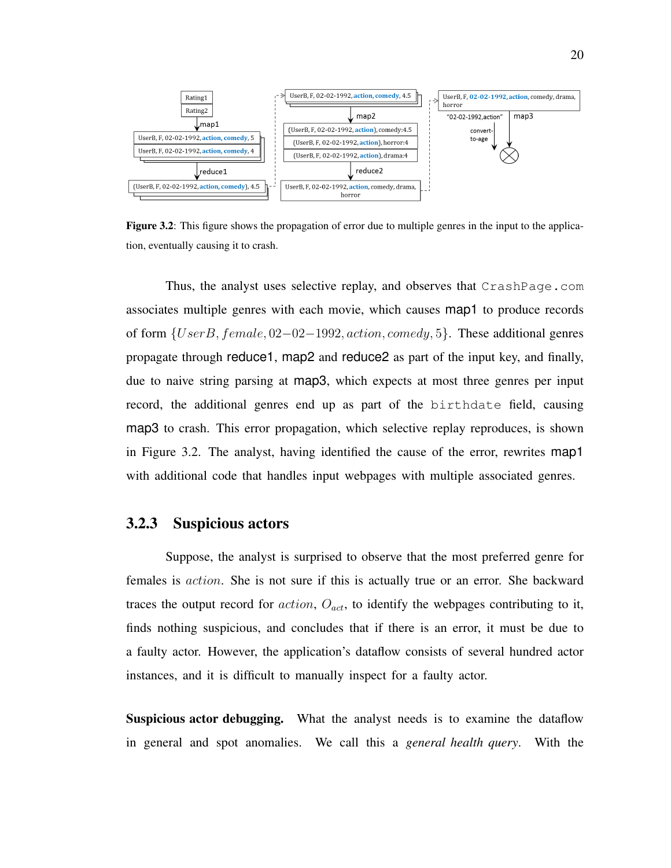

Figure 3.2: This figure shows the propagation of error due to multiple genres in the input to the application, eventually causing it to crash.

Thus, the analyst uses selective replay, and observes that CrashPage.com associates multiple genres with each movie, which causes map1 to produce records of form {UserB, female, 02−02−1992, action, comedy, 5}. These additional genres propagate through reduce1, map2 and reduce2 as part of the input key, and finally, due to naive string parsing at map3, which expects at most three genres per input record, the additional genres end up as part of the birthdate field, causing map3 to crash. This error propagation, which selective replay reproduces, is shown in Figure 3.2. The analyst, having identified the cause of the error, rewrites map1 with additional code that handles input webpages with multiple associated genres.

#### 3.2.3 Suspicious actors

Suppose, the analyst is surprised to observe that the most preferred genre for females is action. She is not sure if this is actually true or an error. She backward traces the output record for  $action$ ,  $O_{act}$ , to identify the webpages contributing to it, finds nothing suspicious, and concludes that if there is an error, it must be due to a faulty actor. However, the application's dataflow consists of several hundred actor instances, and it is difficult to manually inspect for a faulty actor.

Suspicious actor debugging. What the analyst needs is to examine the dataflow in general and spot anomalies. We call this a *general health query*. With the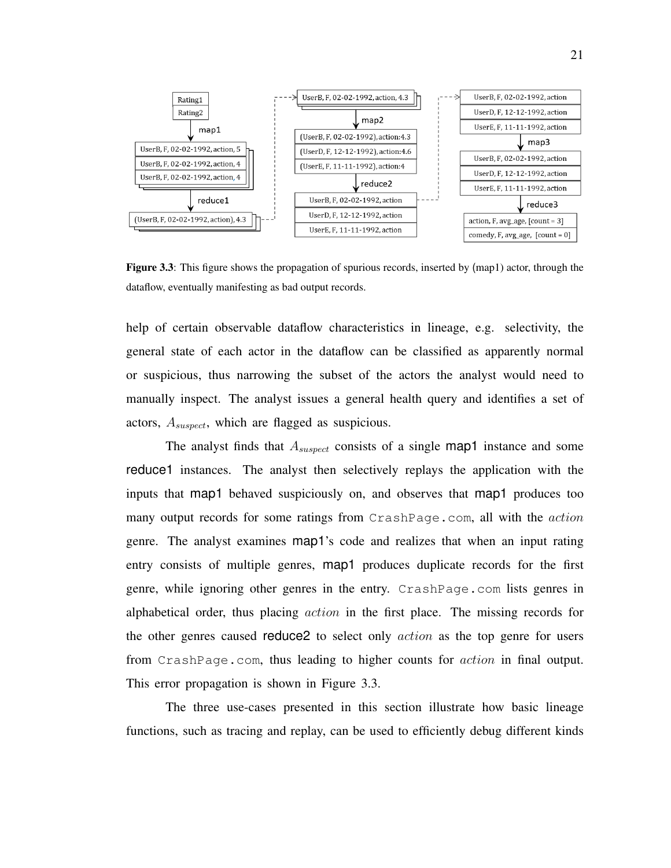

Figure 3.3: This figure shows the propagation of spurious records, inserted by (map1) actor, through the dataflow, eventually manifesting as bad output records.

help of certain observable dataflow characteristics in lineage, e.g. selectivity, the general state of each actor in the dataflow can be classified as apparently normal or suspicious, thus narrowing the subset of the actors the analyst would need to manually inspect. The analyst issues a general health query and identifies a set of actors,  $A_{suspect}$ , which are flagged as suspicious.

The analyst finds that  $A_{suspect}$  consists of a single map1 instance and some reduce1 instances. The analyst then selectively replays the application with the inputs that map1 behaved suspiciously on, and observes that map1 produces too many output records for some ratings from CrashPage.com, all with the *action* genre. The analyst examines map1's code and realizes that when an input rating entry consists of multiple genres, map1 produces duplicate records for the first genre, while ignoring other genres in the entry. CrashPage.com lists genres in alphabetical order, thus placing action in the first place. The missing records for the other genres caused reduce2 to select only action as the top genre for users from CrashPage.com, thus leading to higher counts for action in final output. This error propagation is shown in Figure 3.3.

The three use-cases presented in this section illustrate how basic lineage functions, such as tracing and replay, can be used to efficiently debug different kinds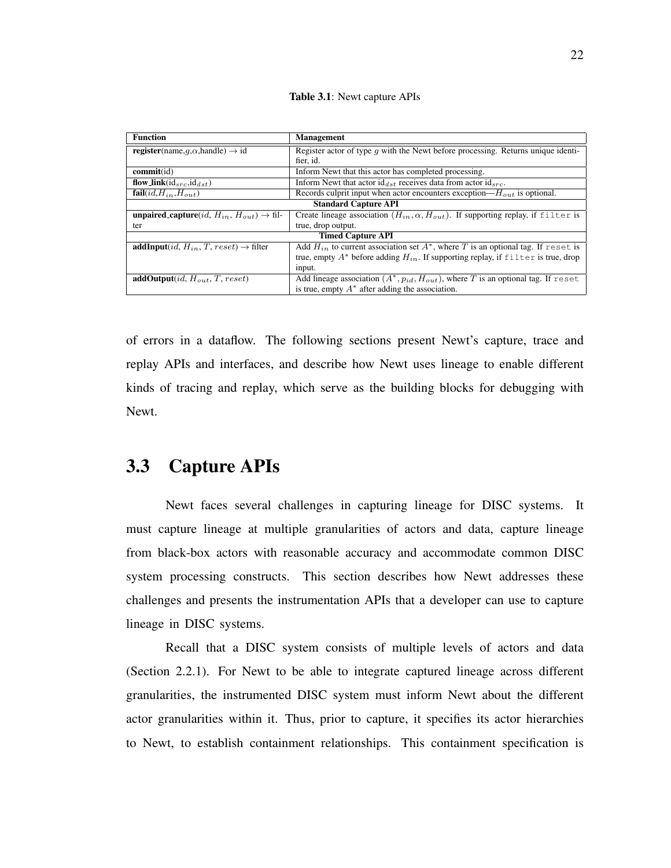Table 3.1: Newt capture APIs

| <b>Function</b>                                                                 | <b>Management</b>                                                                           |  |  |
|---------------------------------------------------------------------------------|---------------------------------------------------------------------------------------------|--|--|
| <b>register</b> (name, $q$ , $\alpha$ , handle) $\rightarrow$ id                | Register actor of type q with the Newt before processing. Returns unique identi-            |  |  |
|                                                                                 | fier, id.                                                                                   |  |  |
| commit(id)                                                                      | Inform Newt that this actor has completed processing.                                       |  |  |
| flow_link( $id_{src}$ , $id_{dst}$ )                                            | Inform Newt that actor $id_{dst}$ receives data from actor $id_{src}$ .                     |  |  |
| fail $(id, H_{in}, H_{out})$                                                    | Records culprit input when actor encounters exception— $H_{out}$ is optional.               |  |  |
| <b>Standard Capture API</b>                                                     |                                                                                             |  |  |
| <b>unpaired_capture</b> ( <i>id</i> , $H_{in}$ , $H_{out}$ ) $\rightarrow$ fil- | Create lineage association $(H_{in}, \alpha, H_{out})$ . If supporting replay, if filter is |  |  |
| ter                                                                             | true, drop output.                                                                          |  |  |
| <b>Timed Capture API</b>                                                        |                                                                                             |  |  |
| <b>addInput</b> ( <i>id, H<sub>in</sub>, T, reset</i> ) $\rightarrow$ filter    | Add $H_{in}$ to current association set $A^*$ , where T is an optional tag. If reset is     |  |  |
|                                                                                 | true, empty $A^*$ before adding $H_{in}$ . If supporting replay, if filter is true, drop    |  |  |
|                                                                                 | input.                                                                                      |  |  |
| $\overline{\text{addOutput}}(id, H_{out}, T, reset)$                            | Add lineage association $(A^*, p_{id}, H_{out})$ , where T is an optional tag. If reset     |  |  |
|                                                                                 | is true, empty $A^*$ after adding the association.                                          |  |  |

of errors in a dataflow. The following sections present Newt's capture, trace and replay APIs and interfaces, and describe how Newt uses lineage to enable different kinds of tracing and replay, which serve as the building blocks for debugging with Newt.

## 3.3 Capture APIs

Newt faces several challenges in capturing lineage for DISC systems. It must capture lineage at multiple granularities of actors and data, capture lineage from black-box actors with reasonable accuracy and accommodate common DISC system processing constructs. This section describes how Newt addresses these challenges and presents the instrumentation APIs that a developer can use to capture lineage in DISC systems.

Recall that a DISC system consists of multiple levels of actors and data (Section 2.2.1). For Newt to be able to integrate captured lineage across different granularities, the instrumented DISC system must inform Newt about the different actor granularities within it. Thus, prior to capture, it specifies its actor hierarchies to Newt, to establish containment relationships. This containment specification is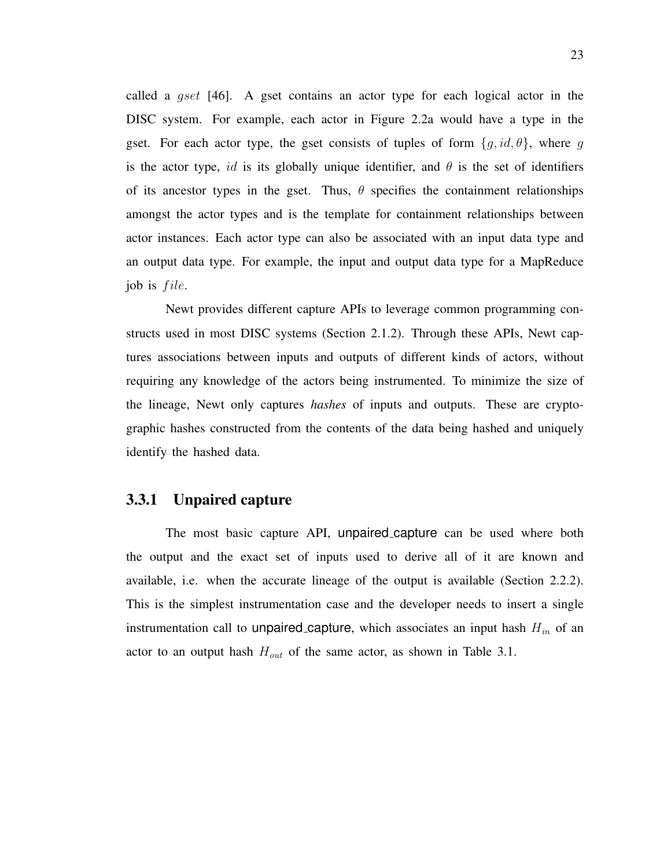called a gset [46]. A gset contains an actor type for each logical actor in the DISC system. For example, each actor in Figure 2.2a would have a type in the gset. For each actor type, the gset consists of tuples of form  $\{g, id, \theta\}$ , where g is the actor type, id is its globally unique identifier, and  $\theta$  is the set of identifiers of its ancestor types in the gset. Thus,  $\theta$  specifies the containment relationships amongst the actor types and is the template for containment relationships between actor instances. Each actor type can also be associated with an input data type and an output data type. For example, the input and output data type for a MapReduce job is *file*.

Newt provides different capture APIs to leverage common programming constructs used in most DISC systems (Section 2.1.2). Through these APIs, Newt captures associations between inputs and outputs of different kinds of actors, without requiring any knowledge of the actors being instrumented. To minimize the size of the lineage, Newt only captures *hashes* of inputs and outputs. These are cryptographic hashes constructed from the contents of the data being hashed and uniquely identify the hashed data.

### 3.3.1 Unpaired capture

The most basic capture API, unpaired capture can be used where both the output and the exact set of inputs used to derive all of it are known and available, i.e. when the accurate lineage of the output is available (Section 2.2.2). This is the simplest instrumentation case and the developer needs to insert a single instrumentation call to unpaired capture, which associates an input hash  $H_{in}$  of an actor to an output hash  $H_{out}$  of the same actor, as shown in Table 3.1.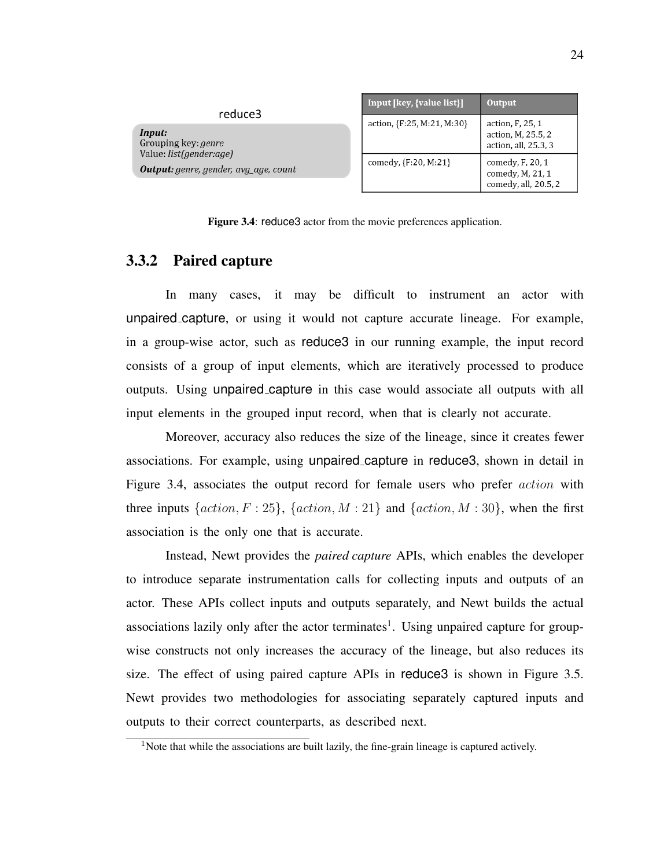| reduce3                                                                        | Input [key, {value list}]  | Output                                                         |
|--------------------------------------------------------------------------------|----------------------------|----------------------------------------------------------------|
| Input:<br>Grouping key: <i>genre</i>                                           | action, {F:25, M:21, M:30} | action, F, 25, 1<br>action, M, 25.5, 2<br>action, all, 25.3, 3 |
| Value: <i>list(gender:age)</i><br><b>Output:</b> genre, gender, avg_age, count | comedy, {F:20, M:21}       | comedy, F, 20, 1<br>comedy, M, 21, 1<br>comedy, all, 20.5, 2   |

Figure 3.4: reduce3 actor from the movie preferences application.

#### 3.3.2 Paired capture

In many cases, it may be difficult to instrument an actor with unpaired capture, or using it would not capture accurate lineage. For example, in a group-wise actor, such as reduce3 in our running example, the input record consists of a group of input elements, which are iteratively processed to produce outputs. Using unpaired capture in this case would associate all outputs with all input elements in the grouped input record, when that is clearly not accurate.

Moreover, accuracy also reduces the size of the lineage, since it creates fewer associations. For example, using unpaired capture in reduce3, shown in detail in Figure 3.4, associates the output record for female users who prefer action with three inputs  $\{action, F : 25\}$ ,  $\{action, M : 21\}$  and  $\{action, M : 30\}$ , when the first association is the only one that is accurate.

Instead, Newt provides the *paired capture* APIs, which enables the developer to introduce separate instrumentation calls for collecting inputs and outputs of an actor. These APIs collect inputs and outputs separately, and Newt builds the actual associations lazily only after the actor terminates<sup>1</sup>. Using unpaired capture for groupwise constructs not only increases the accuracy of the lineage, but also reduces its size. The effect of using paired capture APIs in reduce3 is shown in Figure 3.5. Newt provides two methodologies for associating separately captured inputs and outputs to their correct counterparts, as described next.

<sup>&</sup>lt;sup>1</sup>Note that while the associations are built lazily, the fine-grain lineage is captured actively.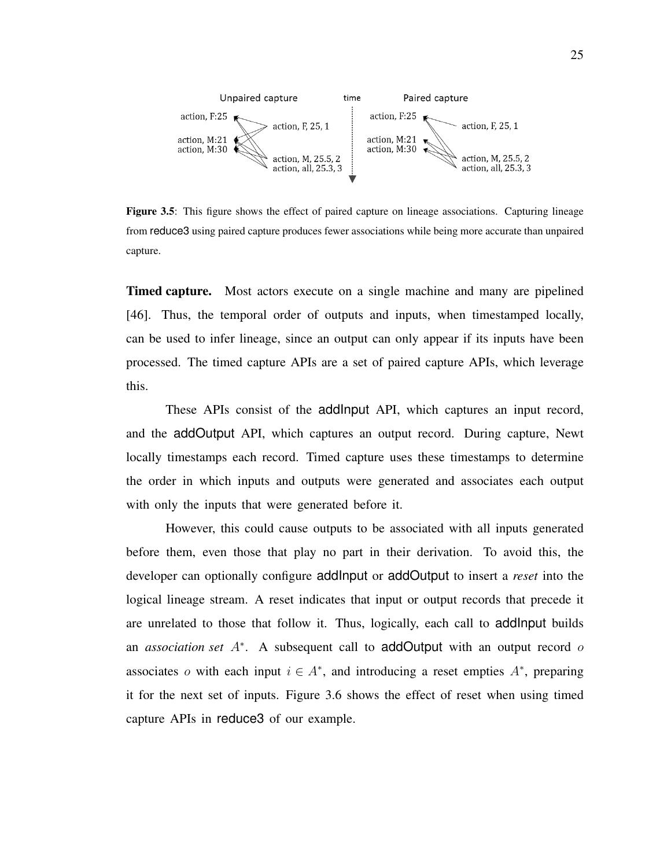

Figure 3.5: This figure shows the effect of paired capture on lineage associations. Capturing lineage from reduce3 using paired capture produces fewer associations while being more accurate than unpaired capture.

Timed capture. Most actors execute on a single machine and many are pipelined [46]. Thus, the temporal order of outputs and inputs, when timestamped locally, can be used to infer lineage, since an output can only appear if its inputs have been processed. The timed capture APIs are a set of paired capture APIs, which leverage this.

These APIs consist of the addInput API, which captures an input record, and the addOutput API, which captures an output record. During capture, Newt locally timestamps each record. Timed capture uses these timestamps to determine the order in which inputs and outputs were generated and associates each output with only the inputs that were generated before it.

However, this could cause outputs to be associated with all inputs generated before them, even those that play no part in their derivation. To avoid this, the developer can optionally configure addInput or addOutput to insert a *reset* into the logical lineage stream. A reset indicates that input or output records that precede it are unrelated to those that follow it. Thus, logically, each call to addInput builds an *association set* A<sup>∗</sup> . A subsequent call to addOutput with an output record o associates o with each input  $i \in A^*$ , and introducing a reset empties  $A^*$ , preparing it for the next set of inputs. Figure 3.6 shows the effect of reset when using timed capture APIs in reduce3 of our example.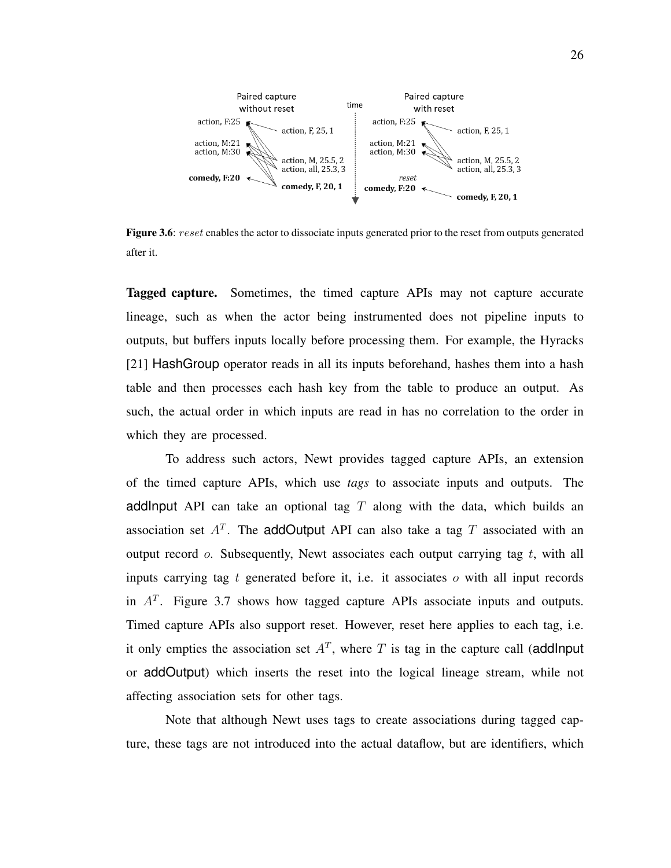

Figure 3.6: reset enables the actor to dissociate inputs generated prior to the reset from outputs generated after it.

Tagged capture. Sometimes, the timed capture APIs may not capture accurate lineage, such as when the actor being instrumented does not pipeline inputs to outputs, but buffers inputs locally before processing them. For example, the Hyracks [21] HashGroup operator reads in all its inputs beforehand, hashes them into a hash table and then processes each hash key from the table to produce an output. As such, the actual order in which inputs are read in has no correlation to the order in which they are processed.

To address such actors, Newt provides tagged capture APIs, an extension of the timed capture APIs, which use *tags* to associate inputs and outputs. The addlnput API can take an optional tag  $T$  along with the data, which builds an association set  $A<sup>T</sup>$ . The addOutput API can also take a tag T associated with an output record  $o$ . Subsequently, Newt associates each output carrying tag  $t$ , with all inputs carrying tag  $t$  generated before it, i.e. it associates  $o$  with all input records in  $A<sup>T</sup>$ . Figure 3.7 shows how tagged capture APIs associate inputs and outputs. Timed capture APIs also support reset. However, reset here applies to each tag, i.e. it only empties the association set  $A<sup>T</sup>$ , where T is tag in the capture call (addlnput or addOutput) which inserts the reset into the logical lineage stream, while not affecting association sets for other tags.

Note that although Newt uses tags to create associations during tagged capture, these tags are not introduced into the actual dataflow, but are identifiers, which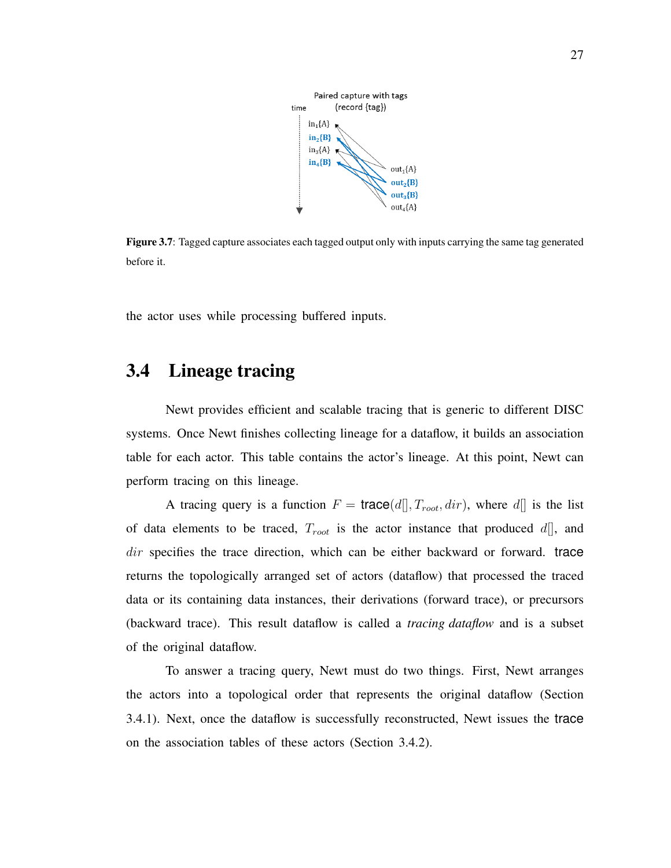

Figure 3.7: Tagged capture associates each tagged output only with inputs carrying the same tag generated before it.

the actor uses while processing buffered inputs.

### 3.4 Lineage tracing

Newt provides efficient and scalable tracing that is generic to different DISC systems. Once Newt finishes collecting lineage for a dataflow, it builds an association table for each actor. This table contains the actor's lineage. At this point, Newt can perform tracing on this lineage.

A tracing query is a function  $F = \text{trace}(d[], T_{root}, dir)$ , where  $d[]$  is the list of data elements to be traced,  $T_{root}$  is the actor instance that produced  $d[]$ , and dir specifies the trace direction, which can be either backward or forward. trace returns the topologically arranged set of actors (dataflow) that processed the traced data or its containing data instances, their derivations (forward trace), or precursors (backward trace). This result dataflow is called a *tracing dataflow* and is a subset of the original dataflow.

To answer a tracing query, Newt must do two things. First, Newt arranges the actors into a topological order that represents the original dataflow (Section 3.4.1). Next, once the dataflow is successfully reconstructed, Newt issues the trace on the association tables of these actors (Section 3.4.2).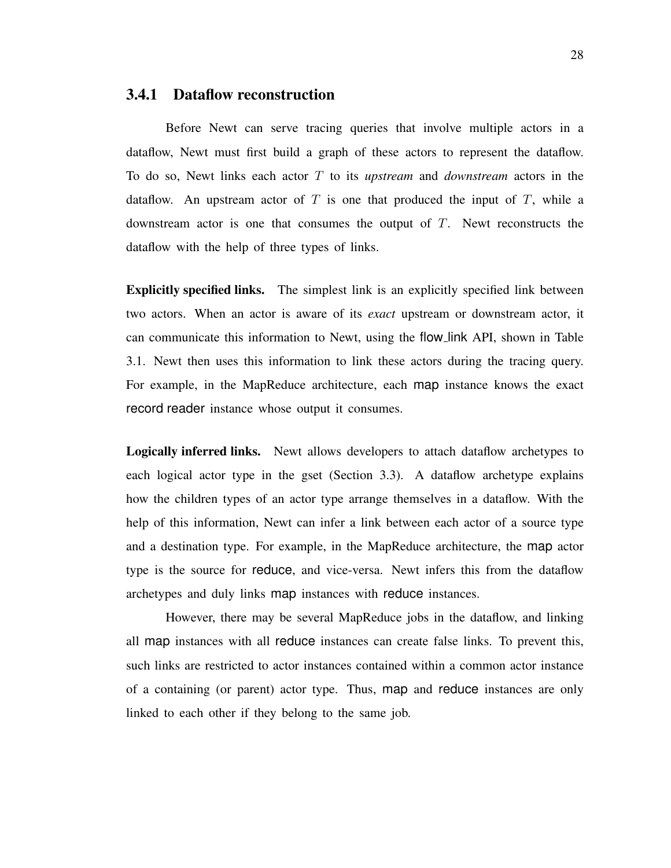#### 3.4.1 Dataflow reconstruction

Before Newt can serve tracing queries that involve multiple actors in a dataflow, Newt must first build a graph of these actors to represent the dataflow. To do so, Newt links each actor T to its *upstream* and *downstream* actors in the dataflow. An upstream actor of  $T$  is one that produced the input of  $T$ , while a downstream actor is one that consumes the output of  $T$ . Newt reconstructs the dataflow with the help of three types of links.

Explicitly specified links. The simplest link is an explicitly specified link between two actors. When an actor is aware of its *exact* upstream or downstream actor, it can communicate this information to Newt, using the flow link API, shown in Table 3.1. Newt then uses this information to link these actors during the tracing query. For example, in the MapReduce architecture, each map instance knows the exact record reader instance whose output it consumes.

Logically inferred links. Newt allows developers to attach dataflow archetypes to each logical actor type in the gset (Section 3.3). A dataflow archetype explains how the children types of an actor type arrange themselves in a dataflow. With the help of this information, Newt can infer a link between each actor of a source type and a destination type. For example, in the MapReduce architecture, the map actor type is the source for reduce, and vice-versa. Newt infers this from the dataflow archetypes and duly links map instances with reduce instances.

However, there may be several MapReduce jobs in the dataflow, and linking all map instances with all reduce instances can create false links. To prevent this, such links are restricted to actor instances contained within a common actor instance of a containing (or parent) actor type. Thus, map and reduce instances are only linked to each other if they belong to the same job.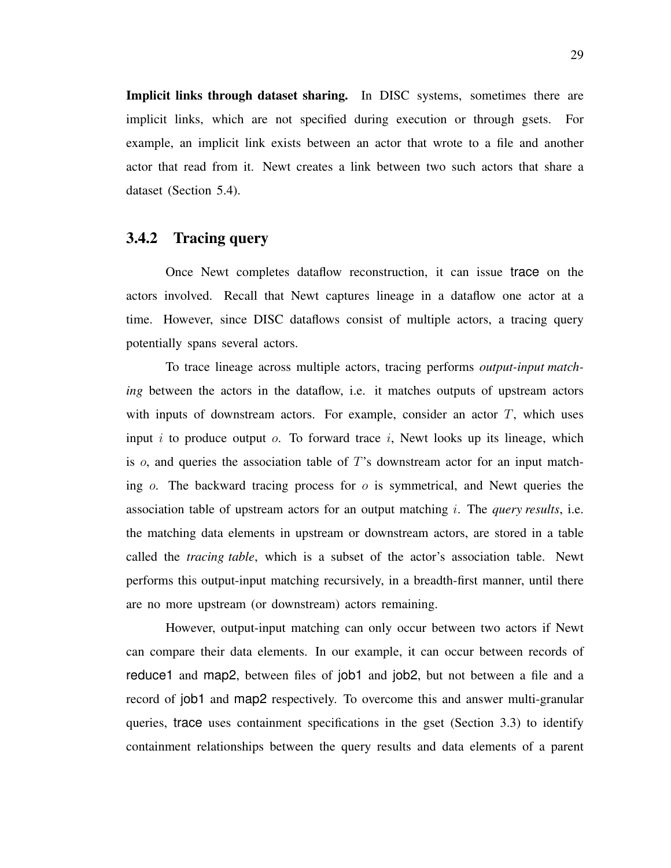Implicit links through dataset sharing. In DISC systems, sometimes there are implicit links, which are not specified during execution or through gsets. For example, an implicit link exists between an actor that wrote to a file and another actor that read from it. Newt creates a link between two such actors that share a dataset (Section 5.4).

### 3.4.2 Tracing query

Once Newt completes dataflow reconstruction, it can issue trace on the actors involved. Recall that Newt captures lineage in a dataflow one actor at a time. However, since DISC dataflows consist of multiple actors, a tracing query potentially spans several actors.

To trace lineage across multiple actors, tracing performs *output-input matching* between the actors in the dataflow, i.e. it matches outputs of upstream actors with inputs of downstream actors. For example, consider an actor  $T$ , which uses input i to produce output  $o$ . To forward trace i, Newt looks up its lineage, which is  $o$ , and queries the association table of  $T$ 's downstream actor for an input matching  $\sigma$ . The backward tracing process for  $\sigma$  is symmetrical, and Newt queries the association table of upstream actors for an output matching i. The *query results*, i.e. the matching data elements in upstream or downstream actors, are stored in a table called the *tracing table*, which is a subset of the actor's association table. Newt performs this output-input matching recursively, in a breadth-first manner, until there are no more upstream (or downstream) actors remaining.

However, output-input matching can only occur between two actors if Newt can compare their data elements. In our example, it can occur between records of reduce1 and map2, between files of job1 and job2, but not between a file and a record of job1 and map2 respectively. To overcome this and answer multi-granular queries, trace uses containment specifications in the gset (Section 3.3) to identify containment relationships between the query results and data elements of a parent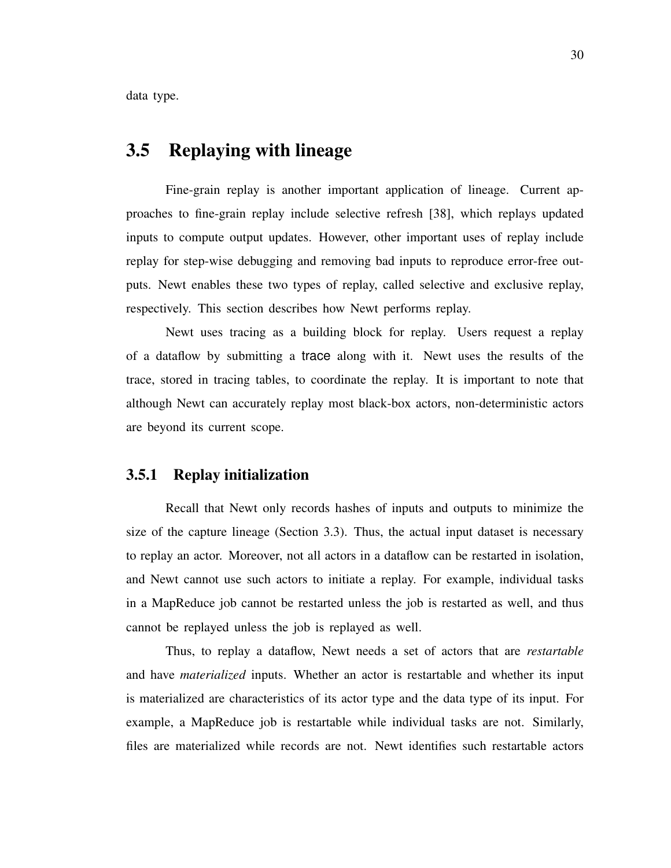data type.

### 3.5 Replaying with lineage

Fine-grain replay is another important application of lineage. Current approaches to fine-grain replay include selective refresh [38], which replays updated inputs to compute output updates. However, other important uses of replay include replay for step-wise debugging and removing bad inputs to reproduce error-free outputs. Newt enables these two types of replay, called selective and exclusive replay, respectively. This section describes how Newt performs replay.

Newt uses tracing as a building block for replay. Users request a replay of a dataflow by submitting a trace along with it. Newt uses the results of the trace, stored in tracing tables, to coordinate the replay. It is important to note that although Newt can accurately replay most black-box actors, non-deterministic actors are beyond its current scope.

### 3.5.1 Replay initialization

Recall that Newt only records hashes of inputs and outputs to minimize the size of the capture lineage (Section 3.3). Thus, the actual input dataset is necessary to replay an actor. Moreover, not all actors in a dataflow can be restarted in isolation, and Newt cannot use such actors to initiate a replay. For example, individual tasks in a MapReduce job cannot be restarted unless the job is restarted as well, and thus cannot be replayed unless the job is replayed as well.

Thus, to replay a dataflow, Newt needs a set of actors that are *restartable* and have *materialized* inputs. Whether an actor is restartable and whether its input is materialized are characteristics of its actor type and the data type of its input. For example, a MapReduce job is restartable while individual tasks are not. Similarly, files are materialized while records are not. Newt identifies such restartable actors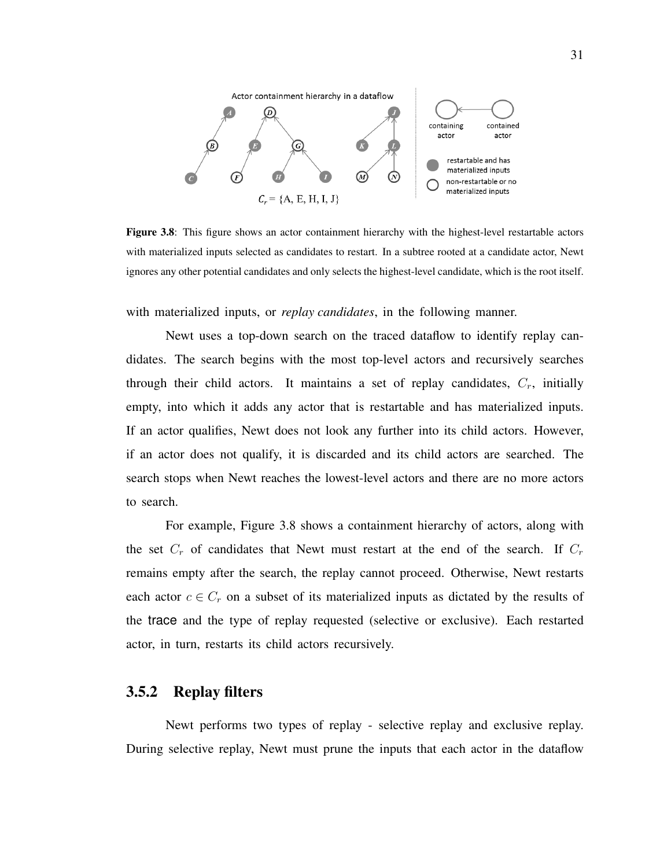

Figure 3.8: This figure shows an actor containment hierarchy with the highest-level restartable actors with materialized inputs selected as candidates to restart. In a subtree rooted at a candidate actor, Newt ignores any other potential candidates and only selects the highest-level candidate, which is the root itself.

with materialized inputs, or *replay candidates*, in the following manner.

Newt uses a top-down search on the traced dataflow to identify replay candidates. The search begins with the most top-level actors and recursively searches through their child actors. It maintains a set of replay candidates,  $C_r$ , initially empty, into which it adds any actor that is restartable and has materialized inputs. If an actor qualifies, Newt does not look any further into its child actors. However, if an actor does not qualify, it is discarded and its child actors are searched. The search stops when Newt reaches the lowest-level actors and there are no more actors to search.

For example, Figure 3.8 shows a containment hierarchy of actors, along with the set  $C_r$  of candidates that Newt must restart at the end of the search. If  $C_r$ remains empty after the search, the replay cannot proceed. Otherwise, Newt restarts each actor  $c \in C_r$  on a subset of its materialized inputs as dictated by the results of the trace and the type of replay requested (selective or exclusive). Each restarted actor, in turn, restarts its child actors recursively.

#### 3.5.2 Replay filters

Newt performs two types of replay - selective replay and exclusive replay. During selective replay, Newt must prune the inputs that each actor in the dataflow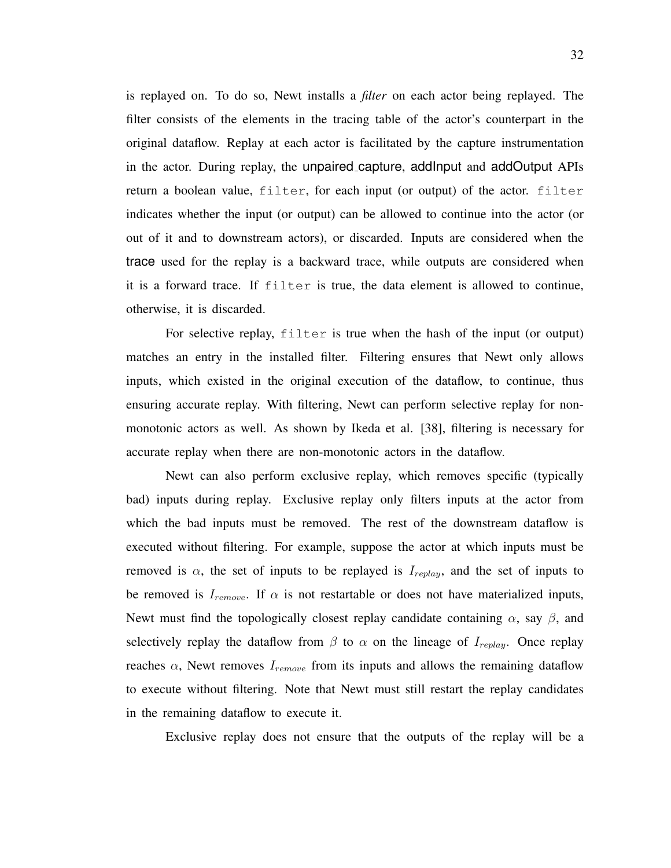is replayed on. To do so, Newt installs a *filter* on each actor being replayed. The filter consists of the elements in the tracing table of the actor's counterpart in the original dataflow. Replay at each actor is facilitated by the capture instrumentation in the actor. During replay, the unpaired capture, addInput and addOutput APIs return a boolean value, filter, for each input (or output) of the actor. filter indicates whether the input (or output) can be allowed to continue into the actor (or out of it and to downstream actors), or discarded. Inputs are considered when the trace used for the replay is a backward trace, while outputs are considered when it is a forward trace. If filter is true, the data element is allowed to continue, otherwise, it is discarded.

For selective replay, filter is true when the hash of the input (or output) matches an entry in the installed filter. Filtering ensures that Newt only allows inputs, which existed in the original execution of the dataflow, to continue, thus ensuring accurate replay. With filtering, Newt can perform selective replay for nonmonotonic actors as well. As shown by Ikeda et al. [38], filtering is necessary for accurate replay when there are non-monotonic actors in the dataflow.

Newt can also perform exclusive replay, which removes specific (typically bad) inputs during replay. Exclusive replay only filters inputs at the actor from which the bad inputs must be removed. The rest of the downstream dataflow is executed without filtering. For example, suppose the actor at which inputs must be removed is  $\alpha$ , the set of inputs to be replayed is  $I_{replay}$ , and the set of inputs to be removed is  $I_{remove}$ . If  $\alpha$  is not restartable or does not have materialized inputs, Newt must find the topologically closest replay candidate containing  $\alpha$ , say  $\beta$ , and selectively replay the dataflow from  $\beta$  to  $\alpha$  on the lineage of  $I_{replay}$ . Once replay reaches  $\alpha$ , Newt removes  $I_{remove}$  from its inputs and allows the remaining dataflow to execute without filtering. Note that Newt must still restart the replay candidates in the remaining dataflow to execute it.

Exclusive replay does not ensure that the outputs of the replay will be a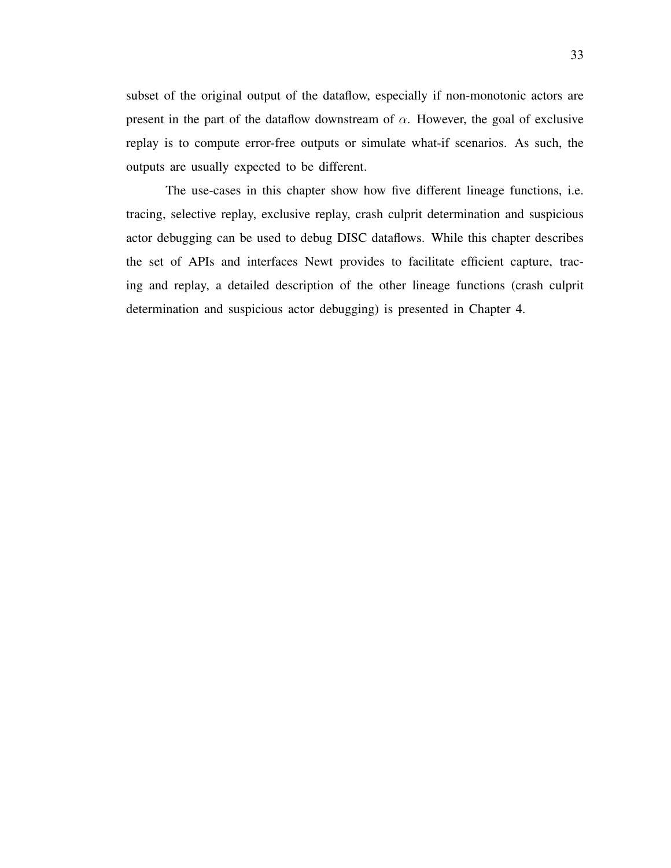subset of the original output of the dataflow, especially if non-monotonic actors are present in the part of the dataflow downstream of  $\alpha$ . However, the goal of exclusive replay is to compute error-free outputs or simulate what-if scenarios. As such, the outputs are usually expected to be different.

The use-cases in this chapter show how five different lineage functions, i.e. tracing, selective replay, exclusive replay, crash culprit determination and suspicious actor debugging can be used to debug DISC dataflows. While this chapter describes the set of APIs and interfaces Newt provides to facilitate efficient capture, tracing and replay, a detailed description of the other lineage functions (crash culprit determination and suspicious actor debugging) is presented in Chapter 4.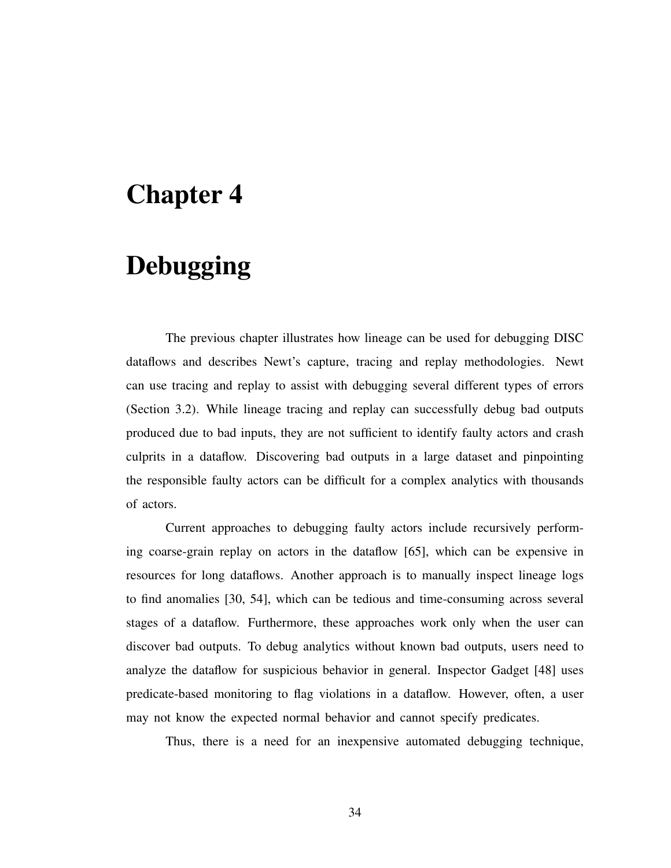# Chapter 4

# Debugging

The previous chapter illustrates how lineage can be used for debugging DISC dataflows and describes Newt's capture, tracing and replay methodologies. Newt can use tracing and replay to assist with debugging several different types of errors (Section 3.2). While lineage tracing and replay can successfully debug bad outputs produced due to bad inputs, they are not sufficient to identify faulty actors and crash culprits in a dataflow. Discovering bad outputs in a large dataset and pinpointing the responsible faulty actors can be difficult for a complex analytics with thousands of actors.

Current approaches to debugging faulty actors include recursively performing coarse-grain replay on actors in the dataflow [65], which can be expensive in resources for long dataflows. Another approach is to manually inspect lineage logs to find anomalies [30, 54], which can be tedious and time-consuming across several stages of a dataflow. Furthermore, these approaches work only when the user can discover bad outputs. To debug analytics without known bad outputs, users need to analyze the dataflow for suspicious behavior in general. Inspector Gadget [48] uses predicate-based monitoring to flag violations in a dataflow. However, often, a user may not know the expected normal behavior and cannot specify predicates.

Thus, there is a need for an inexpensive automated debugging technique,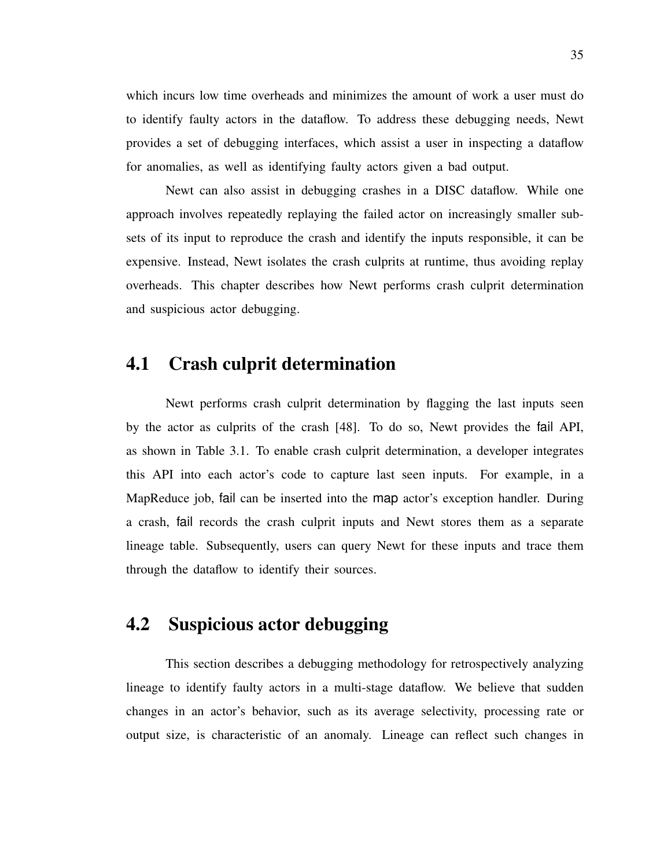which incurs low time overheads and minimizes the amount of work a user must do to identify faulty actors in the dataflow. To address these debugging needs, Newt provides a set of debugging interfaces, which assist a user in inspecting a dataflow for anomalies, as well as identifying faulty actors given a bad output.

Newt can also assist in debugging crashes in a DISC dataflow. While one approach involves repeatedly replaying the failed actor on increasingly smaller subsets of its input to reproduce the crash and identify the inputs responsible, it can be expensive. Instead, Newt isolates the crash culprits at runtime, thus avoiding replay overheads. This chapter describes how Newt performs crash culprit determination and suspicious actor debugging.

### 4.1 Crash culprit determination

Newt performs crash culprit determination by flagging the last inputs seen by the actor as culprits of the crash [48]. To do so, Newt provides the fail API, as shown in Table 3.1. To enable crash culprit determination, a developer integrates this API into each actor's code to capture last seen inputs. For example, in a MapReduce job, fail can be inserted into the map actor's exception handler. During a crash, fail records the crash culprit inputs and Newt stores them as a separate lineage table. Subsequently, users can query Newt for these inputs and trace them through the dataflow to identify their sources.

## 4.2 Suspicious actor debugging

This section describes a debugging methodology for retrospectively analyzing lineage to identify faulty actors in a multi-stage dataflow. We believe that sudden changes in an actor's behavior, such as its average selectivity, processing rate or output size, is characteristic of an anomaly. Lineage can reflect such changes in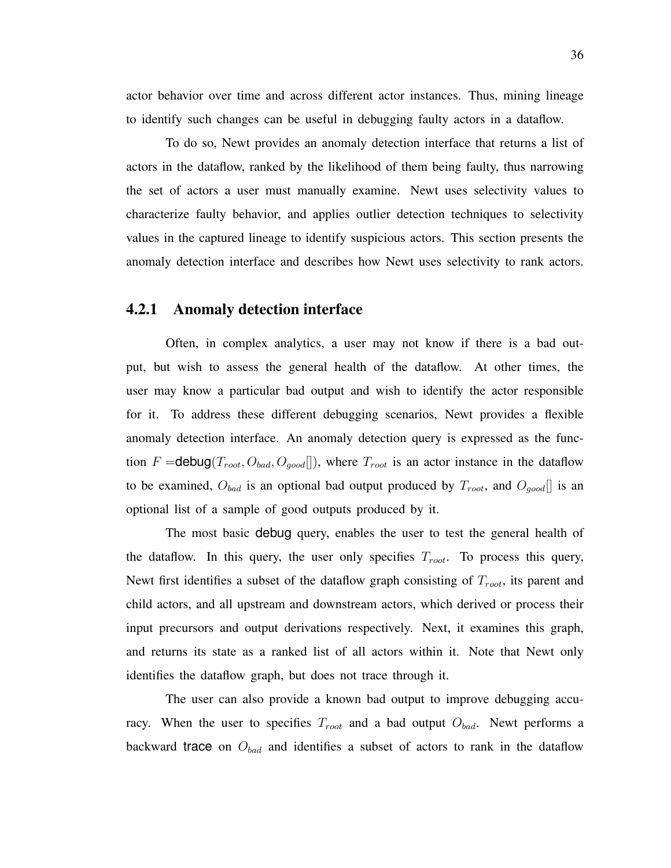actor behavior over time and across different actor instances. Thus, mining lineage to identify such changes can be useful in debugging faulty actors in a dataflow.

To do so, Newt provides an anomaly detection interface that returns a list of actors in the dataflow, ranked by the likelihood of them being faulty, thus narrowing the set of actors a user must manually examine. Newt uses selectivity values to characterize faulty behavior, and applies outlier detection techniques to selectivity values in the captured lineage to identify suspicious actors. This section presents the anomaly detection interface and describes how Newt uses selectivity to rank actors.

### 4.2.1 Anomaly detection interface

Often, in complex analytics, a user may not know if there is a bad output, but wish to assess the general health of the dataflow. At other times, the user may know a particular bad output and wish to identify the actor responsible for it. To address these different debugging scenarios, Newt provides a flexible anomaly detection interface. An anomaly detection query is expressed as the function F = debug( $T_{root}, O_{bad}, O_{good}$ ]), where  $T_{root}$  is an actor instance in the dataflow to be examined,  $O_{bad}$  is an optional bad output produced by  $T_{root}$ , and  $O_{good}[]$  is an optional list of a sample of good outputs produced by it.

The most basic debug query, enables the user to test the general health of the dataflow. In this query, the user only specifies  $T_{root}$ . To process this query, Newt first identifies a subset of the dataflow graph consisting of  $T_{root}$ , its parent and child actors, and all upstream and downstream actors, which derived or process their input precursors and output derivations respectively. Next, it examines this graph, and returns its state as a ranked list of all actors within it. Note that Newt only identifies the dataflow graph, but does not trace through it.

The user can also provide a known bad output to improve debugging accuracy. When the user to specifies  $T_{root}$  and a bad output  $O_{bad}$ . Newt performs a backward trace on  $O_{bad}$  and identifies a subset of actors to rank in the dataflow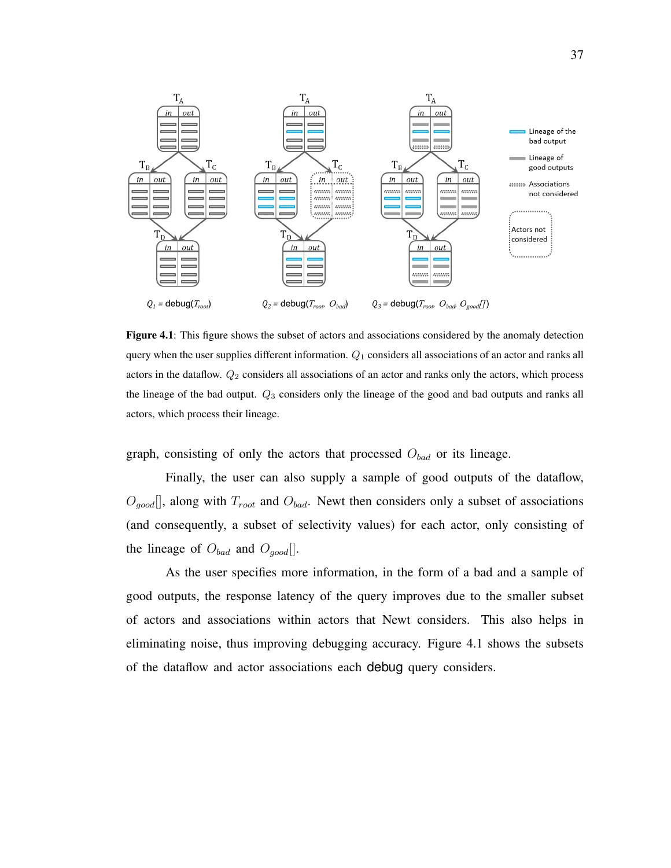

Figure 4.1: This figure shows the subset of actors and associations considered by the anomaly detection query when the user supplies different information.  $Q_1$  considers all associations of an actor and ranks all actors in the dataflow.  $Q_2$  considers all associations of an actor and ranks only the actors, which process the lineage of the bad output.  $Q_3$  considers only the lineage of the good and bad outputs and ranks all actors, which process their lineage.

graph, consisting of only the actors that processed  $O_{bad}$  or its lineage.

Finally, the user can also supply a sample of good outputs of the dataflow,  $O_{qood}$ , along with  $T_{root}$  and  $O_{bad}$ . Newt then considers only a subset of associations (and consequently, a subset of selectivity values) for each actor, only consisting of the lineage of  $O_{bad}$  and  $O_{good}$ .

As the user specifies more information, in the form of a bad and a sample of good outputs, the response latency of the query improves due to the smaller subset of actors and associations within actors that Newt considers. This also helps in eliminating noise, thus improving debugging accuracy. Figure 4.1 shows the subsets of the dataflow and actor associations each debug query considers.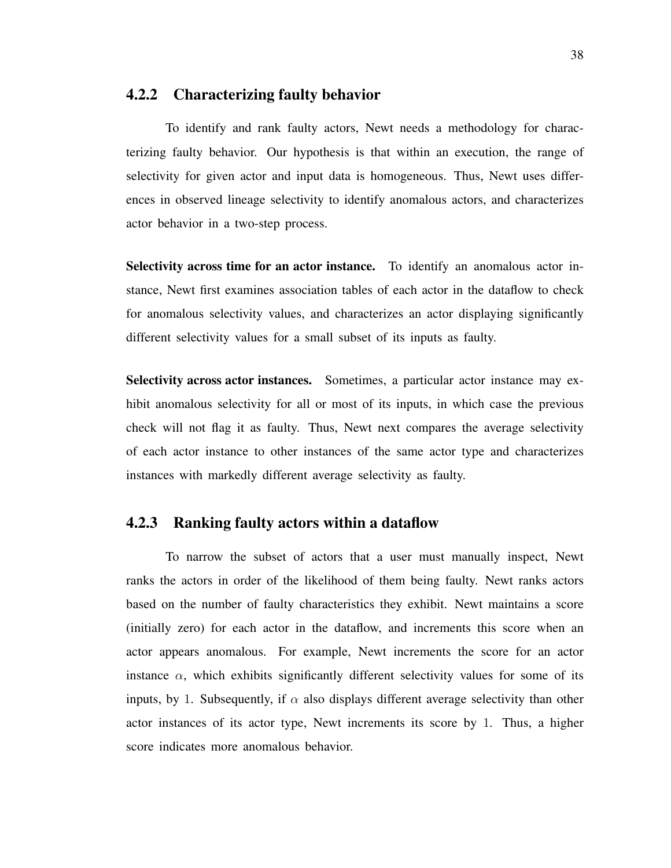#### 4.2.2 Characterizing faulty behavior

To identify and rank faulty actors, Newt needs a methodology for characterizing faulty behavior. Our hypothesis is that within an execution, the range of selectivity for given actor and input data is homogeneous. Thus, Newt uses differences in observed lineage selectivity to identify anomalous actors, and characterizes actor behavior in a two-step process.

Selectivity across time for an actor instance. To identify an anomalous actor instance, Newt first examines association tables of each actor in the dataflow to check for anomalous selectivity values, and characterizes an actor displaying significantly different selectivity values for a small subset of its inputs as faulty.

Selectivity across actor instances. Sometimes, a particular actor instance may exhibit anomalous selectivity for all or most of its inputs, in which case the previous check will not flag it as faulty. Thus, Newt next compares the average selectivity of each actor instance to other instances of the same actor type and characterizes instances with markedly different average selectivity as faulty.

### 4.2.3 Ranking faulty actors within a dataflow

To narrow the subset of actors that a user must manually inspect, Newt ranks the actors in order of the likelihood of them being faulty. Newt ranks actors based on the number of faulty characteristics they exhibit. Newt maintains a score (initially zero) for each actor in the dataflow, and increments this score when an actor appears anomalous. For example, Newt increments the score for an actor instance  $\alpha$ , which exhibits significantly different selectivity values for some of its inputs, by 1. Subsequently, if  $\alpha$  also displays different average selectivity than other actor instances of its actor type, Newt increments its score by 1. Thus, a higher score indicates more anomalous behavior.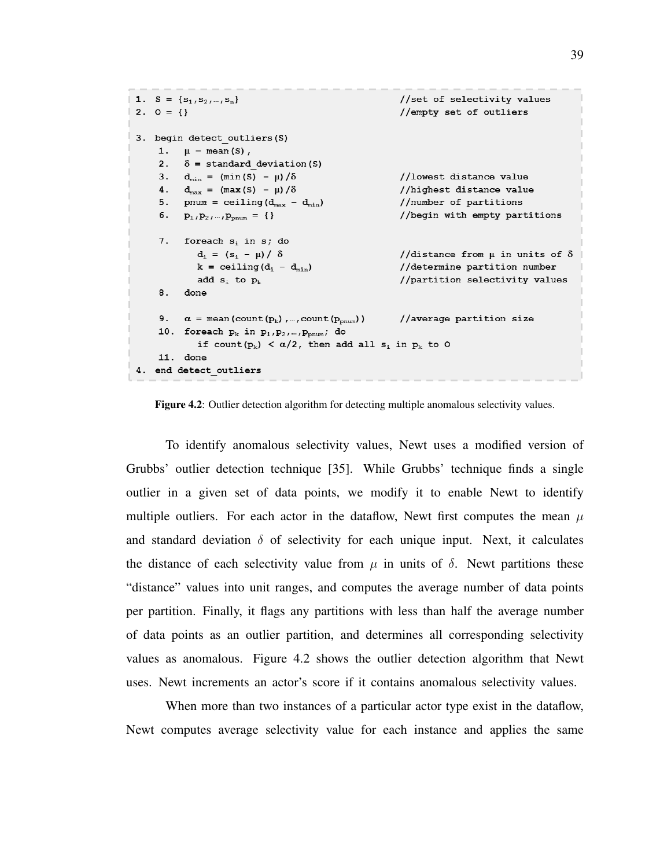```
1. S = {s_1, s_2, ..., s_n}//set of selectivity values
2. 0 = \{\}//empty set of outliers
3. begin detect outliers (S)
     1. \mu = \text{mean}(S),
     2. \delta = standard deviation (S)
     3. d_{\min} = (\min(S) - \mu)/\delta//lowest distance value
     4. d_{max} = (max(S) - \mu)/\delta//highest distance value
     5. pnum = ceiling (d_{max} - d_{min})//number of partitions
     6. p_1, p_2, ..., p_{pnum} = \{\}\//begin with empty partitions
     7. foreach s_i in s_j do
             d_i = (s_i - \mu) / \delta//distance from \mu in units of \deltak = ceiling (d_i - d_{min})//determine partition number
                                                        //partition selectivity values
             add s_i to p_k8.
         done
     9.\alpha = mean (count (p_k), ..., count (p_{pnum}))
                                                        //average partition size
     10. foreach p_k in p_1, p_2, ..., p_{pnum}, do
             if count(p_k) < \alpha/2, then add all s_i in p_k to 0
    11. done
4. end detect outliers
```
Figure 4.2: Outlier detection algorithm for detecting multiple anomalous selectivity values.

To identify anomalous selectivity values, Newt uses a modified version of Grubbs' outlier detection technique [35]. While Grubbs' technique finds a single outlier in a given set of data points, we modify it to enable Newt to identify multiple outliers. For each actor in the dataflow, Newt first computes the mean  $\mu$ and standard deviation  $\delta$  of selectivity for each unique input. Next, it calculates the distance of each selectivity value from  $\mu$  in units of  $\delta$ . Newt partitions these "distance" values into unit ranges, and computes the average number of data points per partition. Finally, it flags any partitions with less than half the average number of data points as an outlier partition, and determines all corresponding selectivity values as anomalous. Figure 4.2 shows the outlier detection algorithm that Newt uses. Newt increments an actor's score if it contains anomalous selectivity values.

When more than two instances of a particular actor type exist in the dataflow, Newt computes average selectivity value for each instance and applies the same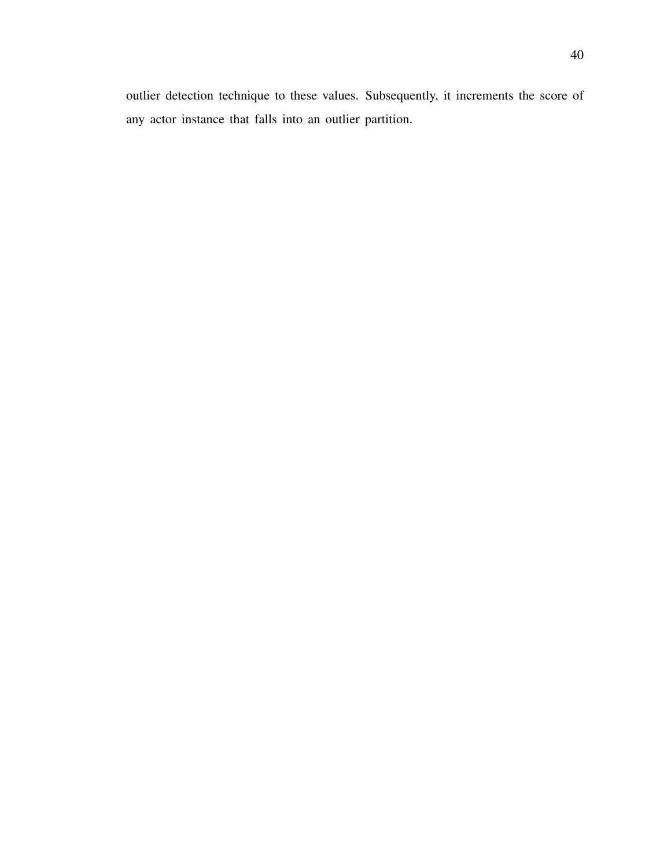outlier detection technique to these values. Subsequently, it increments the score of any actor instance that falls into an outlier partition.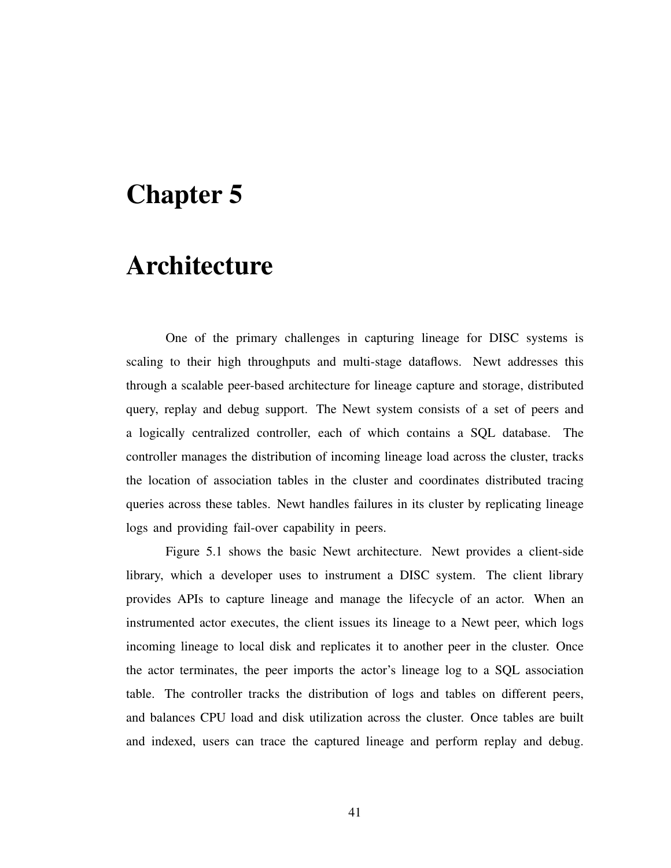# Chapter 5

# Architecture

One of the primary challenges in capturing lineage for DISC systems is scaling to their high throughputs and multi-stage dataflows. Newt addresses this through a scalable peer-based architecture for lineage capture and storage, distributed query, replay and debug support. The Newt system consists of a set of peers and a logically centralized controller, each of which contains a SQL database. The controller manages the distribution of incoming lineage load across the cluster, tracks the location of association tables in the cluster and coordinates distributed tracing queries across these tables. Newt handles failures in its cluster by replicating lineage logs and providing fail-over capability in peers.

Figure 5.1 shows the basic Newt architecture. Newt provides a client-side library, which a developer uses to instrument a DISC system. The client library provides APIs to capture lineage and manage the lifecycle of an actor. When an instrumented actor executes, the client issues its lineage to a Newt peer, which logs incoming lineage to local disk and replicates it to another peer in the cluster. Once the actor terminates, the peer imports the actor's lineage log to a SQL association table. The controller tracks the distribution of logs and tables on different peers, and balances CPU load and disk utilization across the cluster. Once tables are built and indexed, users can trace the captured lineage and perform replay and debug.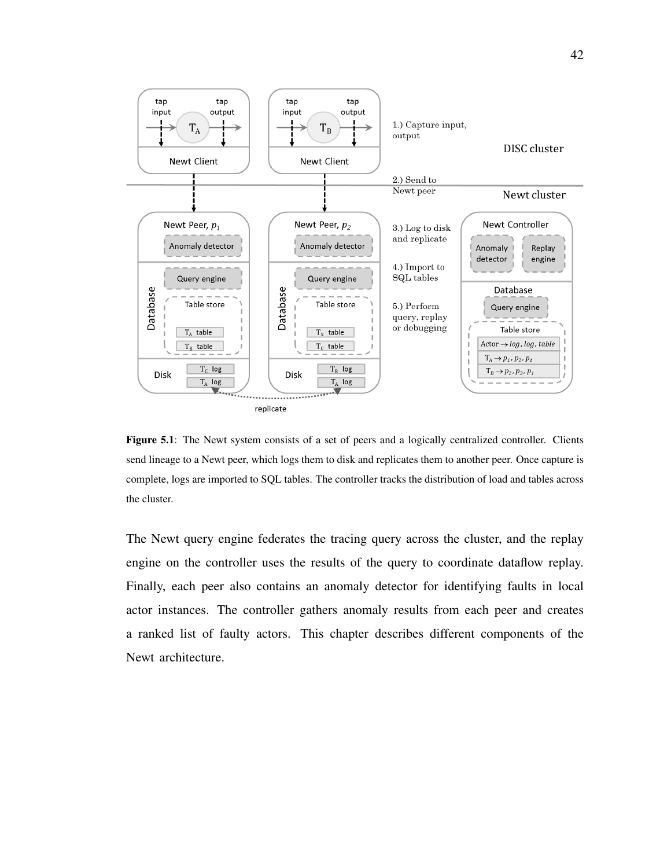

Figure 5.1: The Newt system consists of a set of peers and a logically centralized controller. Clients send lineage to a Newt peer, which logs them to disk and replicates them to another peer. Once capture is complete, logs are imported to SQL tables. The controller tracks the distribution of load and tables across the cluster.

The Newt query engine federates the tracing query across the cluster, and the replay engine on the controller uses the results of the query to coordinate dataflow replay. Finally, each peer also contains an anomaly detector for identifying faults in local actor instances. The controller gathers anomaly results from each peer and creates a ranked list of faulty actors. This chapter describes different components of the Newt architecture.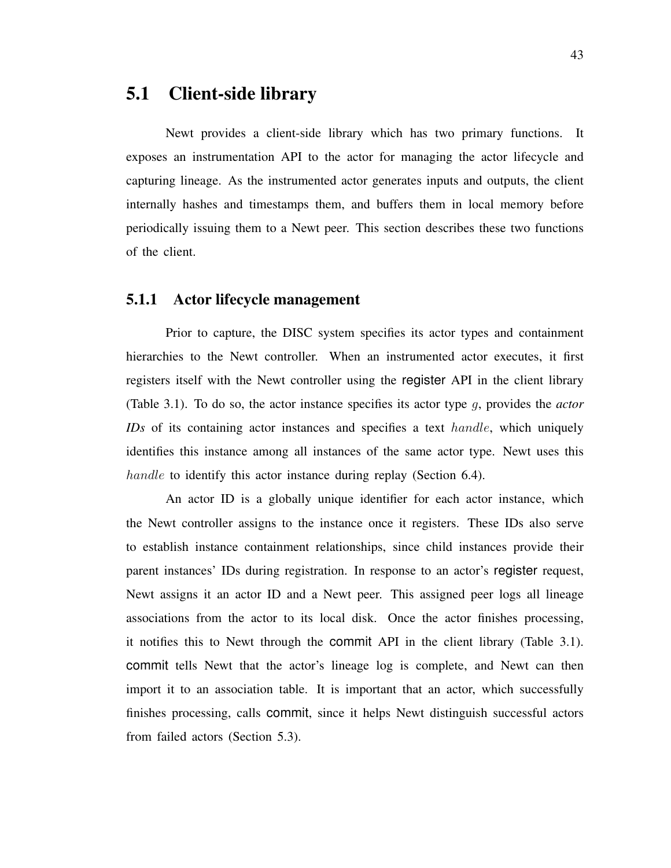## 5.1 Client-side library

Newt provides a client-side library which has two primary functions. It exposes an instrumentation API to the actor for managing the actor lifecycle and capturing lineage. As the instrumented actor generates inputs and outputs, the client internally hashes and timestamps them, and buffers them in local memory before periodically issuing them to a Newt peer. This section describes these two functions of the client.

### 5.1.1 Actor lifecycle management

Prior to capture, the DISC system specifies its actor types and containment hierarchies to the Newt controller. When an instrumented actor executes, it first registers itself with the Newt controller using the register API in the client library (Table 3.1). To do so, the actor instance specifies its actor type g, provides the *actor IDs* of its containing actor instances and specifies a text *handle*, which uniquely identifies this instance among all instances of the same actor type. Newt uses this handle to identify this actor instance during replay (Section 6.4).

An actor ID is a globally unique identifier for each actor instance, which the Newt controller assigns to the instance once it registers. These IDs also serve to establish instance containment relationships, since child instances provide their parent instances' IDs during registration. In response to an actor's register request, Newt assigns it an actor ID and a Newt peer. This assigned peer logs all lineage associations from the actor to its local disk. Once the actor finishes processing, it notifies this to Newt through the commit API in the client library (Table 3.1). commit tells Newt that the actor's lineage log is complete, and Newt can then import it to an association table. It is important that an actor, which successfully finishes processing, calls commit, since it helps Newt distinguish successful actors from failed actors (Section 5.3).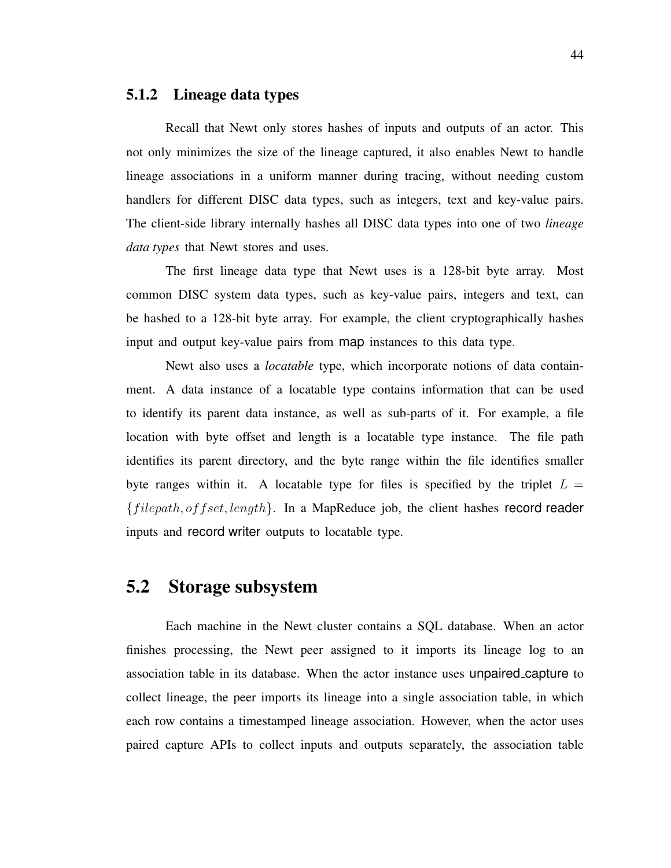#### 5.1.2 Lineage data types

Recall that Newt only stores hashes of inputs and outputs of an actor. This not only minimizes the size of the lineage captured, it also enables Newt to handle lineage associations in a uniform manner during tracing, without needing custom handlers for different DISC data types, such as integers, text and key-value pairs. The client-side library internally hashes all DISC data types into one of two *lineage data types* that Newt stores and uses.

The first lineage data type that Newt uses is a 128-bit byte array. Most common DISC system data types, such as key-value pairs, integers and text, can be hashed to a 128-bit byte array. For example, the client cryptographically hashes input and output key-value pairs from map instances to this data type.

Newt also uses a *locatable* type, which incorporate notions of data containment. A data instance of a locatable type contains information that can be used to identify its parent data instance, as well as sub-parts of it. For example, a file location with byte offset and length is a locatable type instance. The file path identifies its parent directory, and the byte range within the file identifies smaller byte ranges within it. A locatable type for files is specified by the triplet  $L =$  ${filepath, offset, length}$ . In a MapReduce job, the client hashes record reader inputs and record writer outputs to locatable type.

### 5.2 Storage subsystem

Each machine in the Newt cluster contains a SQL database. When an actor finishes processing, the Newt peer assigned to it imports its lineage log to an association table in its database. When the actor instance uses unpaired capture to collect lineage, the peer imports its lineage into a single association table, in which each row contains a timestamped lineage association. However, when the actor uses paired capture APIs to collect inputs and outputs separately, the association table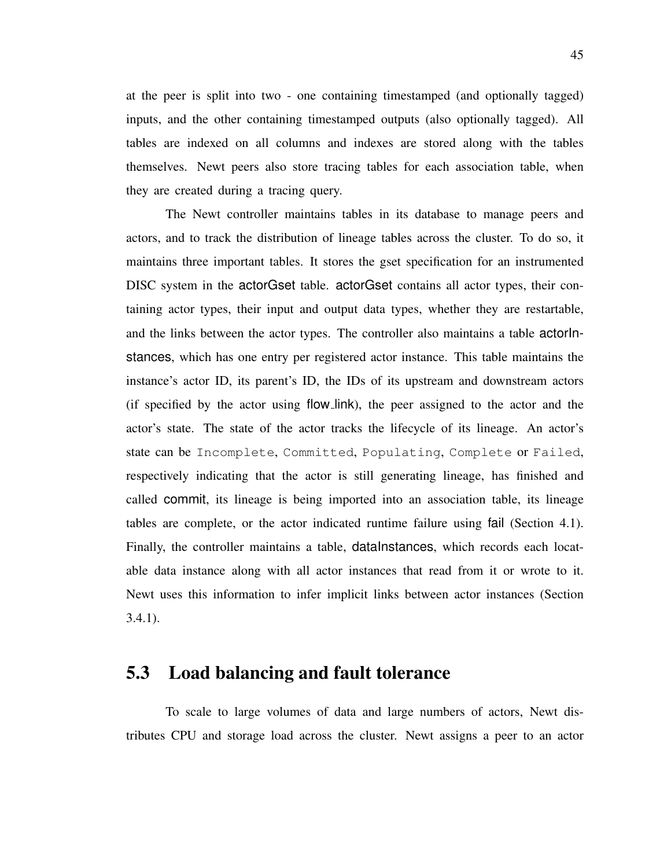at the peer is split into two - one containing timestamped (and optionally tagged) inputs, and the other containing timestamped outputs (also optionally tagged). All tables are indexed on all columns and indexes are stored along with the tables themselves. Newt peers also store tracing tables for each association table, when they are created during a tracing query.

The Newt controller maintains tables in its database to manage peers and actors, and to track the distribution of lineage tables across the cluster. To do so, it maintains three important tables. It stores the gset specification for an instrumented DISC system in the actorGset table. actorGset contains all actor types, their containing actor types, their input and output data types, whether they are restartable, and the links between the actor types. The controller also maintains a table actorInstances, which has one entry per registered actor instance. This table maintains the instance's actor ID, its parent's ID, the IDs of its upstream and downstream actors (if specified by the actor using flow link), the peer assigned to the actor and the actor's state. The state of the actor tracks the lifecycle of its lineage. An actor's state can be Incomplete, Committed, Populating, Complete or Failed, respectively indicating that the actor is still generating lineage, has finished and called commit, its lineage is being imported into an association table, its lineage tables are complete, or the actor indicated runtime failure using fail (Section 4.1). Finally, the controller maintains a table, dataInstances, which records each locatable data instance along with all actor instances that read from it or wrote to it. Newt uses this information to infer implicit links between actor instances (Section 3.4.1).

### 5.3 Load balancing and fault tolerance

To scale to large volumes of data and large numbers of actors, Newt distributes CPU and storage load across the cluster. Newt assigns a peer to an actor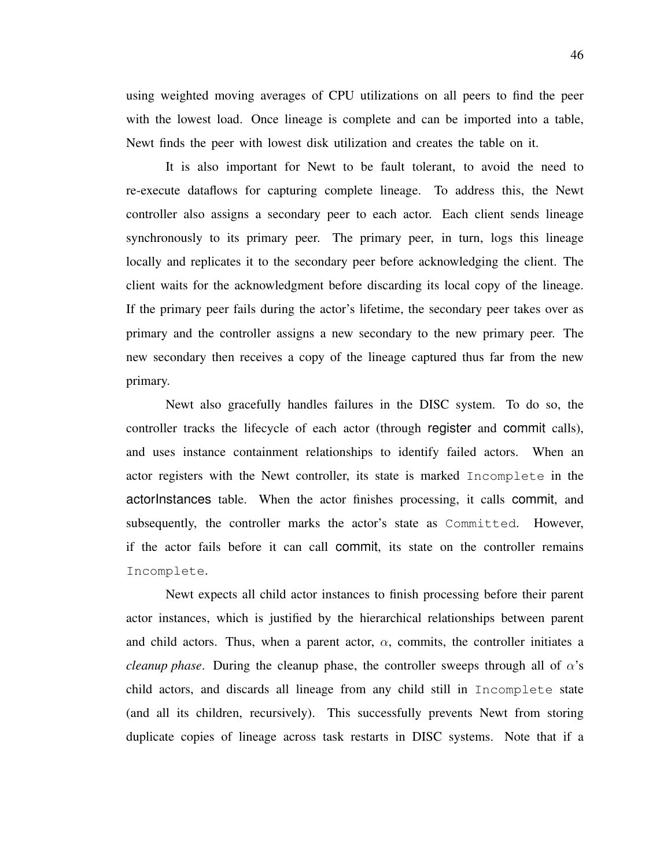using weighted moving averages of CPU utilizations on all peers to find the peer with the lowest load. Once lineage is complete and can be imported into a table, Newt finds the peer with lowest disk utilization and creates the table on it.

It is also important for Newt to be fault tolerant, to avoid the need to re-execute dataflows for capturing complete lineage. To address this, the Newt controller also assigns a secondary peer to each actor. Each client sends lineage synchronously to its primary peer. The primary peer, in turn, logs this lineage locally and replicates it to the secondary peer before acknowledging the client. The client waits for the acknowledgment before discarding its local copy of the lineage. If the primary peer fails during the actor's lifetime, the secondary peer takes over as primary and the controller assigns a new secondary to the new primary peer. The new secondary then receives a copy of the lineage captured thus far from the new primary.

Newt also gracefully handles failures in the DISC system. To do so, the controller tracks the lifecycle of each actor (through register and commit calls), and uses instance containment relationships to identify failed actors. When an actor registers with the Newt controller, its state is marked Incomplete in the actorInstances table. When the actor finishes processing, it calls commit, and subsequently, the controller marks the actor's state as Committed. However, if the actor fails before it can call commit, its state on the controller remains Incomplete.

Newt expects all child actor instances to finish processing before their parent actor instances, which is justified by the hierarchical relationships between parent and child actors. Thus, when a parent actor,  $\alpha$ , commits, the controller initiates a *cleanup phase.* During the cleanup phase, the controller sweeps through all of  $\alpha$ 's child actors, and discards all lineage from any child still in Incomplete state (and all its children, recursively). This successfully prevents Newt from storing duplicate copies of lineage across task restarts in DISC systems. Note that if a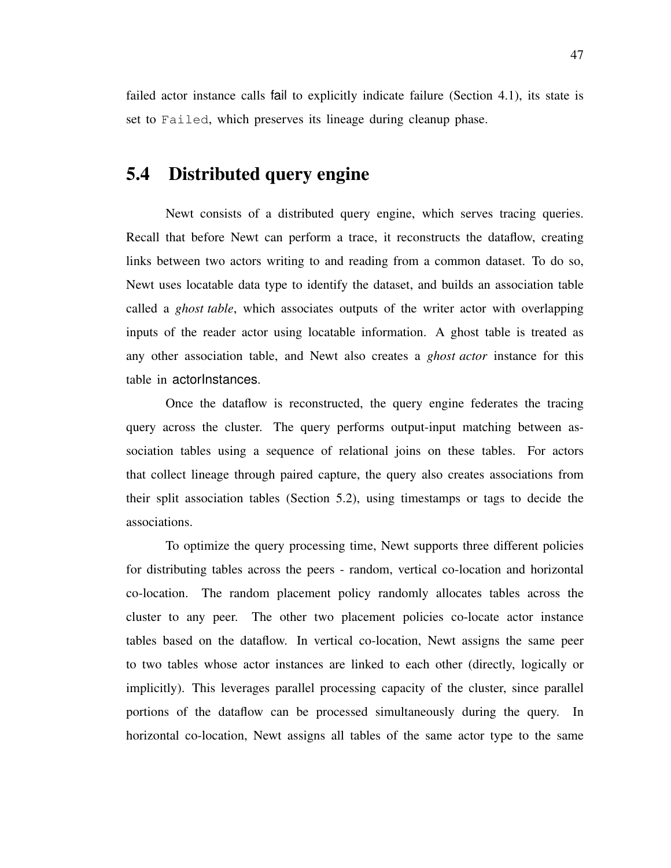failed actor instance calls fail to explicitly indicate failure (Section 4.1), its state is set to Failed, which preserves its lineage during cleanup phase.

# 5.4 Distributed query engine

Newt consists of a distributed query engine, which serves tracing queries. Recall that before Newt can perform a trace, it reconstructs the dataflow, creating links between two actors writing to and reading from a common dataset. To do so, Newt uses locatable data type to identify the dataset, and builds an association table called a *ghost table*, which associates outputs of the writer actor with overlapping inputs of the reader actor using locatable information. A ghost table is treated as any other association table, and Newt also creates a *ghost actor* instance for this table in actorInstances.

Once the dataflow is reconstructed, the query engine federates the tracing query across the cluster. The query performs output-input matching between association tables using a sequence of relational joins on these tables. For actors that collect lineage through paired capture, the query also creates associations from their split association tables (Section 5.2), using timestamps or tags to decide the associations.

To optimize the query processing time, Newt supports three different policies for distributing tables across the peers - random, vertical co-location and horizontal co-location. The random placement policy randomly allocates tables across the cluster to any peer. The other two placement policies co-locate actor instance tables based on the dataflow. In vertical co-location, Newt assigns the same peer to two tables whose actor instances are linked to each other (directly, logically or implicitly). This leverages parallel processing capacity of the cluster, since parallel portions of the dataflow can be processed simultaneously during the query. In horizontal co-location, Newt assigns all tables of the same actor type to the same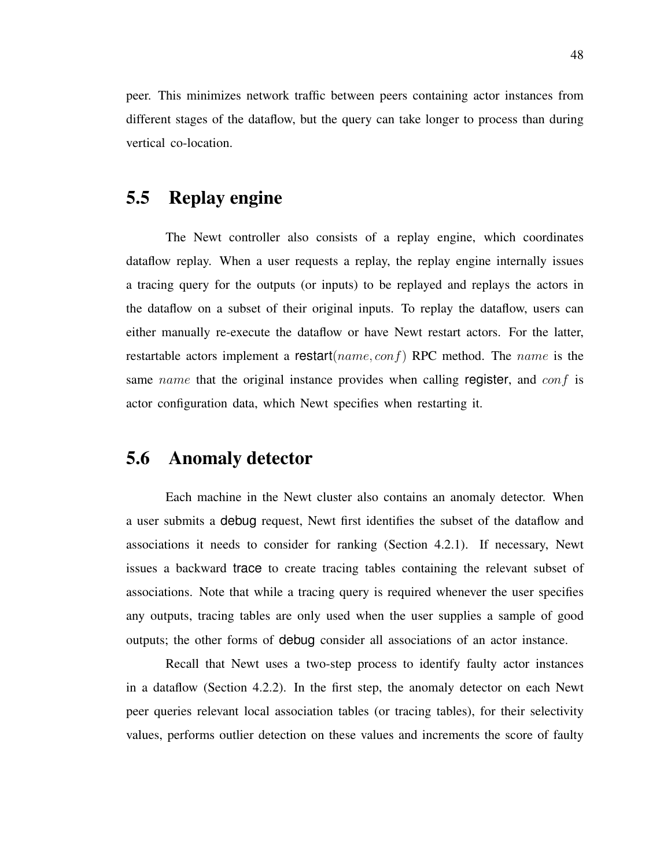peer. This minimizes network traffic between peers containing actor instances from different stages of the dataflow, but the query can take longer to process than during vertical co-location.

## 5.5 Replay engine

The Newt controller also consists of a replay engine, which coordinates dataflow replay. When a user requests a replay, the replay engine internally issues a tracing query for the outputs (or inputs) to be replayed and replays the actors in the dataflow on a subset of their original inputs. To replay the dataflow, users can either manually re-execute the dataflow or have Newt restart actors. For the latter, restartable actors implement a restart( $name, conf$ ) RPC method. The  $name$  is the same name that the original instance provides when calling register, and  $conf$  is actor configuration data, which Newt specifies when restarting it.

# 5.6 Anomaly detector

Each machine in the Newt cluster also contains an anomaly detector. When a user submits a debug request, Newt first identifies the subset of the dataflow and associations it needs to consider for ranking (Section 4.2.1). If necessary, Newt issues a backward trace to create tracing tables containing the relevant subset of associations. Note that while a tracing query is required whenever the user specifies any outputs, tracing tables are only used when the user supplies a sample of good outputs; the other forms of debug consider all associations of an actor instance.

Recall that Newt uses a two-step process to identify faulty actor instances in a dataflow (Section 4.2.2). In the first step, the anomaly detector on each Newt peer queries relevant local association tables (or tracing tables), for their selectivity values, performs outlier detection on these values and increments the score of faulty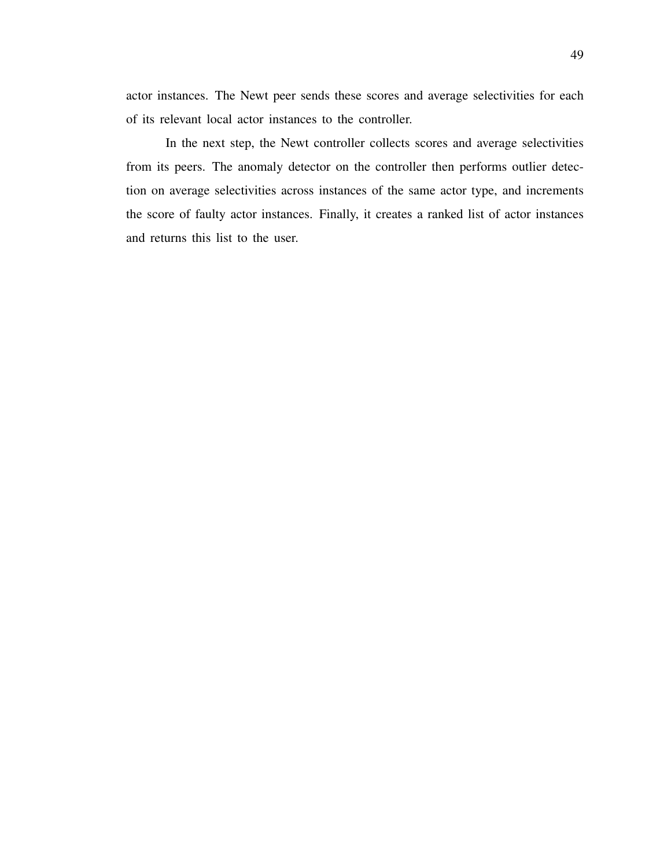actor instances. The Newt peer sends these scores and average selectivities for each of its relevant local actor instances to the controller.

In the next step, the Newt controller collects scores and average selectivities from its peers. The anomaly detector on the controller then performs outlier detection on average selectivities across instances of the same actor type, and increments the score of faulty actor instances. Finally, it creates a ranked list of actor instances and returns this list to the user.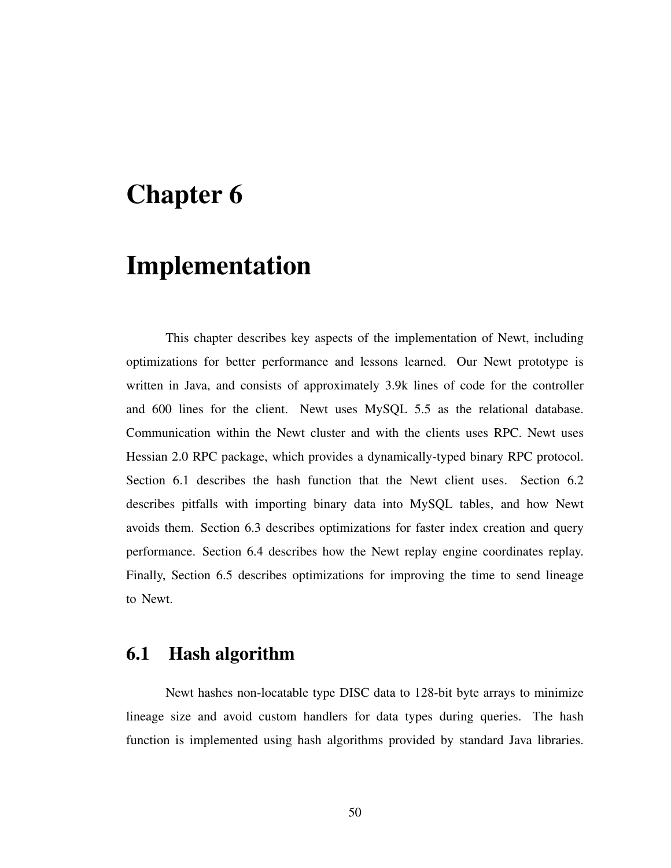# Chapter 6

# Implementation

This chapter describes key aspects of the implementation of Newt, including optimizations for better performance and lessons learned. Our Newt prototype is written in Java, and consists of approximately 3.9k lines of code for the controller and 600 lines for the client. Newt uses MySQL 5.5 as the relational database. Communication within the Newt cluster and with the clients uses RPC. Newt uses Hessian 2.0 RPC package, which provides a dynamically-typed binary RPC protocol. Section 6.1 describes the hash function that the Newt client uses. Section 6.2 describes pitfalls with importing binary data into MySQL tables, and how Newt avoids them. Section 6.3 describes optimizations for faster index creation and query performance. Section 6.4 describes how the Newt replay engine coordinates replay. Finally, Section 6.5 describes optimizations for improving the time to send lineage to Newt.

## 6.1 Hash algorithm

Newt hashes non-locatable type DISC data to 128-bit byte arrays to minimize lineage size and avoid custom handlers for data types during queries. The hash function is implemented using hash algorithms provided by standard Java libraries.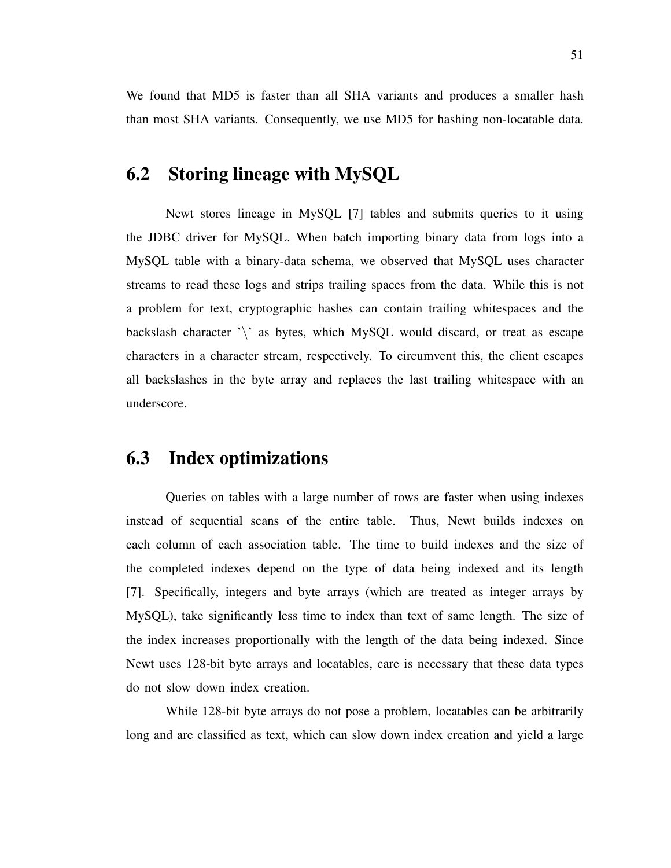We found that MD5 is faster than all SHA variants and produces a smaller hash than most SHA variants. Consequently, we use MD5 for hashing non-locatable data.

# 6.2 Storing lineage with MySQL

Newt stores lineage in MySQL [7] tables and submits queries to it using the JDBC driver for MySQL. When batch importing binary data from logs into a MySQL table with a binary-data schema, we observed that MySQL uses character streams to read these logs and strips trailing spaces from the data. While this is not a problem for text, cryptographic hashes can contain trailing whitespaces and the backslash character  $\sqrt{ }$  as bytes, which MySQL would discard, or treat as escape characters in a character stream, respectively. To circumvent this, the client escapes all backslashes in the byte array and replaces the last trailing whitespace with an underscore.

## 6.3 Index optimizations

Queries on tables with a large number of rows are faster when using indexes instead of sequential scans of the entire table. Thus, Newt builds indexes on each column of each association table. The time to build indexes and the size of the completed indexes depend on the type of data being indexed and its length [7]. Specifically, integers and byte arrays (which are treated as integer arrays by MySQL), take significantly less time to index than text of same length. The size of the index increases proportionally with the length of the data being indexed. Since Newt uses 128-bit byte arrays and locatables, care is necessary that these data types do not slow down index creation.

While 128-bit byte arrays do not pose a problem, locatables can be arbitrarily long and are classified as text, which can slow down index creation and yield a large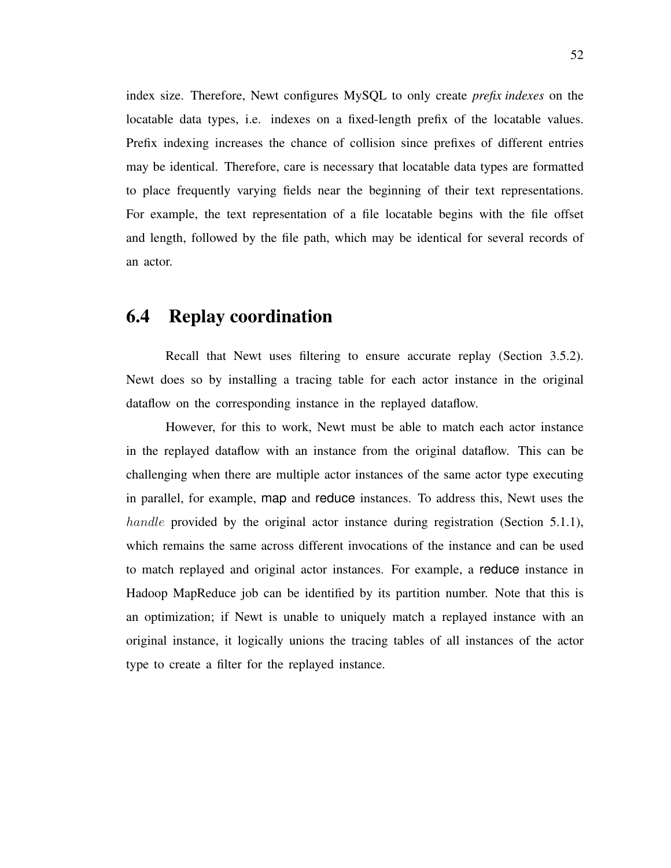index size. Therefore, Newt configures MySQL to only create *prefix indexes* on the locatable data types, i.e. indexes on a fixed-length prefix of the locatable values. Prefix indexing increases the chance of collision since prefixes of different entries may be identical. Therefore, care is necessary that locatable data types are formatted to place frequently varying fields near the beginning of their text representations. For example, the text representation of a file locatable begins with the file offset and length, followed by the file path, which may be identical for several records of an actor.

## 6.4 Replay coordination

Recall that Newt uses filtering to ensure accurate replay (Section 3.5.2). Newt does so by installing a tracing table for each actor instance in the original dataflow on the corresponding instance in the replayed dataflow.

However, for this to work, Newt must be able to match each actor instance in the replayed dataflow with an instance from the original dataflow. This can be challenging when there are multiple actor instances of the same actor type executing in parallel, for example, map and reduce instances. To address this, Newt uses the handle provided by the original actor instance during registration (Section 5.1.1), which remains the same across different invocations of the instance and can be used to match replayed and original actor instances. For example, a reduce instance in Hadoop MapReduce job can be identified by its partition number. Note that this is an optimization; if Newt is unable to uniquely match a replayed instance with an original instance, it logically unions the tracing tables of all instances of the actor type to create a filter for the replayed instance.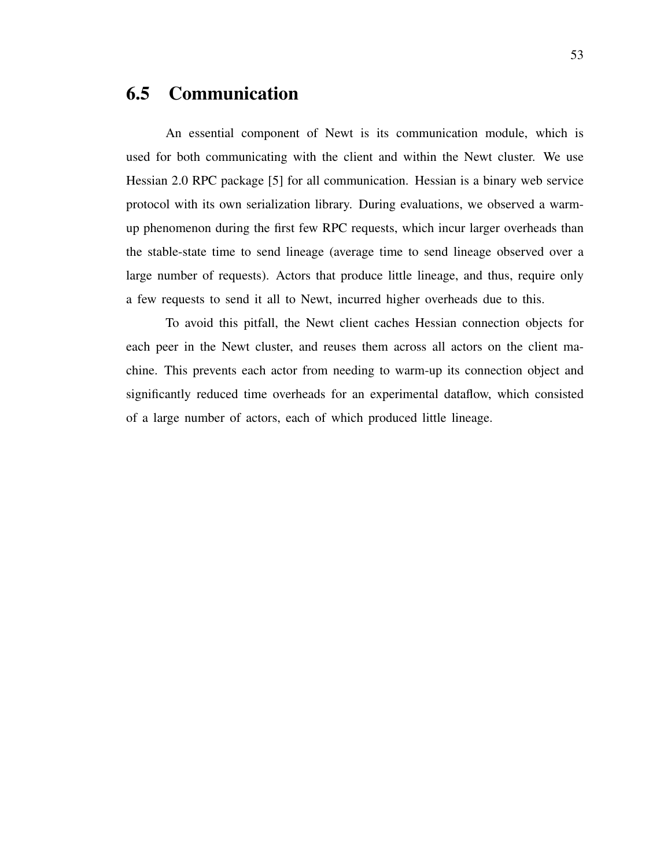# 6.5 Communication

An essential component of Newt is its communication module, which is used for both communicating with the client and within the Newt cluster. We use Hessian 2.0 RPC package [5] for all communication. Hessian is a binary web service protocol with its own serialization library. During evaluations, we observed a warmup phenomenon during the first few RPC requests, which incur larger overheads than the stable-state time to send lineage (average time to send lineage observed over a large number of requests). Actors that produce little lineage, and thus, require only a few requests to send it all to Newt, incurred higher overheads due to this.

To avoid this pitfall, the Newt client caches Hessian connection objects for each peer in the Newt cluster, and reuses them across all actors on the client machine. This prevents each actor from needing to warm-up its connection object and significantly reduced time overheads for an experimental dataflow, which consisted of a large number of actors, each of which produced little lineage.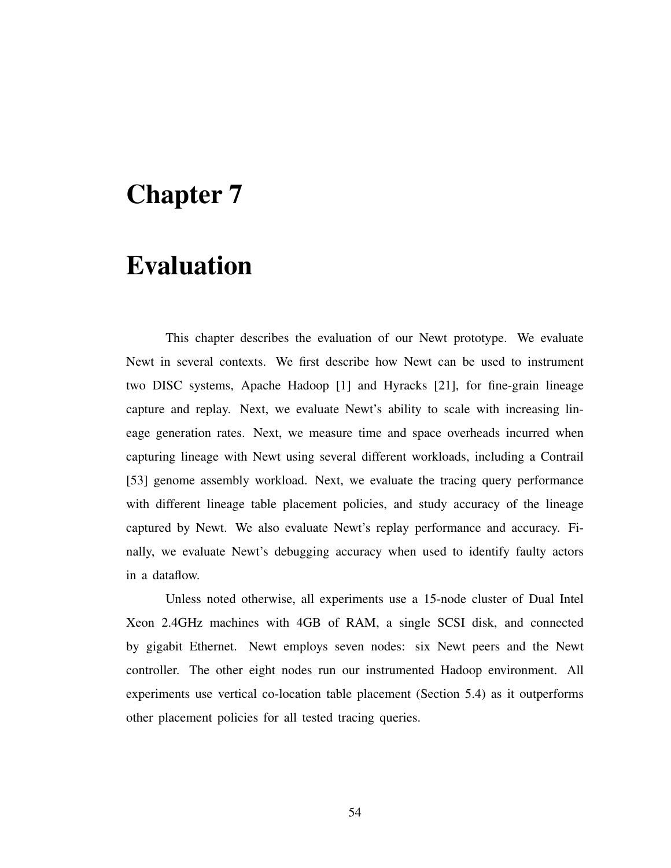# Chapter 7

# Evaluation

This chapter describes the evaluation of our Newt prototype. We evaluate Newt in several contexts. We first describe how Newt can be used to instrument two DISC systems, Apache Hadoop [1] and Hyracks [21], for fine-grain lineage capture and replay. Next, we evaluate Newt's ability to scale with increasing lineage generation rates. Next, we measure time and space overheads incurred when capturing lineage with Newt using several different workloads, including a Contrail [53] genome assembly workload. Next, we evaluate the tracing query performance with different lineage table placement policies, and study accuracy of the lineage captured by Newt. We also evaluate Newt's replay performance and accuracy. Finally, we evaluate Newt's debugging accuracy when used to identify faulty actors in a dataflow.

Unless noted otherwise, all experiments use a 15-node cluster of Dual Intel Xeon 2.4GHz machines with 4GB of RAM, a single SCSI disk, and connected by gigabit Ethernet. Newt employs seven nodes: six Newt peers and the Newt controller. The other eight nodes run our instrumented Hadoop environment. All experiments use vertical co-location table placement (Section 5.4) as it outperforms other placement policies for all tested tracing queries.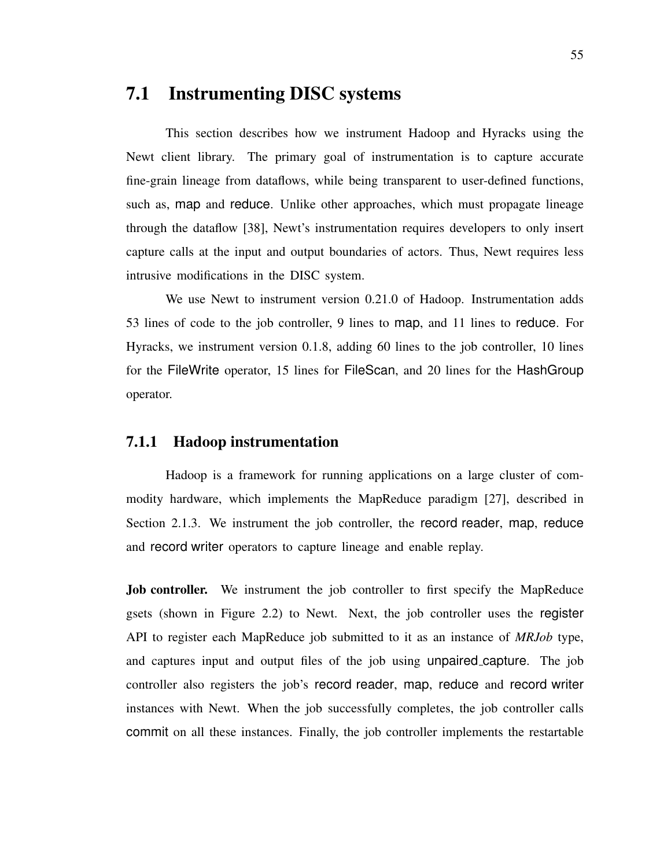# 7.1 Instrumenting DISC systems

This section describes how we instrument Hadoop and Hyracks using the Newt client library. The primary goal of instrumentation is to capture accurate fine-grain lineage from dataflows, while being transparent to user-defined functions, such as, map and reduce. Unlike other approaches, which must propagate lineage through the dataflow [38], Newt's instrumentation requires developers to only insert capture calls at the input and output boundaries of actors. Thus, Newt requires less intrusive modifications in the DISC system.

We use Newt to instrument version 0.21.0 of Hadoop. Instrumentation adds 53 lines of code to the job controller, 9 lines to map, and 11 lines to reduce. For Hyracks, we instrument version 0.1.8, adding 60 lines to the job controller, 10 lines for the FileWrite operator, 15 lines for FileScan, and 20 lines for the HashGroup operator.

### 7.1.1 Hadoop instrumentation

Hadoop is a framework for running applications on a large cluster of commodity hardware, which implements the MapReduce paradigm [27], described in Section 2.1.3. We instrument the job controller, the record reader, map, reduce and record writer operators to capture lineage and enable replay.

Job controller. We instrument the job controller to first specify the MapReduce gsets (shown in Figure 2.2) to Newt. Next, the job controller uses the register API to register each MapReduce job submitted to it as an instance of *MRJob* type, and captures input and output files of the job using unpaired capture. The job controller also registers the job's record reader, map, reduce and record writer instances with Newt. When the job successfully completes, the job controller calls commit on all these instances. Finally, the job controller implements the restartable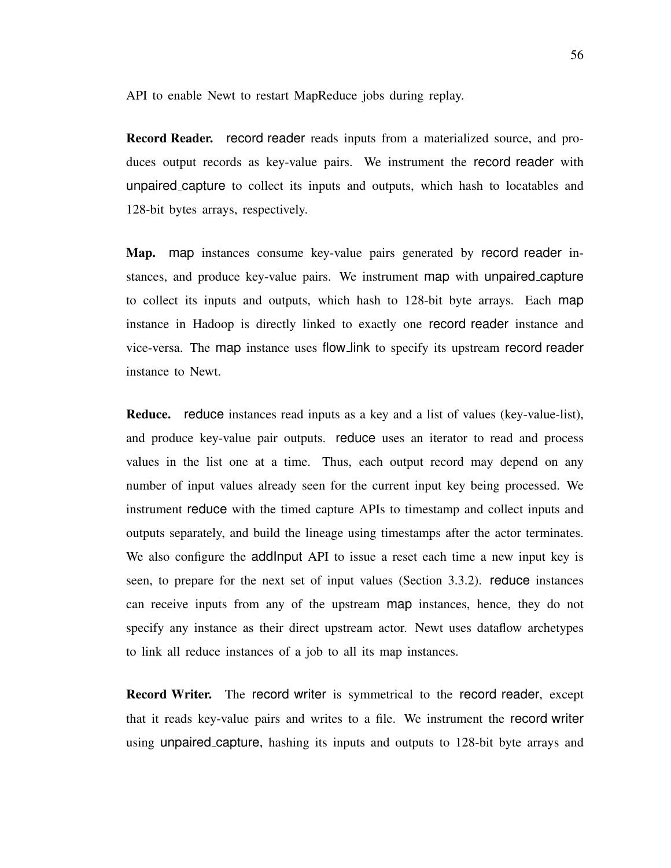API to enable Newt to restart MapReduce jobs during replay.

Record Reader. record reader reads inputs from a materialized source, and produces output records as key-value pairs. We instrument the record reader with unpaired capture to collect its inputs and outputs, which hash to locatables and 128-bit bytes arrays, respectively.

Map. map instances consume key-value pairs generated by record reader instances, and produce key-value pairs. We instrument map with unpaired capture to collect its inputs and outputs, which hash to 128-bit byte arrays. Each map instance in Hadoop is directly linked to exactly one record reader instance and vice-versa. The map instance uses flow link to specify its upstream record reader instance to Newt.

Reduce. reduce instances read inputs as a key and a list of values (key-value-list), and produce key-value pair outputs. reduce uses an iterator to read and process values in the list one at a time. Thus, each output record may depend on any number of input values already seen for the current input key being processed. We instrument reduce with the timed capture APIs to timestamp and collect inputs and outputs separately, and build the lineage using timestamps after the actor terminates. We also configure the addInput API to issue a reset each time a new input key is seen, to prepare for the next set of input values (Section 3.3.2). reduce instances can receive inputs from any of the upstream map instances, hence, they do not specify any instance as their direct upstream actor. Newt uses dataflow archetypes to link all reduce instances of a job to all its map instances.

Record Writer. The record writer is symmetrical to the record reader, except that it reads key-value pairs and writes to a file. We instrument the record writer using unpaired capture, hashing its inputs and outputs to 128-bit byte arrays and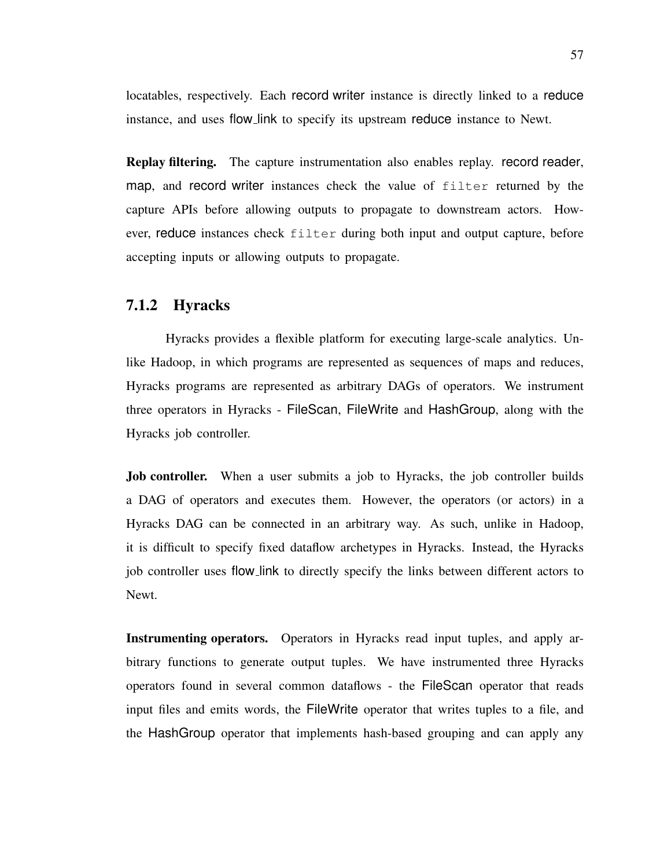locatables, respectively. Each record writer instance is directly linked to a reduce instance, and uses flow link to specify its upstream reduce instance to Newt.

Replay filtering. The capture instrumentation also enables replay. record reader, map, and record writer instances check the value of filter returned by the capture APIs before allowing outputs to propagate to downstream actors. However, reduce instances check filter during both input and output capture, before accepting inputs or allowing outputs to propagate.

#### 7.1.2 Hyracks

Hyracks provides a flexible platform for executing large-scale analytics. Unlike Hadoop, in which programs are represented as sequences of maps and reduces, Hyracks programs are represented as arbitrary DAGs of operators. We instrument three operators in Hyracks - FileScan, FileWrite and HashGroup, along with the Hyracks job controller.

Job controller. When a user submits a job to Hyracks, the job controller builds a DAG of operators and executes them. However, the operators (or actors) in a Hyracks DAG can be connected in an arbitrary way. As such, unlike in Hadoop, it is difficult to specify fixed dataflow archetypes in Hyracks. Instead, the Hyracks job controller uses flow link to directly specify the links between different actors to Newt.

Instrumenting operators. Operators in Hyracks read input tuples, and apply arbitrary functions to generate output tuples. We have instrumented three Hyracks operators found in several common dataflows - the FileScan operator that reads input files and emits words, the FileWrite operator that writes tuples to a file, and the HashGroup operator that implements hash-based grouping and can apply any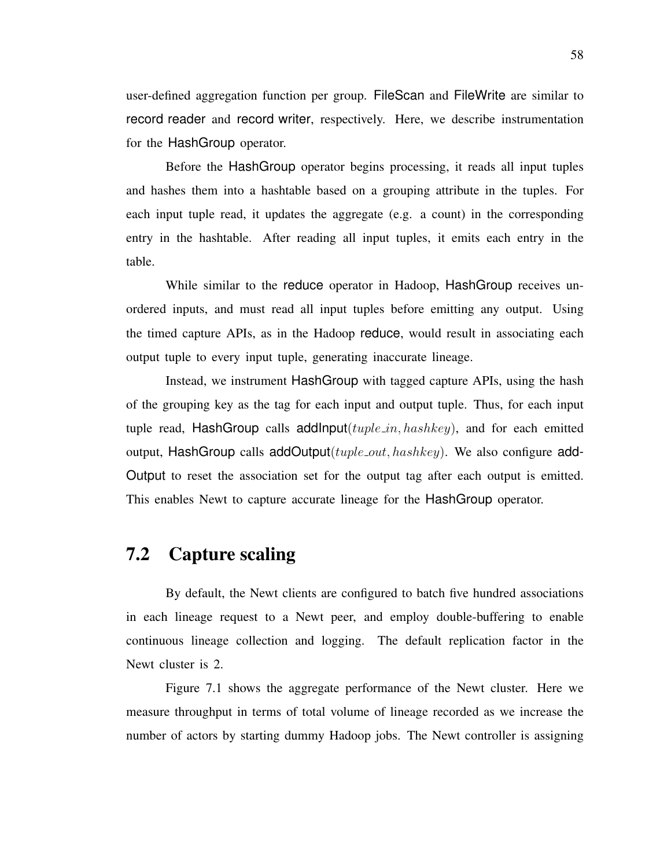user-defined aggregation function per group. FileScan and FileWrite are similar to record reader and record writer, respectively. Here, we describe instrumentation for the HashGroup operator.

Before the HashGroup operator begins processing, it reads all input tuples and hashes them into a hashtable based on a grouping attribute in the tuples. For each input tuple read, it updates the aggregate (e.g. a count) in the corresponding entry in the hashtable. After reading all input tuples, it emits each entry in the table.

While similar to the reduce operator in Hadoop, HashGroup receives unordered inputs, and must read all input tuples before emitting any output. Using the timed capture APIs, as in the Hadoop reduce, would result in associating each output tuple to every input tuple, generating inaccurate lineage.

Instead, we instrument HashGroup with tagged capture APIs, using the hash of the grouping key as the tag for each input and output tuple. Thus, for each input tuple read, HashGroup calls addInput( $tuple_in, hashkey$ ), and for each emitted output, HashGroup calls addOutput( $tuple\_out, hashkey$ ). We also configure add-Output to reset the association set for the output tag after each output is emitted. This enables Newt to capture accurate lineage for the HashGroup operator.

## 7.2 Capture scaling

By default, the Newt clients are configured to batch five hundred associations in each lineage request to a Newt peer, and employ double-buffering to enable continuous lineage collection and logging. The default replication factor in the Newt cluster is 2.

Figure 7.1 shows the aggregate performance of the Newt cluster. Here we measure throughput in terms of total volume of lineage recorded as we increase the number of actors by starting dummy Hadoop jobs. The Newt controller is assigning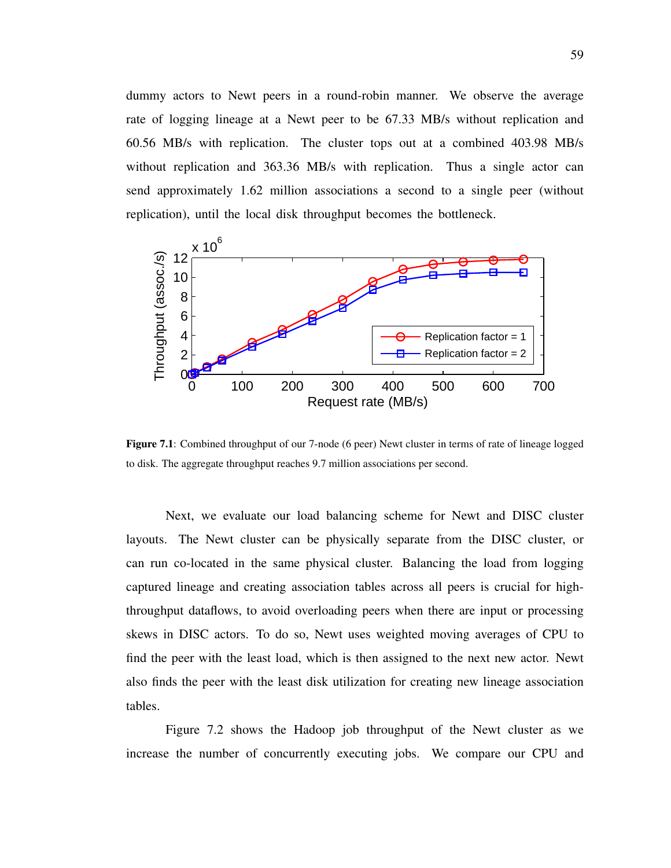dummy actors to Newt peers in a round-robin manner. We observe the average rate of logging lineage at a Newt peer to be 67.33 MB/s without replication and 60.56 MB/s with replication. The cluster tops out at a combined 403.98 MB/s without replication and 363.36 MB/s with replication. Thus a single actor can send approximately 1.62 million associations a second to a single peer (without replication), until the local disk throughput becomes the bottleneck.



Figure 7.1: Combined throughput of our 7-node (6 peer) Newt cluster in terms of rate of lineage logged to disk. The aggregate throughput reaches 9.7 million associations per second.

Next, we evaluate our load balancing scheme for Newt and DISC cluster layouts. The Newt cluster can be physically separate from the DISC cluster, or can run co-located in the same physical cluster. Balancing the load from logging captured lineage and creating association tables across all peers is crucial for highthroughput dataflows, to avoid overloading peers when there are input or processing skews in DISC actors. To do so, Newt uses weighted moving averages of CPU to find the peer with the least load, which is then assigned to the next new actor. Newt also finds the peer with the least disk utilization for creating new lineage association tables.

Figure 7.2 shows the Hadoop job throughput of the Newt cluster as we increase the number of concurrently executing jobs. We compare our CPU and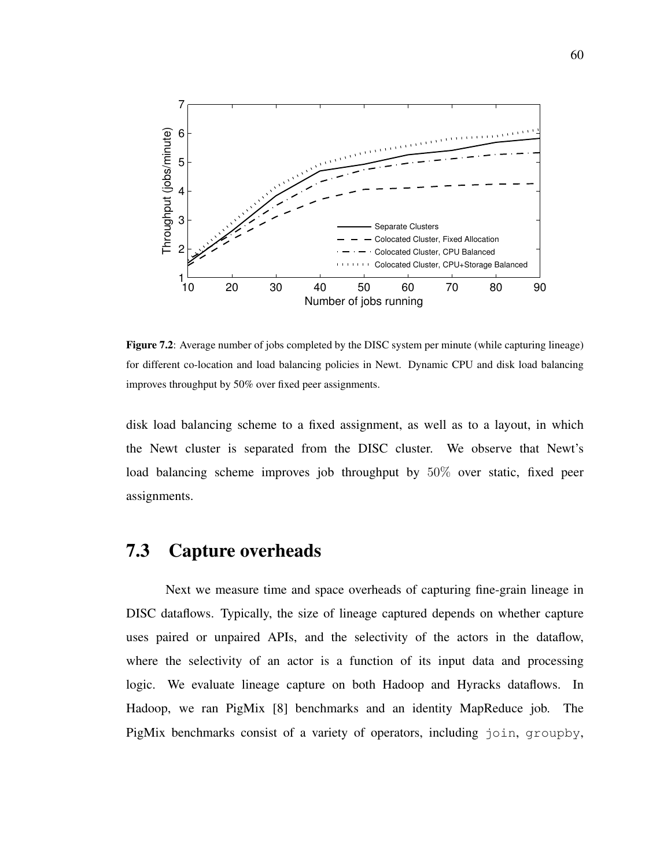

Figure 7.2: Average number of jobs completed by the DISC system per minute (while capturing lineage) for different co-location and load balancing policies in Newt. Dynamic CPU and disk load balancing improves throughput by 50% over fixed peer assignments.

disk load balancing scheme to a fixed assignment, as well as to a layout, in which the Newt cluster is separated from the DISC cluster. We observe that Newt's load balancing scheme improves job throughput by 50% over static, fixed peer assignments.

## 7.3 Capture overheads

Next we measure time and space overheads of capturing fine-grain lineage in DISC dataflows. Typically, the size of lineage captured depends on whether capture uses paired or unpaired APIs, and the selectivity of the actors in the dataflow, where the selectivity of an actor is a function of its input data and processing logic. We evaluate lineage capture on both Hadoop and Hyracks dataflows. In Hadoop, we ran PigMix [8] benchmarks and an identity MapReduce job. The PigMix benchmarks consist of a variety of operators, including join, groupby,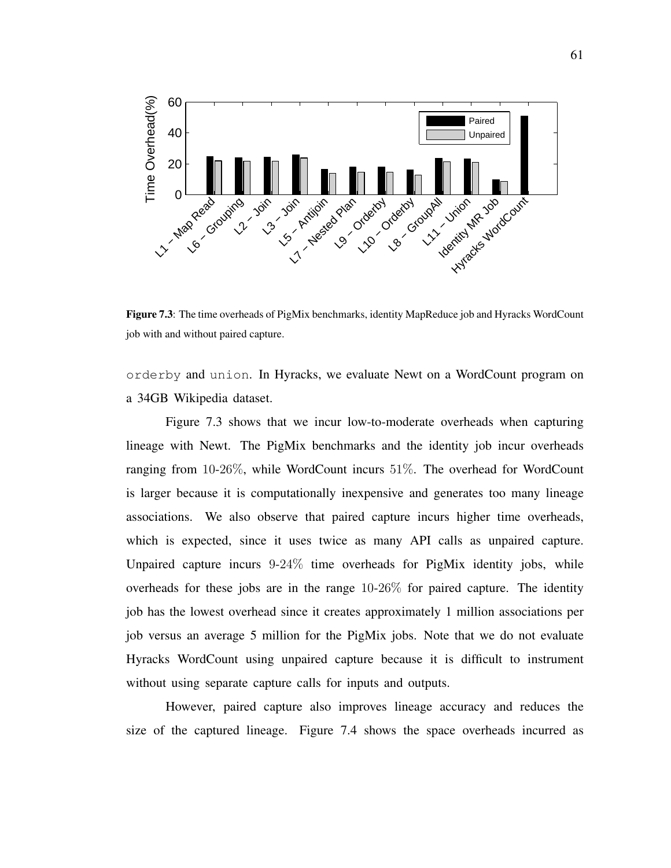

Figure 7.3: The time overheads of PigMix benchmarks, identity MapReduce job and Hyracks WordCount job with and without paired capture.

orderby and union. In Hyracks, we evaluate Newt on a WordCount program on a 34GB Wikipedia dataset.

Figure 7.3 shows that we incur low-to-moderate overheads when capturing lineage with Newt. The PigMix benchmarks and the identity job incur overheads ranging from 10-26%, while WordCount incurs 51%. The overhead for WordCount is larger because it is computationally inexpensive and generates too many lineage associations. We also observe that paired capture incurs higher time overheads, which is expected, since it uses twice as many API calls as unpaired capture. Unpaired capture incurs 9-24% time overheads for PigMix identity jobs, while overheads for these jobs are in the range 10-26% for paired capture. The identity job has the lowest overhead since it creates approximately 1 million associations per job versus an average 5 million for the PigMix jobs. Note that we do not evaluate Hyracks WordCount using unpaired capture because it is difficult to instrument without using separate capture calls for inputs and outputs.

However, paired capture also improves lineage accuracy and reduces the size of the captured lineage. Figure 7.4 shows the space overheads incurred as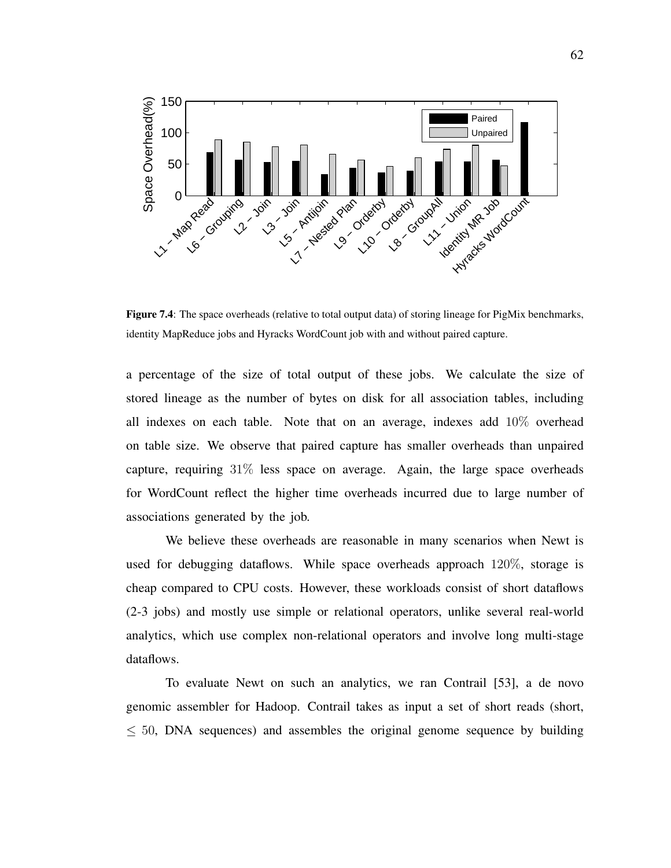

Figure 7.4: The space overheads (relative to total output data) of storing lineage for PigMix benchmarks, identity MapReduce jobs and Hyracks WordCount job with and without paired capture.

a percentage of the size of total output of these jobs. We calculate the size of stored lineage as the number of bytes on disk for all association tables, including all indexes on each table. Note that on an average, indexes add 10% overhead on table size. We observe that paired capture has smaller overheads than unpaired capture, requiring 31% less space on average. Again, the large space overheads for WordCount reflect the higher time overheads incurred due to large number of associations generated by the job.

We believe these overheads are reasonable in many scenarios when Newt is used for debugging dataflows. While space overheads approach 120%, storage is cheap compared to CPU costs. However, these workloads consist of short dataflows (2-3 jobs) and mostly use simple or relational operators, unlike several real-world analytics, which use complex non-relational operators and involve long multi-stage dataflows.

To evaluate Newt on such an analytics, we ran Contrail [53], a de novo genomic assembler for Hadoop. Contrail takes as input a set of short reads (short, ≤ 50, DNA sequences) and assembles the original genome sequence by building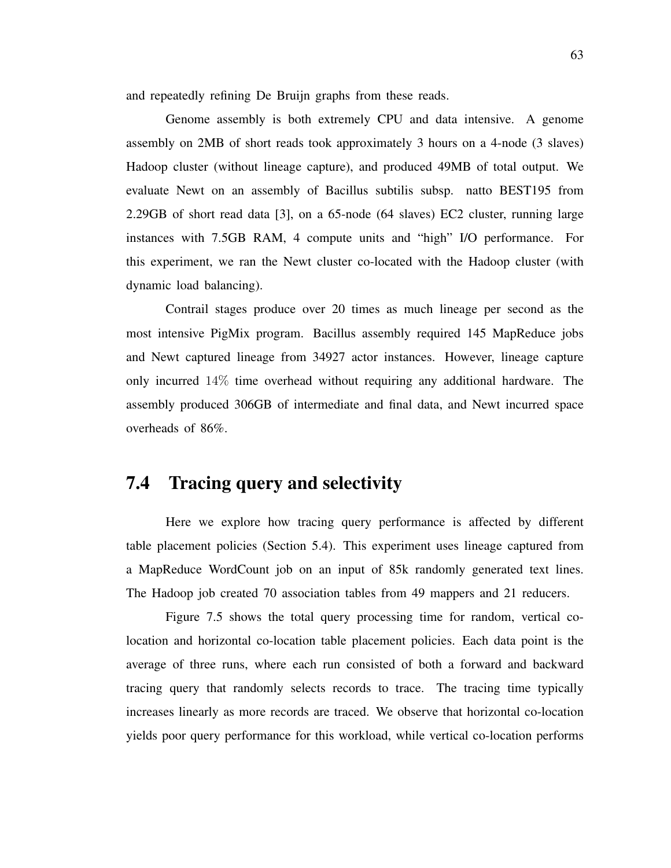and repeatedly refining De Bruijn graphs from these reads.

Genome assembly is both extremely CPU and data intensive. A genome assembly on 2MB of short reads took approximately 3 hours on a 4-node (3 slaves) Hadoop cluster (without lineage capture), and produced 49MB of total output. We evaluate Newt on an assembly of Bacillus subtilis subsp. natto BEST195 from 2.29GB of short read data [3], on a 65-node (64 slaves) EC2 cluster, running large instances with 7.5GB RAM, 4 compute units and "high" I/O performance. For this experiment, we ran the Newt cluster co-located with the Hadoop cluster (with dynamic load balancing).

Contrail stages produce over 20 times as much lineage per second as the most intensive PigMix program. Bacillus assembly required 145 MapReduce jobs and Newt captured lineage from 34927 actor instances. However, lineage capture only incurred 14% time overhead without requiring any additional hardware. The assembly produced 306GB of intermediate and final data, and Newt incurred space overheads of 86%.

### 7.4 Tracing query and selectivity

Here we explore how tracing query performance is affected by different table placement policies (Section 5.4). This experiment uses lineage captured from a MapReduce WordCount job on an input of 85k randomly generated text lines. The Hadoop job created 70 association tables from 49 mappers and 21 reducers.

Figure 7.5 shows the total query processing time for random, vertical colocation and horizontal co-location table placement policies. Each data point is the average of three runs, where each run consisted of both a forward and backward tracing query that randomly selects records to trace. The tracing time typically increases linearly as more records are traced. We observe that horizontal co-location yields poor query performance for this workload, while vertical co-location performs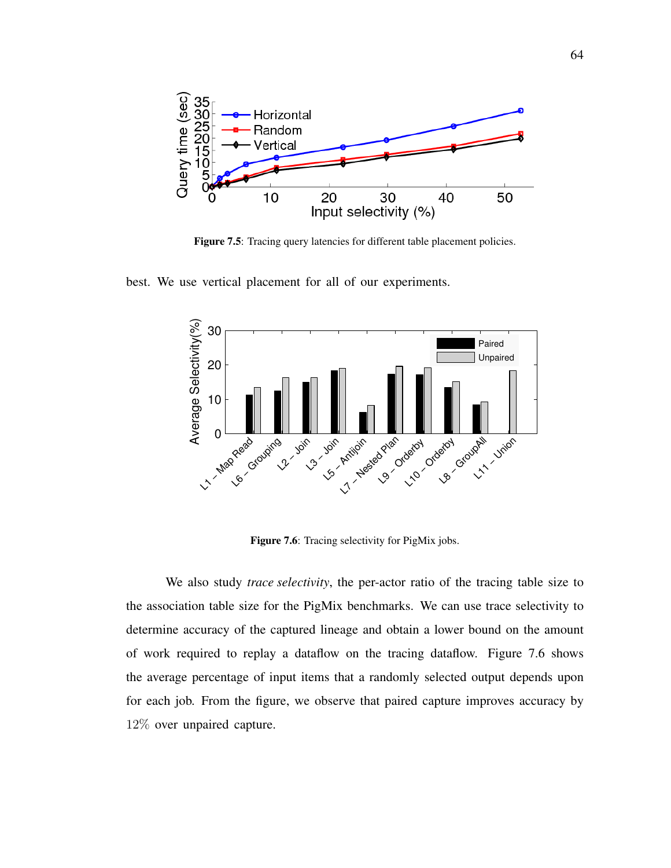

Figure 7.5: Tracing query latencies for different table placement policies.

best. We use vertical placement for all of our experiments.



Figure 7.6: Tracing selectivity for PigMix jobs.

We also study *trace selectivity*, the per-actor ratio of the tracing table size to the association table size for the PigMix benchmarks. We can use trace selectivity to determine accuracy of the captured lineage and obtain a lower bound on the amount of work required to replay a dataflow on the tracing dataflow. Figure 7.6 shows the average percentage of input items that a randomly selected output depends upon for each job. From the figure, we observe that paired capture improves accuracy by 12% over unpaired capture.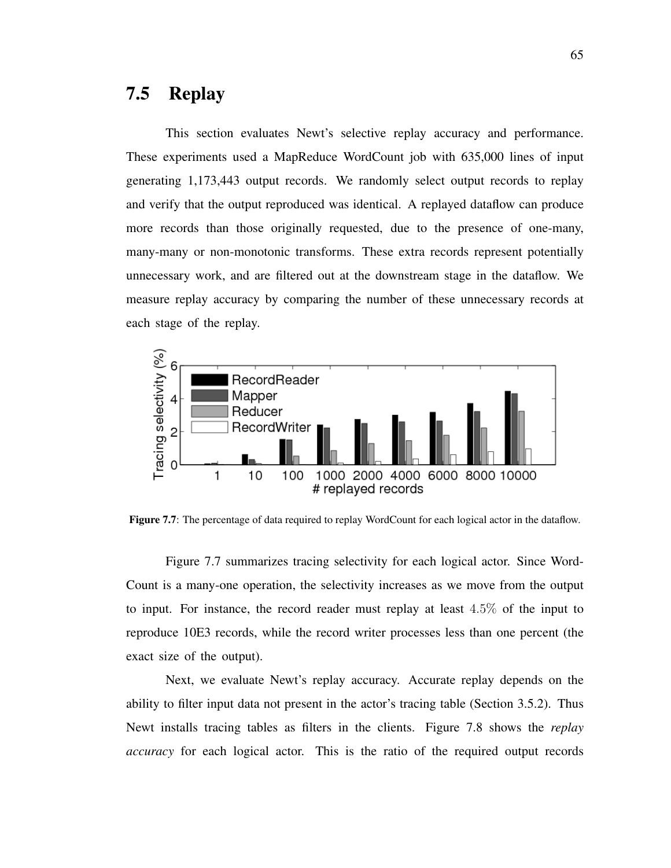#### 7.5 Replay

This section evaluates Newt's selective replay accuracy and performance. These experiments used a MapReduce WordCount job with 635,000 lines of input generating 1,173,443 output records. We randomly select output records to replay and verify that the output reproduced was identical. A replayed dataflow can produce more records than those originally requested, due to the presence of one-many, many-many or non-monotonic transforms. These extra records represent potentially unnecessary work, and are filtered out at the downstream stage in the dataflow. We measure replay accuracy by comparing the number of these unnecessary records at each stage of the replay.



Figure 7.7: The percentage of data required to replay WordCount for each logical actor in the dataflow.

Figure 7.7 summarizes tracing selectivity for each logical actor. Since Word-Count is a many-one operation, the selectivity increases as we move from the output to input. For instance, the record reader must replay at least 4.5% of the input to reproduce 10E3 records, while the record writer processes less than one percent (the exact size of the output).

Next, we evaluate Newt's replay accuracy. Accurate replay depends on the ability to filter input data not present in the actor's tracing table (Section 3.5.2). Thus Newt installs tracing tables as filters in the clients. Figure 7.8 shows the *replay accuracy* for each logical actor. This is the ratio of the required output records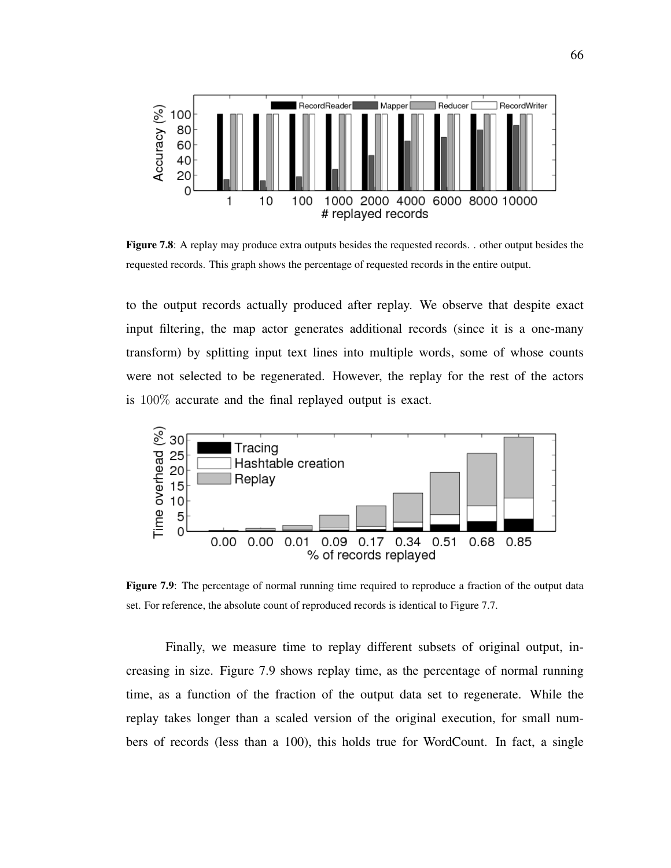

Figure 7.8: A replay may produce extra outputs besides the requested records. . other output besides the requested records. This graph shows the percentage of requested records in the entire output.

to the output records actually produced after replay. We observe that despite exact input filtering, the map actor generates additional records (since it is a one-many transform) by splitting input text lines into multiple words, some of whose counts were not selected to be regenerated. However, the replay for the rest of the actors is 100% accurate and the final replayed output is exact.



Figure 7.9: The percentage of normal running time required to reproduce a fraction of the output data set. For reference, the absolute count of reproduced records is identical to Figure 7.7.

Finally, we measure time to replay different subsets of original output, increasing in size. Figure 7.9 shows replay time, as the percentage of normal running time, as a function of the fraction of the output data set to regenerate. While the replay takes longer than a scaled version of the original execution, for small numbers of records (less than a 100), this holds true for WordCount. In fact, a single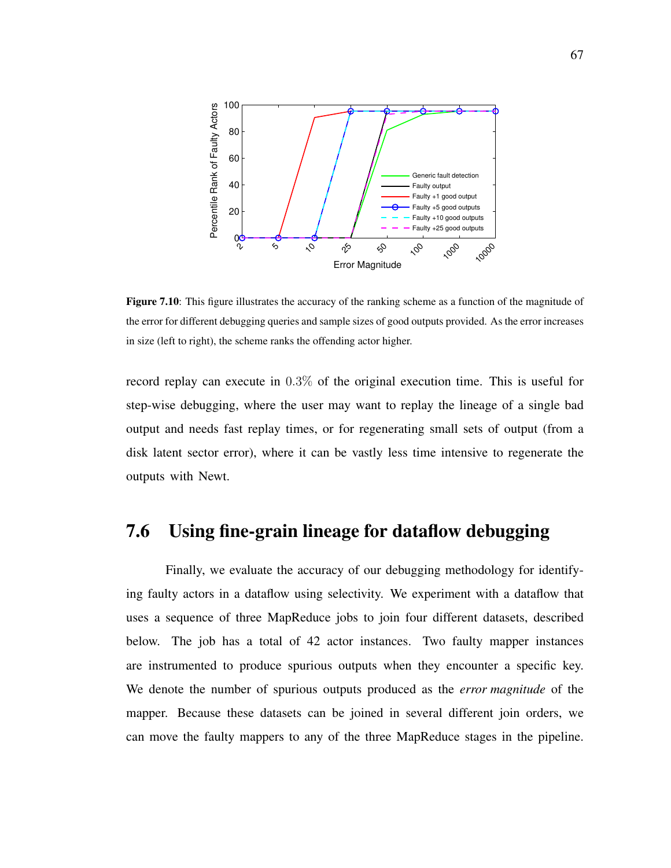

Figure 7.10: This figure illustrates the accuracy of the ranking scheme as a function of the magnitude of the error for different debugging queries and sample sizes of good outputs provided. As the error increases in size (left to right), the scheme ranks the offending actor higher.

record replay can execute in 0.3% of the original execution time. This is useful for step-wise debugging, where the user may want to replay the lineage of a single bad output and needs fast replay times, or for regenerating small sets of output (from a disk latent sector error), where it can be vastly less time intensive to regenerate the outputs with Newt.

#### 7.6 Using fine-grain lineage for dataflow debugging

Finally, we evaluate the accuracy of our debugging methodology for identifying faulty actors in a dataflow using selectivity. We experiment with a dataflow that uses a sequence of three MapReduce jobs to join four different datasets, described below. The job has a total of 42 actor instances. Two faulty mapper instances are instrumented to produce spurious outputs when they encounter a specific key. We denote the number of spurious outputs produced as the *error magnitude* of the mapper. Because these datasets can be joined in several different join orders, we can move the faulty mappers to any of the three MapReduce stages in the pipeline.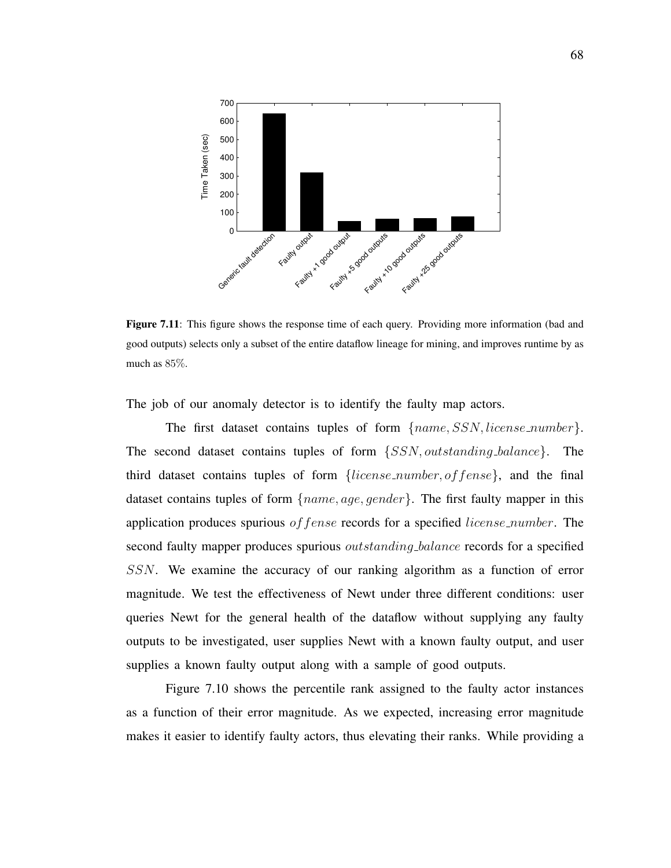

Figure 7.11: This figure shows the response time of each query. Providing more information (bad and good outputs) selects only a subset of the entire dataflow lineage for mining, and improves runtime by as much as 85%.

The job of our anomaly detector is to identify the faulty map actors.

The first dataset contains tuples of form  ${name, SSN, license_number}$ . The second dataset contains tuples of form {SSN, outstanding balance}. The third dataset contains tuples of form  ${line}$   ${line}$   ${line}$   ${line}$ ,  ${on}$   ${of}$   ${fense}$ , and the final dataset contains tuples of form  $\{name, age, gender\}$ . The first faulty mapper in this application produces spurious *of fense* records for a specified *license\_number*. The second faulty mapper produces spurious *outstanding balance* records for a specified SSN. We examine the accuracy of our ranking algorithm as a function of error magnitude. We test the effectiveness of Newt under three different conditions: user queries Newt for the general health of the dataflow without supplying any faulty outputs to be investigated, user supplies Newt with a known faulty output, and user supplies a known faulty output along with a sample of good outputs.

Figure 7.10 shows the percentile rank assigned to the faulty actor instances as a function of their error magnitude. As we expected, increasing error magnitude makes it easier to identify faulty actors, thus elevating their ranks. While providing a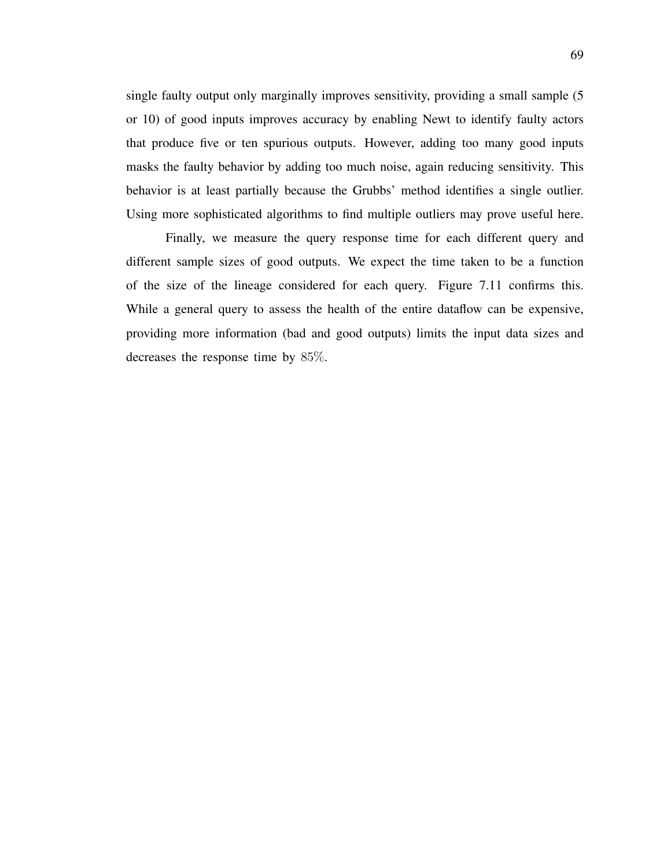single faulty output only marginally improves sensitivity, providing a small sample (5 or 10) of good inputs improves accuracy by enabling Newt to identify faulty actors that produce five or ten spurious outputs. However, adding too many good inputs masks the faulty behavior by adding too much noise, again reducing sensitivity. This behavior is at least partially because the Grubbs' method identifies a single outlier. Using more sophisticated algorithms to find multiple outliers may prove useful here.

Finally, we measure the query response time for each different query and different sample sizes of good outputs. We expect the time taken to be a function of the size of the lineage considered for each query. Figure 7.11 confirms this. While a general query to assess the health of the entire dataflow can be expensive, providing more information (bad and good outputs) limits the input data sizes and decreases the response time by 85%.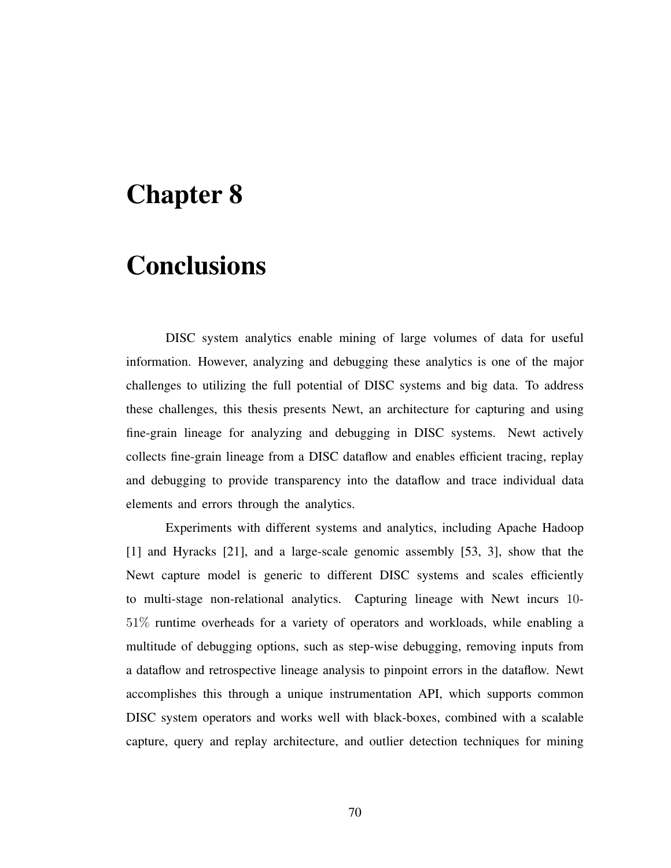# Chapter 8

### **Conclusions**

DISC system analytics enable mining of large volumes of data for useful information. However, analyzing and debugging these analytics is one of the major challenges to utilizing the full potential of DISC systems and big data. To address these challenges, this thesis presents Newt, an architecture for capturing and using fine-grain lineage for analyzing and debugging in DISC systems. Newt actively collects fine-grain lineage from a DISC dataflow and enables efficient tracing, replay and debugging to provide transparency into the dataflow and trace individual data elements and errors through the analytics.

Experiments with different systems and analytics, including Apache Hadoop [1] and Hyracks [21], and a large-scale genomic assembly [53, 3], show that the Newt capture model is generic to different DISC systems and scales efficiently to multi-stage non-relational analytics. Capturing lineage with Newt incurs 10- 51% runtime overheads for a variety of operators and workloads, while enabling a multitude of debugging options, such as step-wise debugging, removing inputs from a dataflow and retrospective lineage analysis to pinpoint errors in the dataflow. Newt accomplishes this through a unique instrumentation API, which supports common DISC system operators and works well with black-boxes, combined with a scalable capture, query and replay architecture, and outlier detection techniques for mining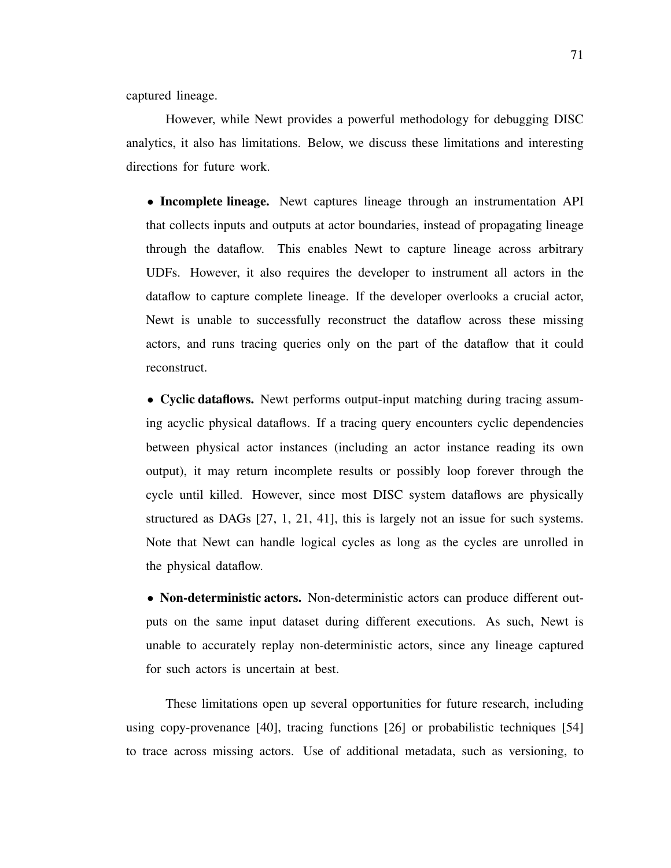captured lineage.

However, while Newt provides a powerful methodology for debugging DISC analytics, it also has limitations. Below, we discuss these limitations and interesting directions for future work.

• Incomplete lineage. Newt captures lineage through an instrumentation API that collects inputs and outputs at actor boundaries, instead of propagating lineage through the dataflow. This enables Newt to capture lineage across arbitrary UDFs. However, it also requires the developer to instrument all actors in the dataflow to capture complete lineage. If the developer overlooks a crucial actor, Newt is unable to successfully reconstruct the dataflow across these missing actors, and runs tracing queries only on the part of the dataflow that it could reconstruct.

• Cyclic dataflows. Newt performs output-input matching during tracing assuming acyclic physical dataflows. If a tracing query encounters cyclic dependencies between physical actor instances (including an actor instance reading its own output), it may return incomplete results or possibly loop forever through the cycle until killed. However, since most DISC system dataflows are physically structured as DAGs [27, 1, 21, 41], this is largely not an issue for such systems. Note that Newt can handle logical cycles as long as the cycles are unrolled in the physical dataflow.

• Non-deterministic actors. Non-deterministic actors can produce different outputs on the same input dataset during different executions. As such, Newt is unable to accurately replay non-deterministic actors, since any lineage captured for such actors is uncertain at best.

These limitations open up several opportunities for future research, including using copy-provenance [40], tracing functions [26] or probabilistic techniques [54] to trace across missing actors. Use of additional metadata, such as versioning, to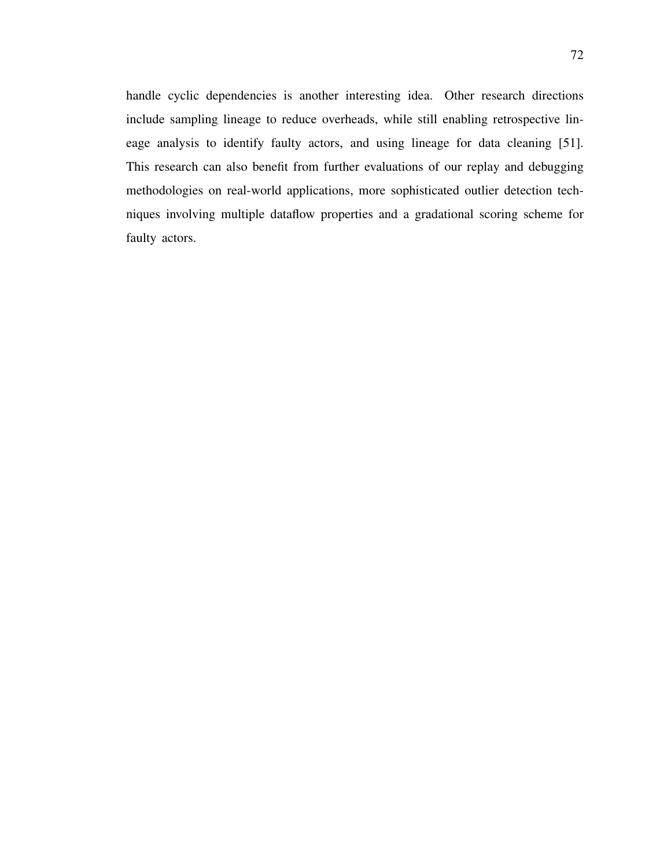handle cyclic dependencies is another interesting idea. Other research directions include sampling lineage to reduce overheads, while still enabling retrospective lineage analysis to identify faulty actors, and using lineage for data cleaning [51]. This research can also benefit from further evaluations of our replay and debugging methodologies on real-world applications, more sophisticated outlier detection techniques involving multiple dataflow properties and a gradational scoring scheme for faulty actors.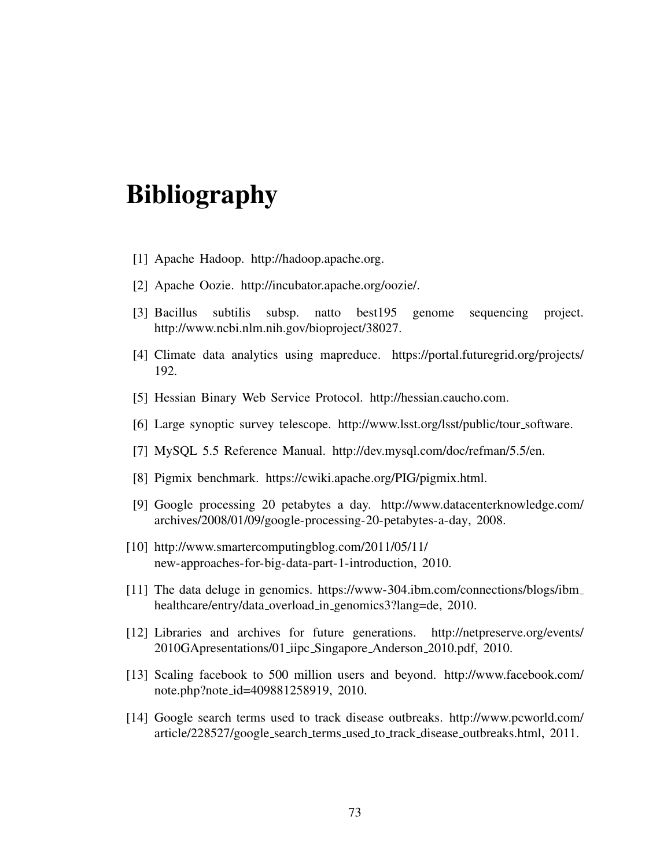# Bibliography

- [1] Apache Hadoop. http://hadoop.apache.org.
- [2] Apache Oozie. http://incubator.apache.org/oozie/.
- [3] Bacillus subtilis subsp. natto best195 genome sequencing project. http://www.ncbi.nlm.nih.gov/bioproject/38027.
- [4] Climate data analytics using mapreduce. https://portal.futuregrid.org/projects/ 192.
- [5] Hessian Binary Web Service Protocol. http://hessian.caucho.com.
- [6] Large synoptic survey telescope. http://www.lsst.org/lsst/public/tour software.
- [7] MySQL 5.5 Reference Manual. http://dev.mysql.com/doc/refman/5.5/en.
- [8] Pigmix benchmark. https://cwiki.apache.org/PIG/pigmix.html.
- [9] Google processing 20 petabytes a day. http://www.datacenterknowledge.com/ archives/2008/01/09/google-processing-20-petabytes-a-day, 2008.
- [10] http://www.smartercomputingblog.com/2011/05/11/ new-approaches-for-big-data-part-1-introduction, 2010.
- [11] The data deluge in genomics. https://www-304.ibm.com/connections/blogs/ibm healthcare/entry/data\_overload\_in\_genomics3?lang=de, 2010.
- [12] Libraries and archives for future generations. http://netpreserve.org/events/ 2010GApresentations/01 iipc Singapore Anderson 2010.pdf, 2010.
- [13] Scaling facebook to 500 million users and beyond. http://www.facebook.com/ note.php?note id=409881258919, 2010.
- [14] Google search terms used to track disease outbreaks. http://www.pcworld.com/ article/228527/google search terms used to track disease outbreaks.html, 2011.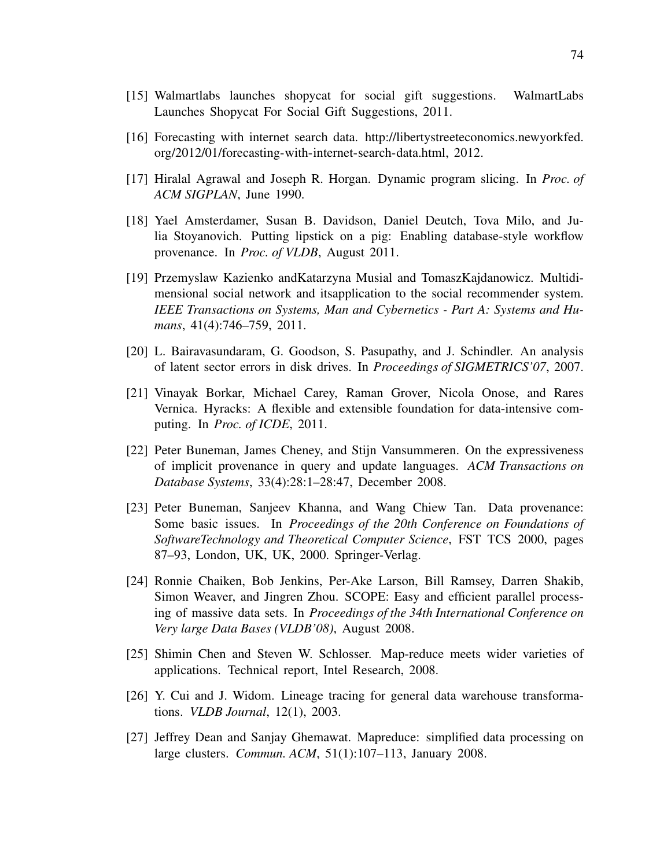- [15] Walmartlabs launches shopycat for social gift suggestions. WalmartLabs Launches Shopycat For Social Gift Suggestions, 2011.
- [16] Forecasting with internet search data. http://libertystreeteconomics.newyorkfed. org/2012/01/forecasting-with-internet-search-data.html, 2012.
- [17] Hiralal Agrawal and Joseph R. Horgan. Dynamic program slicing. In *Proc. of ACM SIGPLAN*, June 1990.
- [18] Yael Amsterdamer, Susan B. Davidson, Daniel Deutch, Tova Milo, and Julia Stoyanovich. Putting lipstick on a pig: Enabling database-style workflow provenance. In *Proc. of VLDB*, August 2011.
- [19] Przemyslaw Kazienko andKatarzyna Musial and TomaszKajdanowicz. Multidimensional social network and itsapplication to the social recommender system. *IEEE Transactions on Systems, Man and Cybernetics - Part A: Systems and Humans*, 41(4):746–759, 2011.
- [20] L. Bairavasundaram, G. Goodson, S. Pasupathy, and J. Schindler. An analysis of latent sector errors in disk drives. In *Proceedings of SIGMETRICS'07*, 2007.
- [21] Vinayak Borkar, Michael Carey, Raman Grover, Nicola Onose, and Rares Vernica. Hyracks: A flexible and extensible foundation for data-intensive computing. In *Proc. of ICDE*, 2011.
- [22] Peter Buneman, James Cheney, and Stijn Vansummeren. On the expressiveness of implicit provenance in query and update languages. *ACM Transactions on Database Systems*, 33(4):28:1–28:47, December 2008.
- [23] Peter Buneman, Sanjeev Khanna, and Wang Chiew Tan. Data provenance: Some basic issues. In *Proceedings of the 20th Conference on Foundations of SoftwareTechnology and Theoretical Computer Science*, FST TCS 2000, pages 87–93, London, UK, UK, 2000. Springer-Verlag.
- [24] Ronnie Chaiken, Bob Jenkins, Per-Ake Larson, Bill Ramsey, Darren Shakib, Simon Weaver, and Jingren Zhou. SCOPE: Easy and efficient parallel processing of massive data sets. In *Proceedings of the 34th International Conference on Very large Data Bases (VLDB'08)*, August 2008.
- [25] Shimin Chen and Steven W. Schlosser. Map-reduce meets wider varieties of applications. Technical report, Intel Research, 2008.
- [26] Y. Cui and J. Widom. Lineage tracing for general data warehouse transformations. *VLDB Journal*, 12(1), 2003.
- [27] Jeffrey Dean and Sanjay Ghemawat. Mapreduce: simplified data processing on large clusters. *Commun. ACM*, 51(1):107–113, January 2008.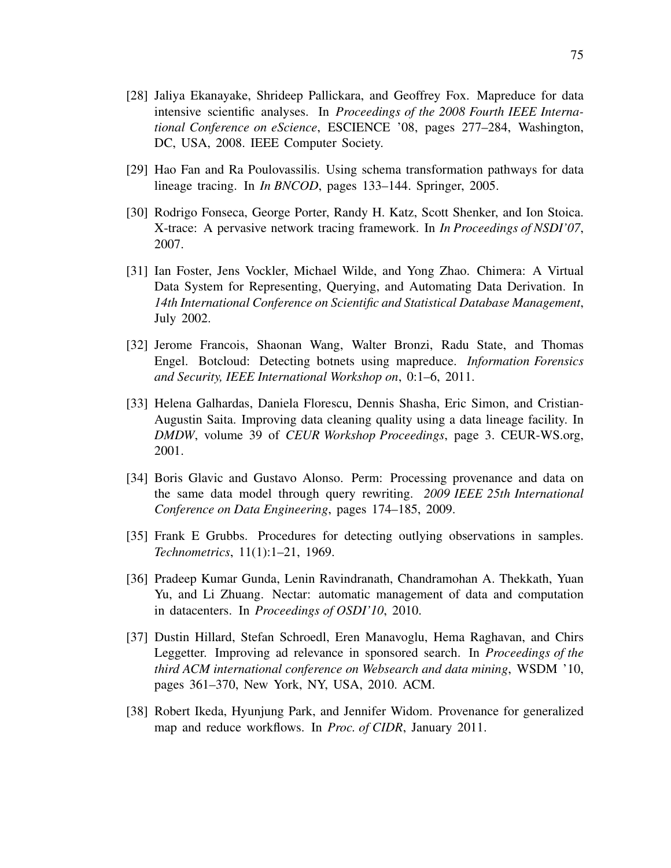- [28] Jaliya Ekanayake, Shrideep Pallickara, and Geoffrey Fox. Mapreduce for data intensive scientific analyses. In *Proceedings of the 2008 Fourth IEEE International Conference on eScience*, ESCIENCE '08, pages 277–284, Washington, DC, USA, 2008. IEEE Computer Society.
- [29] Hao Fan and Ra Poulovassilis. Using schema transformation pathways for data lineage tracing. In *In BNCOD*, pages 133–144. Springer, 2005.
- [30] Rodrigo Fonseca, George Porter, Randy H. Katz, Scott Shenker, and Ion Stoica. X-trace: A pervasive network tracing framework. In *In Proceedings of NSDI'07*, 2007.
- [31] Ian Foster, Jens Vockler, Michael Wilde, and Yong Zhao. Chimera: A Virtual Data System for Representing, Querying, and Automating Data Derivation. In *14th International Conference on Scientific and Statistical Database Management*, July 2002.
- [32] Jerome Francois, Shaonan Wang, Walter Bronzi, Radu State, and Thomas Engel. Botcloud: Detecting botnets using mapreduce. *Information Forensics and Security, IEEE International Workshop on*, 0:1–6, 2011.
- [33] Helena Galhardas, Daniela Florescu, Dennis Shasha, Eric Simon, and Cristian-Augustin Saita. Improving data cleaning quality using a data lineage facility. In *DMDW*, volume 39 of *CEUR Workshop Proceedings*, page 3. CEUR-WS.org, 2001.
- [34] Boris Glavic and Gustavo Alonso. Perm: Processing provenance and data on the same data model through query rewriting. *2009 IEEE 25th International Conference on Data Engineering*, pages 174–185, 2009.
- [35] Frank E Grubbs. Procedures for detecting outlying observations in samples. *Technometrics*, 11(1):1–21, 1969.
- [36] Pradeep Kumar Gunda, Lenin Ravindranath, Chandramohan A. Thekkath, Yuan Yu, and Li Zhuang. Nectar: automatic management of data and computation in datacenters. In *Proceedings of OSDI'10*, 2010.
- [37] Dustin Hillard, Stefan Schroedl, Eren Manavoglu, Hema Raghavan, and Chirs Leggetter. Improving ad relevance in sponsored search. In *Proceedings of the third ACM international conference on Websearch and data mining*, WSDM '10, pages 361–370, New York, NY, USA, 2010. ACM.
- [38] Robert Ikeda, Hyunjung Park, and Jennifer Widom. Provenance for generalized map and reduce workflows. In *Proc. of CIDR*, January 2011.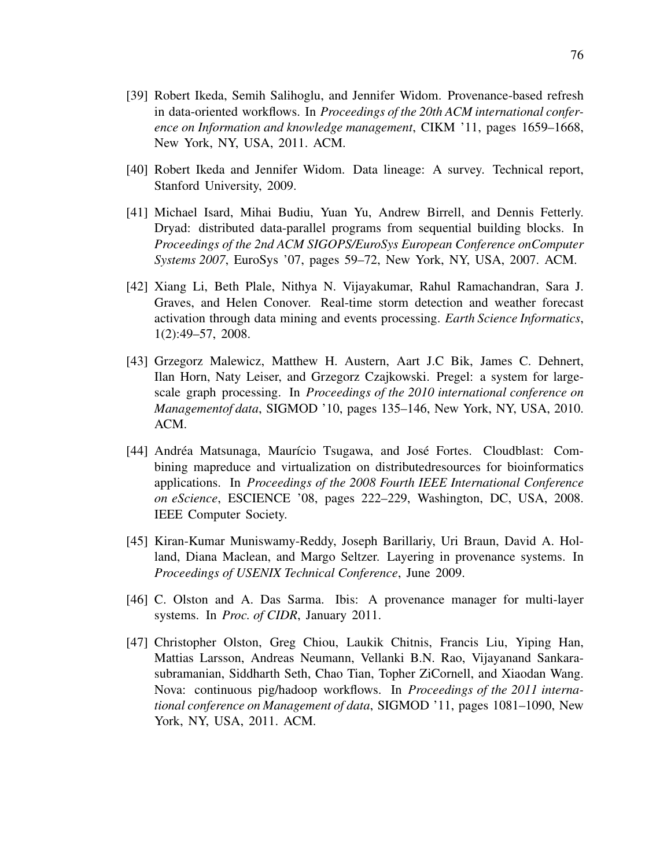- [39] Robert Ikeda, Semih Salihoglu, and Jennifer Widom. Provenance-based refresh in data-oriented workflows. In *Proceedings of the 20th ACM international conference on Information and knowledge management*, CIKM '11, pages 1659–1668, New York, NY, USA, 2011. ACM.
- [40] Robert Ikeda and Jennifer Widom. Data lineage: A survey. Technical report, Stanford University, 2009.
- [41] Michael Isard, Mihai Budiu, Yuan Yu, Andrew Birrell, and Dennis Fetterly. Dryad: distributed data-parallel programs from sequential building blocks. In *Proceedings of the 2nd ACM SIGOPS/EuroSys European Conference onComputer Systems 2007*, EuroSys '07, pages 59–72, New York, NY, USA, 2007. ACM.
- [42] Xiang Li, Beth Plale, Nithya N. Vijayakumar, Rahul Ramachandran, Sara J. Graves, and Helen Conover. Real-time storm detection and weather forecast activation through data mining and events processing. *Earth Science Informatics*, 1(2):49–57, 2008.
- [43] Grzegorz Malewicz, Matthew H. Austern, Aart J.C Bik, James C. Dehnert, Ilan Horn, Naty Leiser, and Grzegorz Czajkowski. Pregel: a system for largescale graph processing. In *Proceedings of the 2010 international conference on Managementof data*, SIGMOD '10, pages 135–146, New York, NY, USA, 2010. ACM.
- [44] Andréa Matsunaga, Maurício Tsugawa, and José Fortes. Cloudblast: Combining mapreduce and virtualization on distributedresources for bioinformatics applications. In *Proceedings of the 2008 Fourth IEEE International Conference on eScience*, ESCIENCE '08, pages 222–229, Washington, DC, USA, 2008. IEEE Computer Society.
- [45] Kiran-Kumar Muniswamy-Reddy, Joseph Barillariy, Uri Braun, David A. Holland, Diana Maclean, and Margo Seltzer. Layering in provenance systems. In *Proceedings of USENIX Technical Conference*, June 2009.
- [46] C. Olston and A. Das Sarma. Ibis: A provenance manager for multi-layer systems. In *Proc. of CIDR*, January 2011.
- [47] Christopher Olston, Greg Chiou, Laukik Chitnis, Francis Liu, Yiping Han, Mattias Larsson, Andreas Neumann, Vellanki B.N. Rao, Vijayanand Sankarasubramanian, Siddharth Seth, Chao Tian, Topher ZiCornell, and Xiaodan Wang. Nova: continuous pig/hadoop workflows. In *Proceedings of the 2011 international conference on Management of data*, SIGMOD '11, pages 1081–1090, New York, NY, USA, 2011. ACM.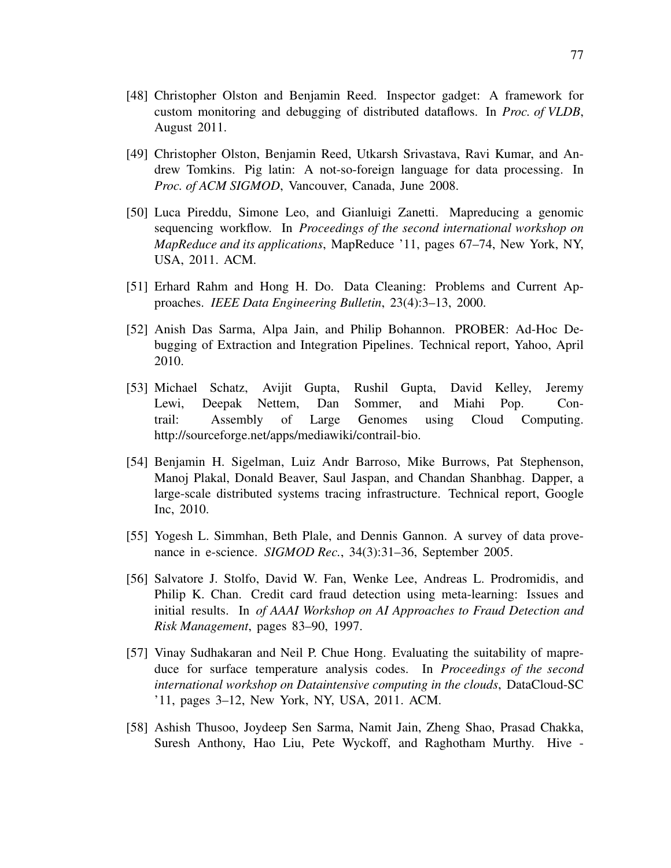- [48] Christopher Olston and Benjamin Reed. Inspector gadget: A framework for custom monitoring and debugging of distributed dataflows. In *Proc. of VLDB*, August 2011.
- [49] Christopher Olston, Benjamin Reed, Utkarsh Srivastava, Ravi Kumar, and Andrew Tomkins. Pig latin: A not-so-foreign language for data processing. In *Proc. of ACM SIGMOD*, Vancouver, Canada, June 2008.
- [50] Luca Pireddu, Simone Leo, and Gianluigi Zanetti. Mapreducing a genomic sequencing workflow. In *Proceedings of the second international workshop on MapReduce and its applications*, MapReduce '11, pages 67–74, New York, NY, USA, 2011. ACM.
- [51] Erhard Rahm and Hong H. Do. Data Cleaning: Problems and Current Approaches. *IEEE Data Engineering Bulletin*, 23(4):3–13, 2000.
- [52] Anish Das Sarma, Alpa Jain, and Philip Bohannon. PROBER: Ad-Hoc Debugging of Extraction and Integration Pipelines. Technical report, Yahoo, April 2010.
- [53] Michael Schatz, Avijit Gupta, Rushil Gupta, David Kelley, Jeremy Lewi, Deepak Nettem, Dan Sommer, and Miahi Pop. Contrail: Assembly of Large Genomes using Cloud Computing. http://sourceforge.net/apps/mediawiki/contrail-bio.
- [54] Benjamin H. Sigelman, Luiz Andr Barroso, Mike Burrows, Pat Stephenson, Manoj Plakal, Donald Beaver, Saul Jaspan, and Chandan Shanbhag. Dapper, a large-scale distributed systems tracing infrastructure. Technical report, Google Inc, 2010.
- [55] Yogesh L. Simmhan, Beth Plale, and Dennis Gannon. A survey of data provenance in e-science. *SIGMOD Rec.*, 34(3):31–36, September 2005.
- [56] Salvatore J. Stolfo, David W. Fan, Wenke Lee, Andreas L. Prodromidis, and Philip K. Chan. Credit card fraud detection using meta-learning: Issues and initial results. In *of AAAI Workshop on AI Approaches to Fraud Detection and Risk Management*, pages 83–90, 1997.
- [57] Vinay Sudhakaran and Neil P. Chue Hong. Evaluating the suitability of mapreduce for surface temperature analysis codes. In *Proceedings of the second international workshop on Dataintensive computing in the clouds*, DataCloud-SC '11, pages 3–12, New York, NY, USA, 2011. ACM.
- [58] Ashish Thusoo, Joydeep Sen Sarma, Namit Jain, Zheng Shao, Prasad Chakka, Suresh Anthony, Hao Liu, Pete Wyckoff, and Raghotham Murthy. Hive -